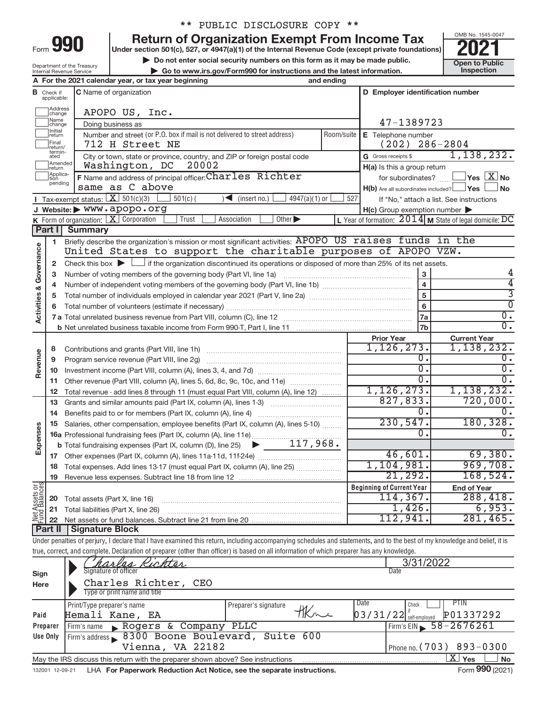| -orm | L |  |
|------|---|--|
|      |   |  |

# \*\* PUBLIC DISCLOSURE COPY \*\*

**990** Return of Organization Exempt From Income Tax **Punce 1845-004 2021** 

**Example 19 Do not enter social security numbers on this form as it may be made public.** 
<br>
■ Go to www.irs.gov/Form990 for instructions and the latest information. 
Inspection **| Go to www.irs.gov/Form990 for instructions and the latest information. Inspection**



|                                 |  | Department of the Treasury |
|---------------------------------|--|----------------------------|
| <b>Internal Revenue Service</b> |  |                            |
|                                 |  |                            |

|                         |                               | A For the 2021 calendar year, or tax year beginning<br>and ending                                                                                                          |            |                                                         |                                                             |
|-------------------------|-------------------------------|----------------------------------------------------------------------------------------------------------------------------------------------------------------------------|------------|---------------------------------------------------------|-------------------------------------------------------------|
|                         | <b>B</b> Check if applicable: | C Name of organization                                                                                                                                                     |            | D Employer identification number                        |                                                             |
|                         | ]Address<br>]change           | APOPO US, Inc.                                                                                                                                                             |            |                                                         |                                                             |
|                         | ]Name<br>]change              | Doing business as                                                                                                                                                          |            | 47-1389723                                              |                                                             |
|                         | Initial<br>return             | Number and street (or P.O. box if mail is not delivered to street address)                                                                                                 | Room/suite | E Telephone number                                      |                                                             |
|                         | Final<br>return/              | 712 H Street NE                                                                                                                                                            |            | $(202)$ 286-2804                                        |                                                             |
|                         | termin-<br>ated<br>Amended    | City or town, state or province, country, and ZIP or foreign postal code                                                                                                   |            | G Gross receipts \$                                     | 1,138,232.                                                  |
|                         | Ireturn                       | 20002<br>Washington, DC                                                                                                                                                    |            | H(a) Is this a group return                             |                                                             |
|                         | Applica-<br>Ition<br>pending  | F Name and address of principal officer: Charles Richter<br>same as C above                                                                                                |            |                                                         | for subordinates? $\Box$ Yes $X$ No                         |
|                         |                               | <b>I</b> Tax-exempt status: $X \ 501(c)(3)$<br>$501(c)$ (<br>$\sqrt{\frac{1}{1}}$ (insert no.)<br>$4947(a)(1)$ or                                                          | 527        | $H(b)$ Are all subordinates included? $\Box$ Yes $\Box$ | l No                                                        |
|                         |                               | J Website: WWW.apopo.org                                                                                                                                                   |            | $H(c)$ Group exemption number $\blacktriangleright$     | If "No," attach a list. See instructions                    |
|                         |                               | <b>K</b> Form of organization: $\boxed{\textbf{X}}$ Corporation<br>Trust<br>Association<br>Other $\blacktriangleright$                                                     |            |                                                         | L Year of formation: $2014$ M State of legal domicile: DC   |
|                         |                               | <b>Part I</b> Summary                                                                                                                                                      |            |                                                         |                                                             |
|                         | 1                             | Briefly describe the organization's mission or most significant activities: APOPO US raises funds in the                                                                   |            |                                                         |                                                             |
| Activities & Governance |                               | United States to support the charitable purposes of APOPO VZW.                                                                                                             |            |                                                         |                                                             |
|                         | 2                             | Check this box $\blacktriangleright$ $\Box$ if the organization discontinued its operations or disposed of more than 25% of its net assets.                                |            |                                                         |                                                             |
|                         | з                             |                                                                                                                                                                            |            | 3                                                       | 4                                                           |
|                         | 4                             |                                                                                                                                                                            |            | $\overline{4}$                                          | 4                                                           |
|                         | 5                             |                                                                                                                                                                            |            | 5                                                       | $\overline{3}$                                              |
|                         | 6                             |                                                                                                                                                                            |            | 6                                                       | $\overline{0}$                                              |
|                         |                               |                                                                                                                                                                            |            | 7a                                                      | $\overline{0}$ .                                            |
|                         |                               |                                                                                                                                                                            |            | 7b                                                      | $\overline{0}$ .                                            |
|                         |                               |                                                                                                                                                                            |            | <b>Prior Year</b><br>1, 126, 273.                       | <b>Current Year</b><br>1,138,232.                           |
|                         | 8                             |                                                                                                                                                                            |            | 0.                                                      | $\overline{0}$ .                                            |
| Revenue                 | 9                             | Program service revenue (Part VIII, line 2g)                                                                                                                               |            | $\overline{0}$ .                                        | $\overline{0}$ .                                            |
|                         | 10<br>11                      | Other revenue (Part VIII, column (A), lines 5, 6d, 8c, 9c, 10c, and 11e)                                                                                                   |            | $\overline{0}$ .                                        | $\overline{0}$ .                                            |
|                         | 12                            | Total revenue - add lines 8 through 11 (must equal Part VIII, column (A), line 12)                                                                                         |            | 1, 126, 273.                                            | 1,138,232.                                                  |
|                         | 13                            | Grants and similar amounts paid (Part IX, column (A), lines 1-3)                                                                                                           |            | 827, 833.                                               | 720,000.                                                    |
|                         | 14                            |                                                                                                                                                                            |            | $0$ .                                                   | 0.                                                          |
|                         | 15                            | Salaries, other compensation, employee benefits (Part IX, column (A), lines 5-10)                                                                                          |            | 230,547.                                                | 180, 328.                                                   |
| Expenses                |                               | 16a Professional fundraising fees (Part IX, column (A), line 11e)                                                                                                          |            | 0.                                                      | 0.                                                          |
|                         |                               | <b>b</b> Total fundraising expenses (Part IX, column (D), line 25) $\rightarrow$ ______117,968.                                                                            |            |                                                         |                                                             |
|                         |                               |                                                                                                                                                                            |            | 46,601.                                                 | 69,380.                                                     |
|                         |                               | 18 Total expenses. Add lines 13-17 (must equal Part IX, column (A), line 25)                                                                                               |            | 1,104,981.                                              | 969,708.                                                    |
|                         |                               | 19 Revenue less expenses. Subtract line 18 from line 12                                                                                                                    |            | 21,292.                                                 | 168,524.                                                    |
| Net Assets or           |                               |                                                                                                                                                                            |            | <b>Beginning of Current Year</b><br>114,367.            | <b>End of Year</b><br>288,418.                              |
|                         | 20                            | Total assets (Part X, line 16)                                                                                                                                             |            | 1,426.                                                  | 6,953.                                                      |
|                         | 21                            | Total liabilities (Part X, line 26)<br>Net assets or fund balances. Subtract line 21 from line 20                                                                          |            | 112,941.                                                | 281,465.                                                    |
|                         | 22<br>Part II                 | <b>Signature Block</b>                                                                                                                                                     |            |                                                         |                                                             |
|                         |                               | Under penalties of perjury, I declare that I have examined this return, including accompanying schedules and statements, and to the best of my knowledge and belief, it is |            |                                                         |                                                             |
|                         |                               | true, correct, and complete. Declaration of preparer (other than officer) is based on all information of which preparer has any knowledge.                                 |            |                                                         |                                                             |
|                         |                               | Kichter                                                                                                                                                                    |            | 3/31/2022                                               |                                                             |
| Sign                    |                               | Signature of officer                                                                                                                                                       |            | Date                                                    |                                                             |
| Here                    |                               | Charles Richter,<br>CEO                                                                                                                                                    |            |                                                         |                                                             |
|                         |                               | Type or print name and title                                                                                                                                               |            |                                                         |                                                             |
|                         |                               | Print/Type preparer's name<br>Preparer's signature<br>tkne                                                                                                                 |            | Date<br>Check                                           | <b>PTIN</b>                                                 |
| Paid                    |                               | Hemali Kane, EA                                                                                                                                                            |            | $03/31/22$ $\frac{1}{\text{self-emploved}}$             | P01337292                                                   |
|                         | Preparer                      | Firm's name Rogers & Company PLLC                                                                                                                                          |            |                                                         | Firm's EIN 58-2676261                                       |
|                         | <b>Use Only</b>               | Firm's address > 8300 Boone Boulevard, Suite 600<br>Vienna, VA 22182                                                                                                       |            |                                                         |                                                             |
|                         |                               |                                                                                                                                                                            |            |                                                         | Phone no. (703) 893-0300<br>$\overline{X}$ Yes<br><b>No</b> |
|                         |                               | May the IRS discuss this return with the preparer shown above? See instructions                                                                                            |            |                                                         |                                                             |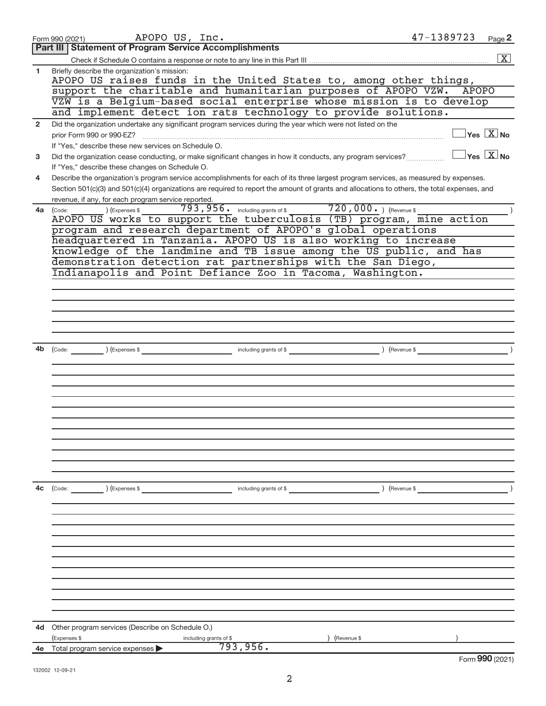|              | APOPO US, Inc.<br>Form 990 (2021)                                                                                                            | 47-1389723<br>Page 2                    |
|--------------|----------------------------------------------------------------------------------------------------------------------------------------------|-----------------------------------------|
|              | <b>Part III   Statement of Program Service Accomplishments</b>                                                                               |                                         |
|              |                                                                                                                                              | $\boxed{\text{X}}$                      |
| 1            | Briefly describe the organization's mission:<br>APOPO US raises funds in the United States to, among other things,                           |                                         |
|              | support the charitable and humanitarian purposes of APOPO VZW. APOPO                                                                         |                                         |
|              | VZW is a Belgium-based social enterprise whose mission is to develop                                                                         |                                         |
|              | and implement detect ion rats technology to provide solutions.                                                                               |                                         |
| $\mathbf{2}$ | Did the organization undertake any significant program services during the year which were not listed on the<br>prior Form 990 or 990-EZ?    | $\Box$ Yes $[\overline{\mathrm{X}}]$ No |
|              | If "Yes," describe these new services on Schedule O.                                                                                         |                                         |
| 3            | Did the organization cease conducting, or make significant changes in how it conducts, any program services?                                 | $\Box$ Yes $[\overline{\mathrm{X}}]$ No |
|              | If "Yes," describe these changes on Schedule O.                                                                                              |                                         |
| 4            | Describe the organization's program service accomplishments for each of its three largest program services, as measured by expenses.         |                                         |
|              | Section 501(c)(3) and 501(c)(4) organizations are required to report the amount of grants and allocations to others, the total expenses, and |                                         |
| 4a           | revenue, if any, for each program service reported.<br>793,956. including grants of \$720,000.) (Revenue \$<br>$(Ex)$ (Expenses \$           |                                         |
|              | (Code:<br>APOPO US works to support the tuberculosis (TB) program, mine action                                                               |                                         |
|              | program and research department of APOPO's global operations                                                                                 |                                         |
|              | headquartered in Tanzania. APOPO US is also working to increase                                                                              |                                         |
|              | knowledge of the landmine and TB issue among the US public, and has                                                                          |                                         |
|              | demonstration detection rat partnerships with the San Diego,                                                                                 |                                         |
|              | Indianapolis and Point Defiance Zoo in Tacoma, Washington.                                                                                   |                                         |
|              |                                                                                                                                              |                                         |
|              |                                                                                                                                              |                                         |
|              |                                                                                                                                              |                                         |
|              |                                                                                                                                              |                                         |
|              |                                                                                                                                              |                                         |
|              |                                                                                                                                              |                                         |
| 4b           |                                                                                                                                              |                                         |
|              |                                                                                                                                              |                                         |
|              |                                                                                                                                              |                                         |
|              |                                                                                                                                              |                                         |
|              |                                                                                                                                              |                                         |
|              |                                                                                                                                              |                                         |
|              |                                                                                                                                              |                                         |
|              |                                                                                                                                              |                                         |
|              |                                                                                                                                              |                                         |
|              |                                                                                                                                              |                                         |
|              |                                                                                                                                              |                                         |
|              |                                                                                                                                              |                                         |
| 4c           | $\text{(Code:}$ $\qquad \qquad \text{)}$ (Expenses \$<br>including grants of \$                                                              | $($ Revenue \$                          |
|              |                                                                                                                                              |                                         |
|              |                                                                                                                                              |                                         |
|              |                                                                                                                                              |                                         |
|              |                                                                                                                                              |                                         |
|              |                                                                                                                                              |                                         |
|              |                                                                                                                                              |                                         |
|              |                                                                                                                                              |                                         |
|              |                                                                                                                                              |                                         |
|              |                                                                                                                                              |                                         |
|              |                                                                                                                                              |                                         |
|              |                                                                                                                                              |                                         |
|              |                                                                                                                                              |                                         |
| 4d           | Other program services (Describe on Schedule O.)<br>(Expenses \$<br>Revenue \$                                                               |                                         |
| 4e           | including grants of \$<br>793, 956.<br>Total program service expenses                                                                        |                                         |
|              |                                                                                                                                              | Form 990 (2021)                         |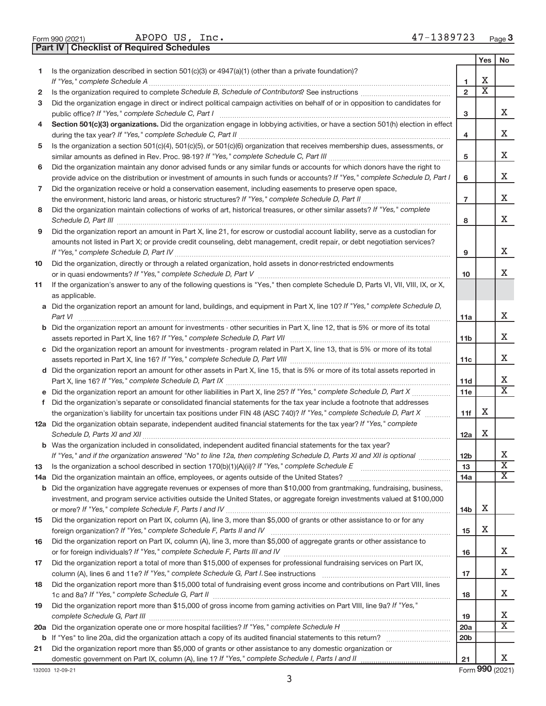|  | Form 990 (2021) |  |
|--|-----------------|--|

APOPO US, Inc. 47-1389723

**Part IV Checklist of Required Schedules**

|    |                                                                                                                                       |                 | Yes                     | No                      |
|----|---------------------------------------------------------------------------------------------------------------------------------------|-----------------|-------------------------|-------------------------|
| 1. | Is the organization described in section 501(c)(3) or 4947(a)(1) (other than a private foundation)?                                   |                 |                         |                         |
|    | If "Yes," complete Schedule A                                                                                                         | 1               | х                       |                         |
| 2  |                                                                                                                                       | $\overline{2}$  | $\overline{\textbf{X}}$ |                         |
| 3  | Did the organization engage in direct or indirect political campaign activities on behalf of or in opposition to candidates for       |                 |                         |                         |
|    | public office? If "Yes," complete Schedule C, Part I                                                                                  | з               |                         | X.                      |
| 4  | Section 501(c)(3) organizations. Did the organization engage in lobbying activities, or have a section 501(h) election in effect      |                 |                         |                         |
|    |                                                                                                                                       | 4               |                         | X.                      |
| 5  | Is the organization a section 501(c)(4), 501(c)(5), or 501(c)(6) organization that receives membership dues, assessments, or          |                 |                         |                         |
|    |                                                                                                                                       | 5               |                         | X                       |
| 6  | Did the organization maintain any donor advised funds or any similar funds or accounts for which donors have the right to             |                 |                         |                         |
|    | provide advice on the distribution or investment of amounts in such funds or accounts? If "Yes," complete Schedule D, Part I          | 6               |                         | X                       |
| 7  | Did the organization receive or hold a conservation easement, including easements to preserve open space,                             |                 |                         |                         |
|    | the environment, historic land areas, or historic structures? If "Yes," complete Schedule D, Part II                                  | $\overline{7}$  |                         | X.                      |
| 8  | Did the organization maintain collections of works of art, historical treasures, or other similar assets? If "Yes," complete          |                 |                         |                         |
|    |                                                                                                                                       | 8               |                         | X.                      |
| 9  | Did the organization report an amount in Part X, line 21, for escrow or custodial account liability, serve as a custodian for         |                 |                         |                         |
|    | amounts not listed in Part X; or provide credit counseling, debt management, credit repair, or debt negotiation services?             |                 |                         |                         |
|    |                                                                                                                                       | 9               |                         | X.                      |
| 10 | Did the organization, directly or through a related organization, hold assets in donor-restricted endowments                          |                 |                         |                         |
|    |                                                                                                                                       | 10              |                         | X.                      |
| 11 | If the organization's answer to any of the following questions is "Yes," then complete Schedule D, Parts VI, VII, VIII, IX, or X,     |                 |                         |                         |
|    | as applicable.                                                                                                                        |                 |                         |                         |
|    | a Did the organization report an amount for land, buildings, and equipment in Part X, line 10? If "Yes," complete Schedule D,         |                 |                         | X.                      |
|    | Part VI                                                                                                                               | 11a             |                         |                         |
|    | <b>b</b> Did the organization report an amount for investments - other securities in Part X, line 12, that is 5% or more of its total |                 |                         | X                       |
|    |                                                                                                                                       | 11b             |                         |                         |
|    | c Did the organization report an amount for investments - program related in Part X, line 13, that is 5% or more of its total         | 11c             |                         | x                       |
|    | d Did the organization report an amount for other assets in Part X, line 15, that is 5% or more of its total assets reported in       |                 |                         |                         |
|    |                                                                                                                                       | 11d             |                         | x                       |
|    |                                                                                                                                       | 11e             |                         | X                       |
| f  | Did the organization's separate or consolidated financial statements for the tax year include a footnote that addresses               |                 |                         |                         |
|    | the organization's liability for uncertain tax positions under FIN 48 (ASC 740)? If "Yes," complete Schedule D, Part X                | 11f             | х                       |                         |
|    | 12a Did the organization obtain separate, independent audited financial statements for the tax year? If "Yes," complete               |                 |                         |                         |
|    | Schedule D, Parts XI and XII                                                                                                          | 12a             | х                       |                         |
|    | b Was the organization included in consolidated, independent audited financial statements for the tax year?                           |                 |                         |                         |
|    | If "Yes," and if the organization answered "No" to line 12a, then completing Schedule D, Parts XI and XII is optional                 | 12 <sub>b</sub> |                         | ∡⊾                      |
| 13 | Is the organization a school described in section $170(b)(1)(A)(ii)$ ? If "Yes," complete Schedule E                                  | 13              |                         | $\overline{\textbf{X}}$ |
|    | 14a Did the organization maintain an office, employees, or agents outside of the United States?                                       | 14a             |                         | х                       |
|    | <b>b</b> Did the organization have aggregate revenues or expenses of more than \$10,000 from grantmaking, fundraising, business,      |                 |                         |                         |
|    | investment, and program service activities outside the United States, or aggregate foreign investments valued at \$100,000            |                 |                         |                         |
|    |                                                                                                                                       | 14b             | х                       |                         |
| 15 | Did the organization report on Part IX, column (A), line 3, more than \$5,000 of grants or other assistance to or for any             |                 |                         |                         |
|    | foreign organization? If "Yes," complete Schedule F, Parts II and IV                                                                  | 15              | х                       |                         |
| 16 | Did the organization report on Part IX, column (A), line 3, more than \$5,000 of aggregate grants or other assistance to              |                 |                         |                         |
|    |                                                                                                                                       | 16              |                         | x                       |
| 17 | Did the organization report a total of more than \$15,000 of expenses for professional fundraising services on Part IX,               |                 |                         |                         |
|    |                                                                                                                                       | 17              |                         | х                       |
| 18 | Did the organization report more than \$15,000 total of fundraising event gross income and contributions on Part VIII, lines          |                 |                         |                         |
|    |                                                                                                                                       | 18              |                         | x                       |
| 19 | Did the organization report more than \$15,000 of gross income from gaming activities on Part VIII, line 9a? If "Yes,"                |                 |                         |                         |
|    |                                                                                                                                       | 19              |                         | x                       |
|    |                                                                                                                                       | 20a             |                         | Χ                       |
|    |                                                                                                                                       | 20 <sub>b</sub> |                         |                         |
| 21 | Did the organization report more than \$5,000 of grants or other assistance to any domestic organization or                           |                 |                         |                         |
|    |                                                                                                                                       | 21              |                         | X                       |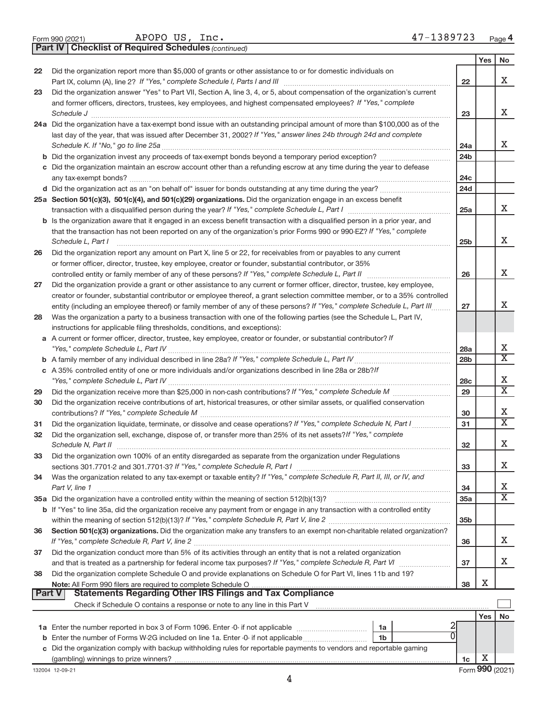|  | Form 990 (2021) |
|--|-----------------|
|  |                 |

APOPO US, Inc. 47-1389723

**Part IV Checklist of Required Schedules**

*(continued)*

|    |                                                                                                                                                                                                             |                        | Yes | <b>No</b>                        |
|----|-------------------------------------------------------------------------------------------------------------------------------------------------------------------------------------------------------------|------------------------|-----|----------------------------------|
| 22 | Did the organization report more than \$5,000 of grants or other assistance to or for domestic individuals on                                                                                               |                        |     |                                  |
|    |                                                                                                                                                                                                             | 22                     |     | Χ                                |
| 23 | Did the organization answer "Yes" to Part VII, Section A, line 3, 4, or 5, about compensation of the organization's current                                                                                 |                        |     |                                  |
|    | and former officers, directors, trustees, key employees, and highest compensated employees? If "Yes," complete                                                                                              |                        |     |                                  |
|    | Schedule J <b>Production Construction Construction Construction Construction Construction</b>                                                                                                               | 23                     |     | X                                |
|    | 24a Did the organization have a tax-exempt bond issue with an outstanding principal amount of more than \$100,000 as of the                                                                                 |                        |     |                                  |
|    | last day of the year, that was issued after December 31, 2002? If "Yes," answer lines 24b through 24d and complete                                                                                          |                        |     | X                                |
|    |                                                                                                                                                                                                             | 24a<br>24 <sub>b</sub> |     |                                  |
|    | c Did the organization maintain an escrow account other than a refunding escrow at any time during the year to defease                                                                                      |                        |     |                                  |
|    |                                                                                                                                                                                                             | 24c                    |     |                                  |
|    |                                                                                                                                                                                                             | 24d                    |     |                                  |
|    | 25a Section 501(c)(3), 501(c)(4), and 501(c)(29) organizations. Did the organization engage in an excess benefit                                                                                            |                        |     |                                  |
|    |                                                                                                                                                                                                             | 25a                    |     | x                                |
|    | b Is the organization aware that it engaged in an excess benefit transaction with a disqualified person in a prior year, and                                                                                |                        |     |                                  |
|    | that the transaction has not been reported on any of the organization's prior Forms 990 or 990-EZ? If "Yes," complete                                                                                       |                        |     |                                  |
|    | Schedule L. Part I                                                                                                                                                                                          | 25b                    |     | Χ                                |
| 26 | Did the organization report any amount on Part X, line 5 or 22, for receivables from or payables to any current                                                                                             |                        |     |                                  |
|    | or former officer, director, trustee, key employee, creator or founder, substantial contributor, or 35%                                                                                                     |                        |     |                                  |
|    |                                                                                                                                                                                                             | 26                     |     | х                                |
| 27 | Did the organization provide a grant or other assistance to any current or former officer, director, trustee, key employee,                                                                                 |                        |     |                                  |
|    | creator or founder, substantial contributor or employee thereof, a grant selection committee member, or to a 35% controlled                                                                                 |                        |     |                                  |
|    | entity (including an employee thereof) or family member of any of these persons? If "Yes," complete Schedule L, Part III                                                                                    | 27                     |     | х                                |
| 28 | Was the organization a party to a business transaction with one of the following parties (see the Schedule L, Part IV,                                                                                      |                        |     |                                  |
|    | instructions for applicable filing thresholds, conditions, and exceptions):                                                                                                                                 |                        |     |                                  |
|    | a A current or former officer, director, trustee, key employee, creator or founder, or substantial contributor? If                                                                                          |                        |     |                                  |
|    |                                                                                                                                                                                                             | 28a                    |     | Х                                |
|    |                                                                                                                                                                                                             | 28 <sub>b</sub>        |     | $\overline{\textbf{x}}$          |
|    | c A 35% controlled entity of one or more individuals and/or organizations described in line 28a or 28b?/f                                                                                                   |                        |     |                                  |
|    |                                                                                                                                                                                                             | 28 <sub>c</sub>        |     | Х                                |
| 29 |                                                                                                                                                                                                             | 29                     |     | $\overline{\textnormal{x}}$      |
| 30 | Did the organization receive contributions of art, historical treasures, or other similar assets, or qualified conservation                                                                                 |                        |     |                                  |
|    |                                                                                                                                                                                                             | 30                     |     | Х<br>$\overline{\textnormal{x}}$ |
| 31 | Did the organization liquidate, terminate, or dissolve and cease operations? If "Yes," complete Schedule N, Part I                                                                                          | 31                     |     |                                  |
| 32 | Did the organization sell, exchange, dispose of, or transfer more than 25% of its net assets? If "Yes," complete                                                                                            |                        |     | Χ                                |
|    |                                                                                                                                                                                                             | 32                     |     |                                  |
| 33 | Did the organization own 100% of an entity disregarded as separate from the organization under Regulations                                                                                                  | 33                     |     | Х                                |
| 34 | Was the organization related to any tax-exempt or taxable entity? If "Yes," complete Schedule R, Part II, III, or IV, and                                                                                   |                        |     |                                  |
|    | Part V, line 1                                                                                                                                                                                              | 34                     |     | Х                                |
|    | 35a Did the organization have a controlled entity within the meaning of section 512(b)(13)?                                                                                                                 | <b>35a</b>             |     | $\overline{\mathbf{X}}$          |
|    | b If "Yes" to line 35a, did the organization receive any payment from or engage in any transaction with a controlled entity                                                                                 |                        |     |                                  |
|    |                                                                                                                                                                                                             | 35b                    |     |                                  |
| 36 | Section 501(c)(3) organizations. Did the organization make any transfers to an exempt non-charitable related organization?                                                                                  |                        |     |                                  |
|    |                                                                                                                                                                                                             | 36                     |     | Χ                                |
| 37 | Did the organization conduct more than 5% of its activities through an entity that is not a related organization                                                                                            |                        |     |                                  |
|    |                                                                                                                                                                                                             | 37                     |     | х                                |
| 38 | Did the organization complete Schedule O and provide explanations on Schedule O for Part VI, lines 11b and 19?                                                                                              |                        |     |                                  |
|    |                                                                                                                                                                                                             | 38                     | X   |                                  |
|    | <b>Statements Regarding Other IRS Filings and Tax Compliance</b><br><b>Part V</b>                                                                                                                           |                        |     |                                  |
|    |                                                                                                                                                                                                             |                        |     |                                  |
|    |                                                                                                                                                                                                             |                        | Yes | No                               |
|    | 1a                                                                                                                                                                                                          |                        |     |                                  |
| b  | Enter the number of Forms W-2G included on line 1a. Enter -0- if not applicable<br>1b<br>Did the organization comply with backup withholding rules for reportable payments to vendors and reportable gaming |                        |     |                                  |
| С  |                                                                                                                                                                                                             | 1c                     | х   |                                  |
|    |                                                                                                                                                                                                             |                        |     |                                  |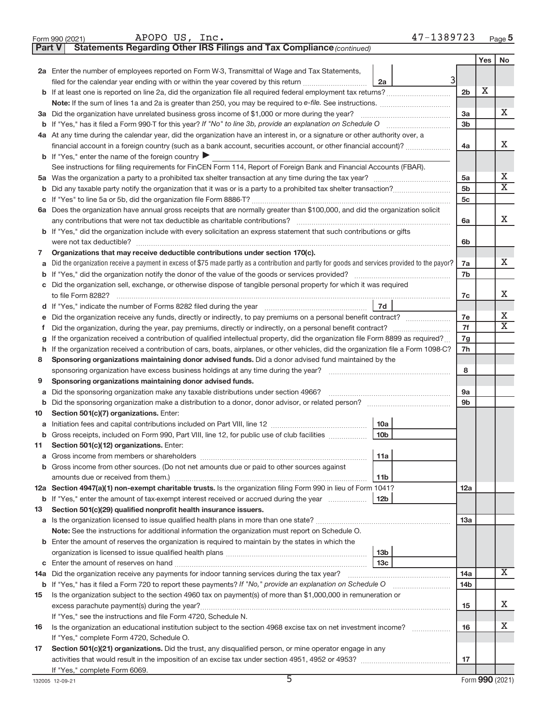|         | 47-1389723<br>APOPO US, Inc.<br>Form 990 (2021)                                                                                                                                         |                 |            | Page 5                  |
|---------|-----------------------------------------------------------------------------------------------------------------------------------------------------------------------------------------|-----------------|------------|-------------------------|
| Part V  | Statements Regarding Other IRS Filings and Tax Compliance (continued)                                                                                                                   |                 |            |                         |
|         |                                                                                                                                                                                         |                 | <b>Yes</b> | No                      |
|         | 2a Enter the number of employees reported on Form W-3, Transmittal of Wage and Tax Statements,                                                                                          |                 |            |                         |
|         | filed for the calendar year ending with or within the year covered by this return<br>2a                                                                                                 |                 |            |                         |
|         |                                                                                                                                                                                         | 2 <sub>b</sub>  | X          |                         |
|         |                                                                                                                                                                                         |                 |            |                         |
|         | 3a Did the organization have unrelated business gross income of \$1,000 or more during the year?                                                                                        | 3a              |            | х                       |
|         |                                                                                                                                                                                         | 3 <sub>b</sub>  |            |                         |
|         | 4a At any time during the calendar year, did the organization have an interest in, or a signature or other authority over, a                                                            |                 |            |                         |
|         | financial account in a foreign country (such as a bank account, securities account, or other financial account)?                                                                        | 4a              |            | Х                       |
|         | <b>b</b> If "Yes," enter the name of the foreign country $\triangleright$                                                                                                               |                 |            |                         |
|         | See instructions for filing requirements for FinCEN Form 114, Report of Foreign Bank and Financial Accounts (FBAR).                                                                     |                 |            |                         |
|         |                                                                                                                                                                                         | 5a              |            | х                       |
| b       |                                                                                                                                                                                         | 5 <sub>b</sub>  |            | $\overline{\textbf{x}}$ |
| С       |                                                                                                                                                                                         | 5c              |            |                         |
|         | 6a Does the organization have annual gross receipts that are normally greater than \$100,000, and did the organization solicit                                                          |                 |            |                         |
|         | any contributions that were not tax deductible as charitable contributions?                                                                                                             | 6a              |            | X                       |
|         | b If "Yes," did the organization include with every solicitation an express statement that such contributions or gifts                                                                  |                 |            |                         |
|         |                                                                                                                                                                                         | 6b              |            |                         |
| 7       | Organizations that may receive deductible contributions under section 170(c).                                                                                                           |                 |            |                         |
| a       | Did the organization receive a payment in excess of \$75 made partly as a contribution and partly for goods and services provided to the payor?                                         | 7a              |            | х                       |
| b       |                                                                                                                                                                                         | 7b              |            |                         |
|         | c Did the organization sell, exchange, or otherwise dispose of tangible personal property for which it was required                                                                     |                 |            |                         |
|         | to file Form 8282?                                                                                                                                                                      | 7c              |            | x                       |
|         | 7d                                                                                                                                                                                      |                 |            |                         |
| е       |                                                                                                                                                                                         | 7e              |            | Х<br>$\overline{X}$     |
| Ť.      | Did the organization, during the year, pay premiums, directly or indirectly, on a personal benefit contract?                                                                            | 7f              |            |                         |
| g       | If the organization received a contribution of qualified intellectual property, did the organization file Form 8899 as required?                                                        | 7g              |            |                         |
| h       | If the organization received a contribution of cars, boats, airplanes, or other vehicles, did the organization file a Form 1098-C?                                                      | 7h              |            |                         |
| 8       | Sponsoring organizations maintaining donor advised funds. Did a donor advised fund maintained by the                                                                                    |                 |            |                         |
|         | sponsoring organization have excess business holdings at any time during the year?                                                                                                      | 8               |            |                         |
| 9       | Sponsoring organizations maintaining donor advised funds.                                                                                                                               |                 |            |                         |
| a       | Did the sponsoring organization make any taxable distributions under section 4966?<br>Did the sponsoring organization make a distribution to a donor, donor advisor, or related person? | <b>9a</b><br>9b |            |                         |
| b<br>10 | Section 501(c)(7) organizations. Enter:                                                                                                                                                 |                 |            |                         |
|         | Initiation fees and capital contributions included on Part VIII, line 12 <i>macronomina controller</i><br>10a                                                                           |                 |            |                         |
| а<br>b  | Gross receipts, included on Form 990, Part VIII, line 12, for public use of club facilities<br>10 <sub>b</sub>                                                                          |                 |            |                         |
| 11      | Section 501(c)(12) organizations. Enter:                                                                                                                                                |                 |            |                         |
| а       | 11a                                                                                                                                                                                     |                 |            |                         |
| b       | Gross income from other sources. (Do not net amounts due or paid to other sources against                                                                                               |                 |            |                         |
|         | 11 <sub>b</sub>                                                                                                                                                                         |                 |            |                         |
|         | 12a Section 4947(a)(1) non-exempt charitable trusts. Is the organization filing Form 990 in lieu of Form 1041?                                                                          | 12a             |            |                         |
|         | <b>b</b> If "Yes," enter the amount of tax-exempt interest received or accrued during the year<br><b>12b</b>                                                                            |                 |            |                         |
| 13      | Section 501(c)(29) qualified nonprofit health insurance issuers.                                                                                                                        |                 |            |                         |
|         |                                                                                                                                                                                         | 13a             |            |                         |
|         | Note: See the instructions for additional information the organization must report on Schedule O.                                                                                       |                 |            |                         |
|         | <b>b</b> Enter the amount of reserves the organization is required to maintain by the states in which the                                                                               |                 |            |                         |
|         | 13 <sub>b</sub>                                                                                                                                                                         |                 |            |                         |
| с       | 13с                                                                                                                                                                                     |                 |            |                         |
| 14a     | Did the organization receive any payments for indoor tanning services during the tax year?                                                                                              | 14a             |            | Χ                       |
|         | b If "Yes," has it filed a Form 720 to report these payments? If "No," provide an explanation on Schedule O                                                                             | 14 <sub>b</sub> |            |                         |
| 15      | Is the organization subject to the section 4960 tax on payment(s) of more than \$1,000,000 in remuneration or                                                                           |                 |            |                         |
|         |                                                                                                                                                                                         | 15              |            | Х                       |
|         | If "Yes," see the instructions and file Form 4720, Schedule N.                                                                                                                          |                 |            |                         |
| 16      | Is the organization an educational institution subject to the section 4968 excise tax on net investment income?                                                                         | 16              |            | х                       |
|         | If "Yes," complete Form 4720, Schedule O.                                                                                                                                               |                 |            |                         |
| 17      | Section 501(c)(21) organizations. Did the trust, any disqualified person, or mine operator engage in any                                                                                |                 |            |                         |
|         |                                                                                                                                                                                         | 17              |            |                         |
|         | If "Yes," complete Form 6069.                                                                                                                                                           |                 |            |                         |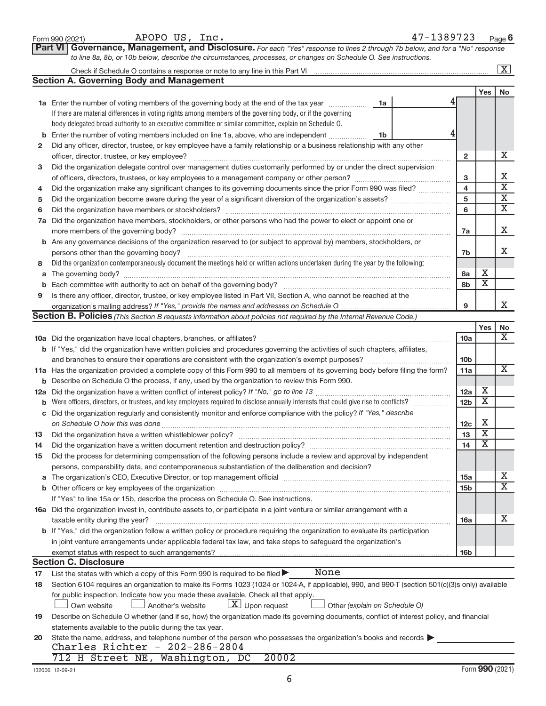|              | APOPO US, Inc.<br>Form 990 (2021)                                                                                                                                                         |    | 47-1389723 |                         |                              | Page $6$                    |
|--------------|-------------------------------------------------------------------------------------------------------------------------------------------------------------------------------------------|----|------------|-------------------------|------------------------------|-----------------------------|
|              | Governance, Management, and Disclosure. For each "Yes" response to lines 2 through 7b below, and for a "No" response<br><b>Part VI</b>                                                    |    |            |                         |                              |                             |
|              | to line 8a, 8b, or 10b below, describe the circumstances, processes, or changes on Schedule O. See instructions.                                                                          |    |            |                         |                              |                             |
|              |                                                                                                                                                                                           |    |            |                         |                              | $\boxed{\text{X}}$          |
|              | <b>Section A. Governing Body and Management</b>                                                                                                                                           |    |            |                         |                              |                             |
|              |                                                                                                                                                                                           |    |            |                         | <b>Yes</b>                   | No                          |
|              | 1a Enter the number of voting members of the governing body at the end of the tax year                                                                                                    | 1a |            |                         |                              |                             |
|              | If there are material differences in voting rights among members of the governing body, or if the governing                                                                               |    |            |                         |                              |                             |
|              | body delegated broad authority to an executive committee or similar committee, explain on Schedule O.                                                                                     |    |            |                         |                              |                             |
|              |                                                                                                                                                                                           | 1b |            |                         |                              |                             |
| $\mathbf{2}$ | Did any officer, director, trustee, or key employee have a family relationship or a business relationship with any other                                                                  |    |            |                         |                              |                             |
|              |                                                                                                                                                                                           |    |            | $\mathbf{2}$            |                              | X                           |
| 3            | Did the organization delegate control over management duties customarily performed by or under the direct supervision                                                                     |    |            |                         |                              |                             |
|              |                                                                                                                                                                                           |    |            | 3                       |                              | х<br>$\overline{\text{x}}$  |
| 4            | Did the organization make any significant changes to its governing documents since the prior Form 990 was filed?                                                                          |    |            | $\overline{\mathbf{4}}$ |                              | $\overline{\textbf{x}}$     |
| 5            |                                                                                                                                                                                           |    |            | 5                       |                              | $\overline{\textbf{x}}$     |
| 6            |                                                                                                                                                                                           |    |            | 6                       |                              |                             |
|              | 7a Did the organization have members, stockholders, or other persons who had the power to elect or appoint one or                                                                         |    |            |                         |                              | x                           |
|              | <b>b</b> Are any governance decisions of the organization reserved to (or subject to approval by) members, stockholders, or                                                               |    |            | 7a                      |                              |                             |
|              | persons other than the governing body?                                                                                                                                                    |    |            | 7b                      |                              | X                           |
| 8            | Did the organization contemporaneously document the meetings held or written actions undertaken during the year by the following:                                                         |    |            |                         |                              |                             |
|              |                                                                                                                                                                                           |    |            | 8a                      | х                            |                             |
|              | <b>b</b> Each committee with authority to act on behalf of the governing body?                                                                                                            |    |            | 8b                      | $\overline{\mathbf{X}}$      |                             |
| 9            | Is there any officer, director, trustee, or key employee listed in Part VII, Section A, who cannot be reached at the                                                                      |    |            |                         |                              |                             |
|              |                                                                                                                                                                                           |    |            | 9                       |                              | X                           |
|              | Section B. Policies (This Section B requests information about policies not required by the Internal Revenue Code.)                                                                       |    |            |                         |                              |                             |
|              |                                                                                                                                                                                           |    |            |                         | Yes                          | No                          |
|              |                                                                                                                                                                                           |    |            | 10a                     |                              | X                           |
|              | b If "Yes," did the organization have written policies and procedures governing the activities of such chapters, affiliates,                                                              |    |            |                         |                              |                             |
|              | and branches to ensure their operations are consistent with the organization's exempt purposes?                                                                                           |    |            | 10 <sub>b</sub>         |                              |                             |
|              | 11a Has the organization provided a complete copy of this Form 990 to all members of its governing body before filing the form?                                                           |    |            | 11a                     |                              | $\overline{\text{X}}$       |
|              | <b>b</b> Describe on Schedule O the process, if any, used by the organization to review this Form 990.                                                                                    |    |            |                         |                              |                             |
|              |                                                                                                                                                                                           |    |            | 12a                     | х<br>$\overline{\textbf{x}}$ |                             |
|              | <b>b</b> Were officers, directors, or trustees, and key employees required to disclose annually interests that could give rise to conflicts?                                              |    |            | 12 <sub>b</sub>         |                              |                             |
|              | c Did the organization regularly and consistently monitor and enforce compliance with the policy? If "Yes," describe                                                                      |    |            | 12c                     | х                            |                             |
| 13           | Did the organization have a written whistleblower policy?                                                                                                                                 |    |            | 13                      | $\overline{\textbf{x}}$      |                             |
| 14           |                                                                                                                                                                                           |    |            | 14                      | х                            |                             |
| 15           | Did the process for determining compensation of the following persons include a review and approval by independent                                                                        |    |            |                         |                              |                             |
|              | persons, comparability data, and contemporaneous substantiation of the deliberation and decision?                                                                                         |    |            |                         |                              |                             |
|              |                                                                                                                                                                                           |    |            | 15a                     |                              | х                           |
|              |                                                                                                                                                                                           |    |            | 15 <sub>b</sub>         |                              | $\overline{\textnormal{x}}$ |
|              | If "Yes" to line 15a or 15b, describe the process on Schedule O. See instructions.                                                                                                        |    |            |                         |                              |                             |
|              | 16a Did the organization invest in, contribute assets to, or participate in a joint venture or similar arrangement with a                                                                 |    |            |                         |                              |                             |
|              | taxable entity during the year?                                                                                                                                                           |    |            | 16a                     |                              | х                           |
|              | b If "Yes," did the organization follow a written policy or procedure requiring the organization to evaluate its participation                                                            |    |            |                         |                              |                             |
|              | in joint venture arrangements under applicable federal tax law, and take steps to safeguard the organization's                                                                            |    |            |                         |                              |                             |
|              | exempt status with respect to such arrangements?                                                                                                                                          |    |            | 16b                     |                              |                             |
|              | <b>Section C. Disclosure</b>                                                                                                                                                              |    |            |                         |                              |                             |
| 17           | None<br>List the states with which a copy of this Form 990 is required to be filed $\blacktriangleright$                                                                                  |    |            |                         |                              |                             |
| 18           | Section 6104 requires an organization to make its Forms 1023 (1024 or 1024-A, if applicable), 990, and 990-T (section 501(c)(3)s only) available                                          |    |            |                         |                              |                             |
|              | for public inspection. Indicate how you made these available. Check all that apply.<br>$\lfloor x \rfloor$ Upon request<br>Another's website                                              |    |            |                         |                              |                             |
|              | Other (explain on Schedule O)<br>Own website<br>Describe on Schedule O whether (and if so, how) the organization made its governing documents, conflict of interest policy, and financial |    |            |                         |                              |                             |
| 19           | statements available to the public during the tax year.                                                                                                                                   |    |            |                         |                              |                             |
| 20           | State the name, address, and telephone number of the person who possesses the organization's books and records                                                                            |    |            |                         |                              |                             |
|              | Charles Richter - $202-286-2804$                                                                                                                                                          |    |            |                         |                              |                             |
|              | 20002<br>712 H Street NE, Washington, DC                                                                                                                                                  |    |            |                         |                              |                             |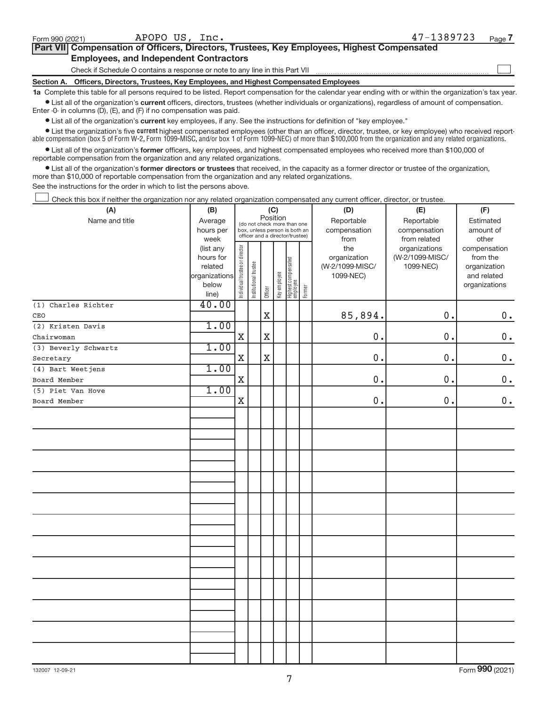| Section A.                                    | Officers, Directors, Trustees, Key Employees, and Highest Compensated Employees            |            |        |  |  |  |  |
|-----------------------------------------------|--------------------------------------------------------------------------------------------|------------|--------|--|--|--|--|
|                                               | Check if Schedule O contains a response or note to any line in this Part VII               |            |        |  |  |  |  |
| <b>Employees, and Independent Contractors</b> |                                                                                            |            |        |  |  |  |  |
|                                               | Part VII Compensation of Officers, Directors, Trustees, Key Employees, Highest Compensated |            |        |  |  |  |  |
| Form 990 (2021)                               | APOPO US, Inc.                                                                             | 47-1389723 | Page 7 |  |  |  |  |

**1a**  Complete this table for all persons required to be listed. Report compensation for the calendar year ending with or within the organization's tax year.  $\bullet$  List all of the organization's current officers, directors, trustees (whether individuals or organizations), regardless of amount of compensation.

Enter -0- in columns (D), (E), and (F) if no compensation was paid.

**•** List all of the organization's **current** key employees, if any. See the instructions for definition of "key employee."

**Examber 1** List the organization's five *current* highest compensated employees (other than an officer, director, trustee, or key employee) who received reportable compensation (box 5 of Form W-2, Form 1099-MISC, and/or box 1 of Form 1099-NEC) of more than \$100,000 from the organization and any related organizations.

 $\bullet$  List all of the organization's former officers, key employees, and highest compensated employees who received more than \$100,000 of reportable compensation from the organization and any related organizations.

**•** List all of the organization's former directors or trustees that received, in the capacity as a former director or trustee of the organization, more than \$10,000 of reportable compensation from the organization and any related organizations.

See the instructions for the order in which to list the persons above.

Check this box if neither the organization nor any related organization compensated any current officer, director, or trustee.  $\overline{\phantom{a}}$ 

| (A)                  | (B)           |                                |                       |             | (C)          |                                   |        | (D)             | (E)             | (F)           |
|----------------------|---------------|--------------------------------|-----------------------|-------------|--------------|-----------------------------------|--------|-----------------|-----------------|---------------|
| Name and title       | Average       |                                |                       | Position    |              | (do not check more than one       |        | Reportable      | Reportable      | Estimated     |
|                      | hours per     |                                |                       |             |              | box, unless person is both an     |        | compensation    | compensation    | amount of     |
|                      | week          |                                |                       |             |              | officer and a director/trustee)   |        | from            | from related    | other         |
|                      | (list any     |                                |                       |             |              |                                   |        | the             | organizations   | compensation  |
|                      | hours for     |                                |                       |             |              |                                   |        | organization    | (W-2/1099-MISC/ | from the      |
|                      | related       |                                |                       |             |              |                                   |        | (W-2/1099-MISC/ | 1099-NEC)       | organization  |
|                      | organizations |                                |                       |             |              |                                   |        | 1099-NEC)       |                 | and related   |
|                      | below         | Individual trustee or director | Institutional trustee |             | Key employee |                                   | Former |                 |                 | organizations |
|                      | line)         |                                |                       | Officer     |              | Highest compensated<br>  employee |        |                 |                 |               |
| (1) Charles Richter  | 40.00         |                                |                       |             |              |                                   |        |                 |                 |               |
| CEO                  |               |                                |                       | $\mathbf X$ |              |                                   |        | 85,894.         | 0.              | $0$ .         |
| (2) Kristen Davis    | 1.00          |                                |                       |             |              |                                   |        |                 |                 |               |
| Chairwoman           |               | $\mathbf X$                    |                       | $\mathbf X$ |              |                                   |        | 0.              | 0.              | $\mathbf 0$ . |
| (3) Beverly Schwartz | 1.00          |                                |                       |             |              |                                   |        |                 |                 |               |
| Secretary            |               | $\mathbf X$                    |                       | $\mathbf X$ |              |                                   |        | 0.              | 0.              | $\mathbf 0$ . |
| (4) Bart Weetjens    | 1.00          |                                |                       |             |              |                                   |        |                 |                 |               |
| Board Member         |               | $\mathbf X$                    |                       |             |              |                                   |        | 0.              | $0$ .           | $0$ .         |
| (5) Piet Van Hove    | 1.00          |                                |                       |             |              |                                   |        |                 |                 |               |
| Board Member         |               | X                              |                       |             |              |                                   |        | 0.              | 0.              | $\mathbf 0$ . |
|                      |               |                                |                       |             |              |                                   |        |                 |                 |               |
|                      |               |                                |                       |             |              |                                   |        |                 |                 |               |
|                      |               |                                |                       |             |              |                                   |        |                 |                 |               |
|                      |               |                                |                       |             |              |                                   |        |                 |                 |               |
|                      |               |                                |                       |             |              |                                   |        |                 |                 |               |
|                      |               |                                |                       |             |              |                                   |        |                 |                 |               |
|                      |               |                                |                       |             |              |                                   |        |                 |                 |               |
|                      |               |                                |                       |             |              |                                   |        |                 |                 |               |
|                      |               |                                |                       |             |              |                                   |        |                 |                 |               |
|                      |               |                                |                       |             |              |                                   |        |                 |                 |               |
|                      |               |                                |                       |             |              |                                   |        |                 |                 |               |
|                      |               |                                |                       |             |              |                                   |        |                 |                 |               |
|                      |               |                                |                       |             |              |                                   |        |                 |                 |               |
|                      |               |                                |                       |             |              |                                   |        |                 |                 |               |
|                      |               |                                |                       |             |              |                                   |        |                 |                 |               |
|                      |               |                                |                       |             |              |                                   |        |                 |                 |               |
|                      |               |                                |                       |             |              |                                   |        |                 |                 |               |
|                      |               |                                |                       |             |              |                                   |        |                 |                 |               |
|                      |               |                                |                       |             |              |                                   |        |                 |                 |               |
|                      |               |                                |                       |             |              |                                   |        |                 |                 |               |
|                      |               |                                |                       |             |              |                                   |        |                 |                 |               |
|                      |               |                                |                       |             |              |                                   |        |                 |                 |               |
|                      |               |                                |                       |             |              |                                   |        |                 |                 |               |
|                      |               |                                |                       |             |              |                                   |        |                 |                 |               |

Form (2021) **990**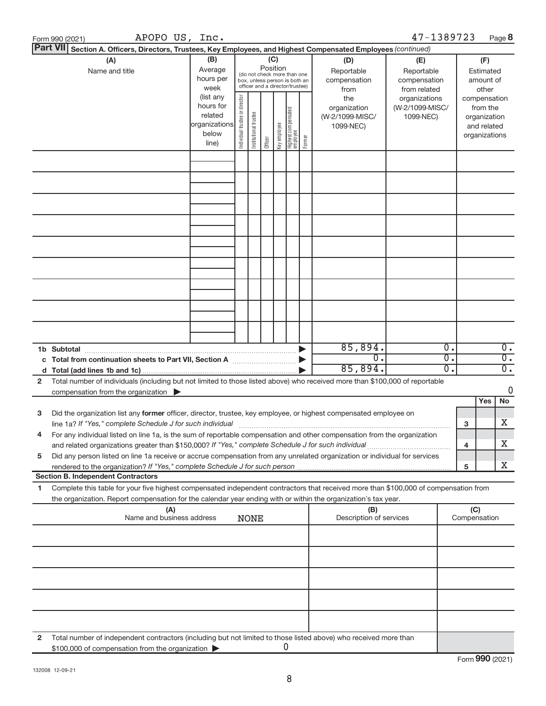|    | APOPO US, Inc.<br>Form 990 (2021)                                                                                                                                                                                              |                   |                                |                       |          |              |                                                                  |        |                         | 47-1389723                       |              |                          | Page 8           |
|----|--------------------------------------------------------------------------------------------------------------------------------------------------------------------------------------------------------------------------------|-------------------|--------------------------------|-----------------------|----------|--------------|------------------------------------------------------------------|--------|-------------------------|----------------------------------|--------------|--------------------------|------------------|
|    | <b>Part VII</b><br>Section A. Officers, Directors, Trustees, Key Employees, and Highest Compensated Employees (continued)                                                                                                      |                   |                                |                       |          |              |                                                                  |        |                         |                                  |              |                          |                  |
|    | (A)                                                                                                                                                                                                                            | (B)               |                                |                       | (C)      |              |                                                                  |        | (D)                     | (E)                              |              | (F)                      |                  |
|    | Name and title                                                                                                                                                                                                                 | Average           |                                |                       | Position |              | (do not check more than one                                      |        | Reportable              | Reportable                       |              | Estimated                |                  |
|    |                                                                                                                                                                                                                                | hours per         |                                |                       |          |              | box, unless person is both an<br>officer and a director/trustee) |        | compensation            | compensation                     |              | amount of                |                  |
|    |                                                                                                                                                                                                                                | week<br>(list any |                                |                       |          |              |                                                                  |        | from<br>the             | from related                     |              | other                    |                  |
|    |                                                                                                                                                                                                                                | hours for         | Individual trustee or director |                       |          |              |                                                                  |        | organization            | organizations<br>(W-2/1099-MISC/ |              | compensation<br>from the |                  |
|    |                                                                                                                                                                                                                                | related           |                                |                       |          |              |                                                                  |        | (W-2/1099-MISC/         | 1099-NEC)                        |              | organization             |                  |
|    |                                                                                                                                                                                                                                | organizations     |                                |                       |          |              |                                                                  |        | 1099-NEC)               |                                  |              | and related              |                  |
|    |                                                                                                                                                                                                                                | below             |                                | Institutional trustee |          | Key employee | Highest compensated<br>  employee                                | Former |                         |                                  |              | organizations            |                  |
|    |                                                                                                                                                                                                                                | line)             |                                |                       | Officer  |              |                                                                  |        |                         |                                  |              |                          |                  |
|    |                                                                                                                                                                                                                                |                   |                                |                       |          |              |                                                                  |        |                         |                                  |              |                          |                  |
|    |                                                                                                                                                                                                                                |                   |                                |                       |          |              |                                                                  |        |                         |                                  |              |                          |                  |
|    |                                                                                                                                                                                                                                |                   |                                |                       |          |              |                                                                  |        |                         |                                  |              |                          |                  |
|    |                                                                                                                                                                                                                                |                   |                                |                       |          |              |                                                                  |        |                         |                                  |              |                          |                  |
|    |                                                                                                                                                                                                                                |                   |                                |                       |          |              |                                                                  |        |                         |                                  |              |                          |                  |
|    |                                                                                                                                                                                                                                |                   |                                |                       |          |              |                                                                  |        |                         |                                  |              |                          |                  |
|    |                                                                                                                                                                                                                                |                   |                                |                       |          |              |                                                                  |        |                         |                                  |              |                          |                  |
|    |                                                                                                                                                                                                                                |                   |                                |                       |          |              |                                                                  |        |                         |                                  |              |                          |                  |
|    |                                                                                                                                                                                                                                |                   |                                |                       |          |              |                                                                  |        |                         |                                  |              |                          |                  |
|    |                                                                                                                                                                                                                                |                   |                                |                       |          |              |                                                                  |        |                         |                                  |              |                          |                  |
|    |                                                                                                                                                                                                                                |                   |                                |                       |          |              |                                                                  |        |                         |                                  |              |                          |                  |
|    |                                                                                                                                                                                                                                |                   |                                |                       |          |              |                                                                  |        |                         |                                  |              |                          |                  |
|    |                                                                                                                                                                                                                                |                   |                                |                       |          |              |                                                                  |        |                         |                                  |              |                          |                  |
|    |                                                                                                                                                                                                                                |                   |                                |                       |          |              |                                                                  |        |                         |                                  |              |                          |                  |
|    |                                                                                                                                                                                                                                |                   |                                |                       |          |              |                                                                  |        |                         |                                  |              |                          |                  |
|    |                                                                                                                                                                                                                                |                   |                                |                       |          |              |                                                                  |        |                         |                                  |              |                          |                  |
|    |                                                                                                                                                                                                                                |                   |                                |                       |          |              |                                                                  |        |                         |                                  |              |                          |                  |
|    | 1b Subtotal                                                                                                                                                                                                                    |                   |                                |                       |          |              |                                                                  |        | 85,894.                 | $\overline{0}$ .                 |              |                          | $\overline{0}$ . |
|    | c Total from continuation sheets to Part VII, Section A [11, 11, 11, 11]                                                                                                                                                       |                   |                                |                       |          |              |                                                                  |        | $\overline{0}$ .        | $0$ .                            |              |                          | $\overline{0}$ . |
|    |                                                                                                                                                                                                                                |                   |                                |                       |          |              |                                                                  |        | 85,894.                 | $\overline{0}$ .                 |              |                          | $\overline{0}$ . |
| 2  | Total number of individuals (including but not limited to those listed above) who received more than \$100,000 of reportable                                                                                                   |                   |                                |                       |          |              |                                                                  |        |                         |                                  |              |                          |                  |
|    | compensation from the organization $\blacktriangleright$                                                                                                                                                                       |                   |                                |                       |          |              |                                                                  |        |                         |                                  |              |                          | $\mathbf 0$      |
|    |                                                                                                                                                                                                                                |                   |                                |                       |          |              |                                                                  |        |                         |                                  |              | Yes                      | No               |
| 3  | Did the organization list any former officer, director, trustee, key employee, or highest compensated employee on                                                                                                              |                   |                                |                       |          |              |                                                                  |        |                         |                                  |              |                          |                  |
|    | line 1a? If "Yes," complete Schedule J for such individual manufacture content to the set of the set of the such that the set of the set of the set of the set of the set of the set of the set of the set of the set of the s |                   |                                |                       |          |              |                                                                  |        |                         |                                  | 3            |                          | X                |
|    | For any individual listed on line 1a, is the sum of reportable compensation and other compensation from the organization                                                                                                       |                   |                                |                       |          |              |                                                                  |        |                         |                                  |              |                          |                  |
|    | and related organizations greater than \$150,000? If "Yes," complete Schedule J for such individual                                                                                                                            |                   |                                |                       |          |              |                                                                  |        |                         |                                  | 4            |                          | х                |
| 5  | Did any person listed on line 1a receive or accrue compensation from any unrelated organization or individual for services                                                                                                     |                   |                                |                       |          |              |                                                                  |        |                         |                                  |              |                          |                  |
|    |                                                                                                                                                                                                                                |                   |                                |                       |          |              |                                                                  |        |                         |                                  | 5            |                          | x                |
|    | <b>Section B. Independent Contractors</b>                                                                                                                                                                                      |                   |                                |                       |          |              |                                                                  |        |                         |                                  |              |                          |                  |
| 1. | Complete this table for your five highest compensated independent contractors that received more than \$100,000 of compensation from                                                                                           |                   |                                |                       |          |              |                                                                  |        |                         |                                  |              |                          |                  |
|    | the organization. Report compensation for the calendar year ending with or within the organization's tax year.                                                                                                                 |                   |                                |                       |          |              |                                                                  |        | (B)                     |                                  | (C)          |                          |                  |
|    | (A)<br>Name and business address                                                                                                                                                                                               |                   |                                | <b>NONE</b>           |          |              |                                                                  |        | Description of services |                                  | Compensation |                          |                  |
|    |                                                                                                                                                                                                                                |                   |                                |                       |          |              |                                                                  |        |                         |                                  |              |                          |                  |
|    |                                                                                                                                                                                                                                |                   |                                |                       |          |              |                                                                  |        |                         |                                  |              |                          |                  |
|    |                                                                                                                                                                                                                                |                   |                                |                       |          |              |                                                                  |        |                         |                                  |              |                          |                  |
|    |                                                                                                                                                                                                                                |                   |                                |                       |          |              |                                                                  |        |                         |                                  |              |                          |                  |
|    |                                                                                                                                                                                                                                |                   |                                |                       |          |              |                                                                  |        |                         |                                  |              |                          |                  |
|    |                                                                                                                                                                                                                                |                   |                                |                       |          |              |                                                                  |        |                         |                                  |              |                          |                  |
|    |                                                                                                                                                                                                                                |                   |                                |                       |          |              |                                                                  |        |                         |                                  |              |                          |                  |
|    |                                                                                                                                                                                                                                |                   |                                |                       |          |              |                                                                  |        |                         |                                  |              |                          |                  |
|    |                                                                                                                                                                                                                                |                   |                                |                       |          |              |                                                                  |        |                         |                                  |              |                          |                  |
|    |                                                                                                                                                                                                                                |                   |                                |                       |          |              |                                                                  |        |                         |                                  |              |                          |                  |
| 2  | Total number of independent contractors (including but not limited to those listed above) who received more than                                                                                                               |                   |                                |                       |          |              |                                                                  |        |                         |                                  |              |                          |                  |
|    | \$100,000 of compensation from the organization                                                                                                                                                                                |                   |                                |                       |          |              | 0                                                                |        |                         |                                  |              |                          |                  |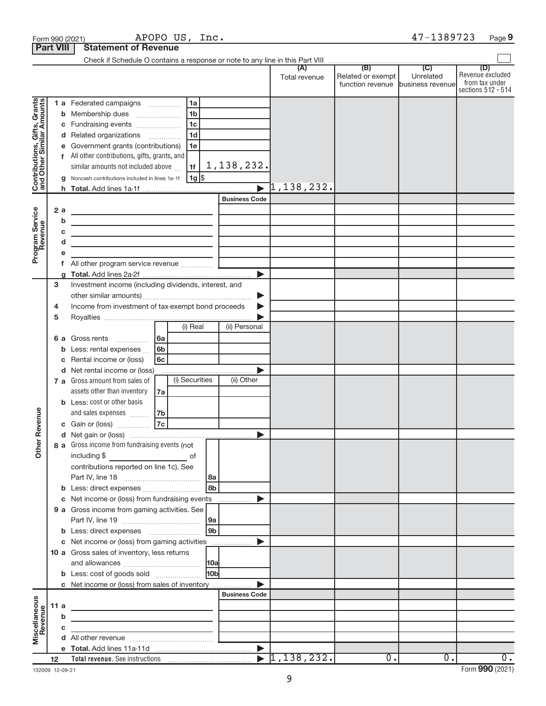|                                                           | Form 990 (2021)  |                                                                                                                      | APOPO US, Inc. |                 |                      |                                  |                                                               | 47-1389723                  | Page 9                                                          |
|-----------------------------------------------------------|------------------|----------------------------------------------------------------------------------------------------------------------|----------------|-----------------|----------------------|----------------------------------|---------------------------------------------------------------|-----------------------------|-----------------------------------------------------------------|
|                                                           | <b>Part VIII</b> | <b>Statement of Revenue</b>                                                                                          |                |                 |                      |                                  |                                                               |                             |                                                                 |
|                                                           |                  |                                                                                                                      |                |                 |                      |                                  |                                                               |                             |                                                                 |
|                                                           |                  |                                                                                                                      |                |                 |                      | (A)<br>Total revenue             | (B)<br>Related or exempt<br>function revenue business revenue | $\overline{C}$<br>Unrelated | (D)<br>Revenue excluded<br>from tax under<br>sections 512 - 514 |
|                                                           |                  | 1 a Federated campaigns                                                                                              |                | 1a              |                      |                                  |                                                               |                             |                                                                 |
| Contributions, Gifts, Grants<br>and Other Similar Amounts |                  | <b>b</b> Membership dues                                                                                             |                | 1 <sub>b</sub>  |                      |                                  |                                                               |                             |                                                                 |
|                                                           |                  | c Fundraising events                                                                                                 |                | 1 <sub>c</sub>  |                      |                                  |                                                               |                             |                                                                 |
|                                                           |                  | d Related organizations                                                                                              |                | 1 <sub>d</sub>  |                      |                                  |                                                               |                             |                                                                 |
|                                                           | е                | Government grants (contributions)                                                                                    |                | 1e              |                      |                                  |                                                               |                             |                                                                 |
|                                                           |                  | f All other contributions, gifts, grants, and                                                                        |                |                 |                      |                                  |                                                               |                             |                                                                 |
|                                                           |                  | similar amounts not included above                                                                                   |                | 1f              | 1,138,232.           |                                  |                                                               |                             |                                                                 |
|                                                           |                  | g Noncash contributions included in lines 1a-1f                                                                      |                | 1g              |                      |                                  |                                                               |                             |                                                                 |
|                                                           |                  |                                                                                                                      |                |                 |                      | $\blacktriangleright$ 1,138,232. |                                                               |                             |                                                                 |
|                                                           |                  |                                                                                                                      |                |                 | <b>Business Code</b> |                                  |                                                               |                             |                                                                 |
|                                                           | 2a               | the control of the control of the control of the control of the control of                                           |                |                 |                      |                                  |                                                               |                             |                                                                 |
|                                                           | b                | <u> 1989 - Johann Barn, mars eta bainar eta bainar eta baina eta baina eta baina eta baina eta baina eta baina e</u> |                |                 |                      |                                  |                                                               |                             |                                                                 |
|                                                           | c                | the control of the control of the control of the control of the control of                                           |                |                 |                      |                                  |                                                               |                             |                                                                 |
| Program Service                                           | d                | the control of the control of the control of the control of the control of                                           |                |                 |                      |                                  |                                                               |                             |                                                                 |
|                                                           | е                |                                                                                                                      |                |                 |                      |                                  |                                                               |                             |                                                                 |
|                                                           |                  |                                                                                                                      |                |                 |                      |                                  |                                                               |                             |                                                                 |
|                                                           | g                |                                                                                                                      |                |                 |                      |                                  |                                                               |                             |                                                                 |
|                                                           | 3                | Investment income (including dividends, interest, and                                                                |                |                 |                      |                                  |                                                               |                             |                                                                 |
|                                                           |                  |                                                                                                                      |                |                 | ▶                    |                                  |                                                               |                             |                                                                 |
|                                                           | 4                | Income from investment of tax-exempt bond proceeds                                                                   |                |                 |                      |                                  |                                                               |                             |                                                                 |
|                                                           | 5                |                                                                                                                      |                | (i) Real        | (ii) Personal        |                                  |                                                               |                             |                                                                 |
|                                                           |                  |                                                                                                                      |                |                 |                      |                                  |                                                               |                             |                                                                 |
|                                                           |                  | 6 a Gross rents                                                                                                      | 6a<br>6b       |                 |                      |                                  |                                                               |                             |                                                                 |
|                                                           | b                | Less: rental expenses                                                                                                | 6c             |                 |                      |                                  |                                                               |                             |                                                                 |
|                                                           | c                | Rental income or (loss)<br>d Net rental income or (loss)                                                             |                |                 |                      |                                  |                                                               |                             |                                                                 |
|                                                           |                  | 7 a Gross amount from sales of                                                                                       |                | (i) Securities  | (ii) Other           |                                  |                                                               |                             |                                                                 |
|                                                           |                  | assets other than inventory                                                                                          | 7a             |                 |                      |                                  |                                                               |                             |                                                                 |
|                                                           |                  | <b>b</b> Less: cost or other basis                                                                                   |                |                 |                      |                                  |                                                               |                             |                                                                 |
|                                                           |                  | and sales expenses                                                                                                   | 7b             |                 |                      |                                  |                                                               |                             |                                                                 |
| evenue                                                    |                  | c Gain or (loss)                                                                                                     | 7c             |                 |                      |                                  |                                                               |                             |                                                                 |
|                                                           |                  |                                                                                                                      |                |                 |                      |                                  |                                                               |                             |                                                                 |
| Other <sub>R</sub>                                        |                  | 8 a Gross income from fundraising events (not                                                                        |                |                 |                      |                                  |                                                               |                             |                                                                 |
|                                                           |                  | including \$                                                                                                         |                | of              |                      |                                  |                                                               |                             |                                                                 |
|                                                           |                  | contributions reported on line 1c). See                                                                              |                |                 |                      |                                  |                                                               |                             |                                                                 |
|                                                           |                  |                                                                                                                      |                |                 |                      |                                  |                                                               |                             |                                                                 |
|                                                           |                  |                                                                                                                      |                | 8b              |                      |                                  |                                                               |                             |                                                                 |
|                                                           |                  | c Net income or (loss) from fundraising events                                                                       |                |                 |                      |                                  |                                                               |                             |                                                                 |
|                                                           |                  | 9 a Gross income from gaming activities. See                                                                         |                |                 |                      |                                  |                                                               |                             |                                                                 |
|                                                           |                  |                                                                                                                      |                |                 |                      |                                  |                                                               |                             |                                                                 |
|                                                           |                  |                                                                                                                      |                | 9 <sub>b</sub>  |                      |                                  |                                                               |                             |                                                                 |
|                                                           |                  | c Net income or (loss) from gaming activities                                                                        |                |                 |                      |                                  |                                                               |                             |                                                                 |
|                                                           |                  | 10 a Gross sales of inventory, less returns                                                                          |                |                 |                      |                                  |                                                               |                             |                                                                 |
|                                                           |                  |                                                                                                                      |                |                 |                      |                                  |                                                               |                             |                                                                 |
|                                                           |                  | <b>b</b> Less: cost of goods sold                                                                                    |                | 10 <sub>b</sub> |                      |                                  |                                                               |                             |                                                                 |
|                                                           |                  | c Net income or (loss) from sales of inventory                                                                       |                |                 |                      |                                  |                                                               |                             |                                                                 |
|                                                           |                  |                                                                                                                      |                |                 | <b>Business Code</b> |                                  |                                                               |                             |                                                                 |
| Miscellaneous<br>Revenue                                  | 11 a<br>b        | the control of the control of the control of the control of the control of                                           |                |                 |                      |                                  |                                                               |                             |                                                                 |
|                                                           | c                |                                                                                                                      |                |                 |                      |                                  |                                                               |                             |                                                                 |
|                                                           |                  |                                                                                                                      |                |                 |                      |                                  |                                                               |                             |                                                                 |
|                                                           |                  |                                                                                                                      |                |                 |                      |                                  |                                                               |                             |                                                                 |
|                                                           | 12 <sup>2</sup>  |                                                                                                                      |                |                 |                      | $\blacktriangleright$ 1,138,232. | $\overline{0}$ .                                              | $\overline{0}$ .            | $0$ .                                                           |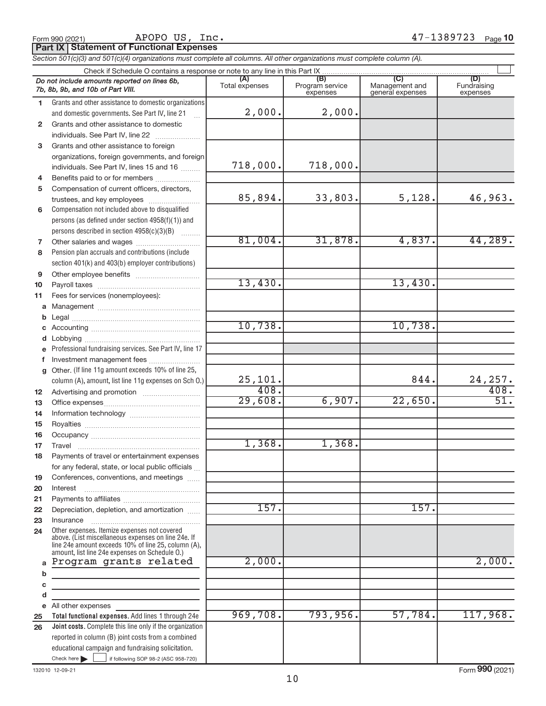**Part IX Statement of Functional Expenses** APOPO US, Inc.

*Section 501(c)(3) and 501(c)(4) organizations must complete all columns. All other organizations must complete column (A).*

|                 | Check if Schedule O contains a response or note to any line in this Part IX                                                                                                                                  |                       |                                    |                                           |                                |
|-----------------|--------------------------------------------------------------------------------------------------------------------------------------------------------------------------------------------------------------|-----------------------|------------------------------------|-------------------------------------------|--------------------------------|
|                 | Do not include amounts reported on lines 6b,<br>7b, 8b, 9b, and 10b of Part VIII.                                                                                                                            | (A)<br>Total expenses | (B)<br>Program service<br>expenses | (C)<br>Management and<br>general expenses | (D)<br>Fundraising<br>expenses |
| 1.              | Grants and other assistance to domestic organizations                                                                                                                                                        |                       |                                    |                                           |                                |
|                 | and domestic governments. See Part IV, line 21                                                                                                                                                               | 2,000.                | 2,000.                             |                                           |                                |
| $\mathbf{2}$    | Grants and other assistance to domestic                                                                                                                                                                      |                       |                                    |                                           |                                |
|                 | individuals. See Part IV, line 22                                                                                                                                                                            |                       |                                    |                                           |                                |
| 3               | Grants and other assistance to foreign                                                                                                                                                                       |                       |                                    |                                           |                                |
|                 | organizations, foreign governments, and foreign                                                                                                                                                              |                       |                                    |                                           |                                |
|                 | individuals. See Part IV, lines 15 and 16                                                                                                                                                                    | 718,000.              | 718,000.                           |                                           |                                |
| 4               | Benefits paid to or for members                                                                                                                                                                              |                       |                                    |                                           |                                |
| 5               | Compensation of current officers, directors,                                                                                                                                                                 |                       |                                    |                                           |                                |
|                 | trustees, and key employees                                                                                                                                                                                  | 85,894.               | 33,803.                            | 5,128.                                    | 46,963.                        |
| 6               | Compensation not included above to disqualified                                                                                                                                                              |                       |                                    |                                           |                                |
|                 | persons (as defined under section 4958(f)(1)) and                                                                                                                                                            |                       |                                    |                                           |                                |
|                 | persons described in section 4958(c)(3)(B)                                                                                                                                                                   |                       |                                    |                                           |                                |
| 7               |                                                                                                                                                                                                              | 81,004.               | 31,878.                            | 4,837.                                    | 44,289.                        |
| 8               | Pension plan accruals and contributions (include                                                                                                                                                             |                       |                                    |                                           |                                |
|                 | section 401(k) and 403(b) employer contributions)                                                                                                                                                            |                       |                                    |                                           |                                |
| 9               |                                                                                                                                                                                                              |                       |                                    |                                           |                                |
| 10              |                                                                                                                                                                                                              | 13,430.               |                                    | 13,430.                                   |                                |
| 11              | Fees for services (nonemployees):                                                                                                                                                                            |                       |                                    |                                           |                                |
| a               |                                                                                                                                                                                                              |                       |                                    |                                           |                                |
| b               |                                                                                                                                                                                                              |                       |                                    |                                           |                                |
| c               |                                                                                                                                                                                                              | 10,738.               |                                    | 10,738.                                   |                                |
| d               |                                                                                                                                                                                                              |                       |                                    |                                           |                                |
| e               | Professional fundraising services. See Part IV, line 17                                                                                                                                                      |                       |                                    |                                           |                                |
| f               | Investment management fees                                                                                                                                                                                   |                       |                                    |                                           |                                |
| $\mathbf{q}$    | Other. (If line 11g amount exceeds 10% of line 25,                                                                                                                                                           | 25,101.               |                                    | 844.                                      | 24, 257.                       |
|                 | column (A), amount, list line 11g expenses on Sch O.)                                                                                                                                                        | 408.                  |                                    |                                           | 408.                           |
| 12 <sup>2</sup> |                                                                                                                                                                                                              | 29,608.               | 6,907.                             | 22,650.                                   |                                |
| 13              |                                                                                                                                                                                                              |                       |                                    |                                           |                                |
| 14              |                                                                                                                                                                                                              |                       |                                    |                                           |                                |
| 15              |                                                                                                                                                                                                              |                       |                                    |                                           |                                |
| 16<br>17        |                                                                                                                                                                                                              | 1,368.                | 1,368.                             |                                           |                                |
| 18              | Payments of travel or entertainment expenses                                                                                                                                                                 |                       |                                    |                                           |                                |
|                 | for any federal, state, or local public officials                                                                                                                                                            |                       |                                    |                                           |                                |
| 19              | Conferences, conventions, and meetings                                                                                                                                                                       |                       |                                    |                                           |                                |
| 20              | Interest                                                                                                                                                                                                     |                       |                                    |                                           |                                |
| 21              |                                                                                                                                                                                                              |                       |                                    |                                           |                                |
| 22              | Depreciation, depletion, and amortization                                                                                                                                                                    | 157.                  |                                    | 157.                                      |                                |
| 23              | Insurance                                                                                                                                                                                                    |                       |                                    |                                           |                                |
| 24              | Other expenses. Itemize expenses not covered<br>above. (List miscellaneous expenses on line 24e. If<br>line 24e amount exceeds 10% of line 25, column (A),<br>amount, list line 24e expenses on Schedule O.) |                       |                                    |                                           |                                |
| a               | Program grants related                                                                                                                                                                                       | 2,000.                |                                    |                                           | 2,000.                         |
| b               | the control of the control of the control of the control of the control of                                                                                                                                   |                       |                                    |                                           |                                |
| c               |                                                                                                                                                                                                              |                       |                                    |                                           |                                |
| d               |                                                                                                                                                                                                              |                       |                                    |                                           |                                |
| e               | All other expenses                                                                                                                                                                                           |                       |                                    |                                           |                                |
| 25              | Total functional expenses. Add lines 1 through 24e                                                                                                                                                           | 969,708.              | 793,956.                           | 57,784.                                   | 117,968.                       |
| 26              | Joint costs. Complete this line only if the organization                                                                                                                                                     |                       |                                    |                                           |                                |
|                 | reported in column (B) joint costs from a combined                                                                                                                                                           |                       |                                    |                                           |                                |
|                 | educational campaign and fundraising solicitation.                                                                                                                                                           |                       |                                    |                                           |                                |
|                 | Check here $\blacktriangleright$<br>if following SOP 98-2 (ASC 958-720)                                                                                                                                      |                       |                                    |                                           | $\sim$                         |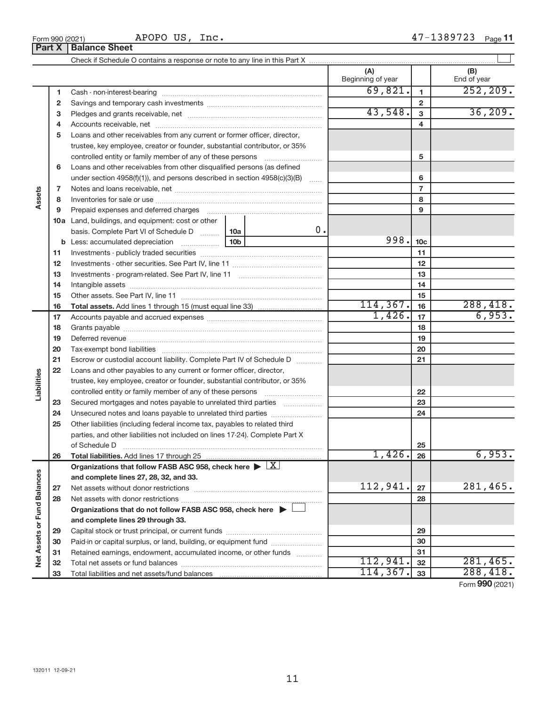APOPO US, Inc.

|                             |    |                                                                                                        |  |      |                 | (A)<br>Beginning of year |                | (B)<br>End of year |
|-----------------------------|----|--------------------------------------------------------------------------------------------------------|--|------|-----------------|--------------------------|----------------|--------------------|
|                             | 1  |                                                                                                        |  |      |                 | 69,821.                  | 1              | 252, 209.          |
|                             | 2  |                                                                                                        |  |      |                 |                          | $\overline{2}$ |                    |
|                             | з  |                                                                                                        |  |      |                 | 43,548.                  | 3              | 36,209.            |
|                             | 4  |                                                                                                        |  |      |                 |                          | 4              |                    |
|                             | 5  | Loans and other receivables from any current or former officer, director,                              |  |      |                 |                          |                |                    |
|                             |    | trustee, key employee, creator or founder, substantial contributor, or 35%                             |  |      |                 |                          |                |                    |
|                             |    | controlled entity or family member of any of these persons                                             |  |      |                 |                          | 5              |                    |
|                             | 6  | Loans and other receivables from other disqualified persons (as defined                                |  |      |                 |                          |                |                    |
|                             |    | under section 4958(f)(1)), and persons described in section 4958(c)(3)(B)                              |  |      |                 |                          | 6              |                    |
|                             | 7  |                                                                                                        |  |      |                 |                          | $\overline{7}$ |                    |
| Assets                      | 8  |                                                                                                        |  |      |                 |                          | 8              |                    |
|                             | 9  | Prepaid expenses and deferred charges                                                                  |  |      |                 |                          | 9              |                    |
|                             |    | 10a Land, buildings, and equipment: cost or other                                                      |  |      |                 |                          |                |                    |
|                             |    | basis. Complete Part VI of Schedule D  10a                                                             |  | 0.   |                 |                          |                |                    |
|                             |    |                                                                                                        |  | 998. | 10 <sub>c</sub> |                          |                |                    |
|                             | 11 |                                                                                                        |  |      | 11              |                          |                |                    |
|                             | 12 |                                                                                                        |  |      | 12              |                          |                |                    |
|                             | 13 |                                                                                                        |  |      | 13              |                          |                |                    |
|                             | 14 |                                                                                                        |  |      |                 |                          | 14             |                    |
|                             | 15 |                                                                                                        |  |      |                 |                          | 15             |                    |
|                             | 16 | <b>Total assets.</b> Add lines 1 through 15 (must equal line 33) <i></i>                               |  |      |                 | 114, 367.                | 16             | 288,418.           |
|                             | 17 |                                                                                                        |  |      |                 | 1,426.                   | 17             | 6,953.             |
|                             | 18 |                                                                                                        |  |      | 18              |                          |                |                    |
|                             | 19 |                                                                                                        |  |      | 19              |                          |                |                    |
|                             | 20 |                                                                                                        |  |      |                 |                          | 20             |                    |
|                             | 21 | Escrow or custodial account liability. Complete Part IV of Schedule D                                  |  |      |                 |                          | 21             |                    |
|                             | 22 | Loans and other payables to any current or former officer, director,                                   |  |      |                 |                          |                |                    |
| Liabilities                 |    | trustee, key employee, creator or founder, substantial contributor, or 35%                             |  |      |                 |                          |                |                    |
|                             |    | controlled entity or family member of any of these persons                                             |  |      |                 |                          | 22             |                    |
|                             | 23 | Secured mortgages and notes payable to unrelated third parties                                         |  |      |                 |                          | 23             |                    |
|                             | 24 |                                                                                                        |  |      |                 |                          | 24             |                    |
|                             | 25 | Other liabilities (including federal income tax, payables to related third                             |  |      |                 |                          |                |                    |
|                             |    | parties, and other liabilities not included on lines 17-24). Complete Part X                           |  |      |                 |                          |                |                    |
|                             |    | of Schedule D <b>contract the contract of Schedule D</b>                                               |  |      |                 |                          | 25             |                    |
|                             | 26 |                                                                                                        |  |      |                 | 1,426.                   | 26             | 6,953.             |
|                             |    | Organizations that follow FASB ASC 958, check here $\blacktriangleright \lfloor \underline{X} \rfloor$ |  |      |                 |                          |                |                    |
|                             |    | and complete lines 27, 28, 32, and 33.                                                                 |  |      |                 | 112,941.                 |                | 281,465.           |
|                             | 27 |                                                                                                        |  |      |                 |                          | 27             |                    |
|                             | 28 |                                                                                                        |  |      |                 |                          | 28             |                    |
|                             |    | Organizations that do not follow FASB ASC 958, check here ▶ L                                          |  |      |                 |                          |                |                    |
|                             |    | and complete lines 29 through 33.                                                                      |  |      |                 |                          |                |                    |
| Net Assets or Fund Balances | 29 |                                                                                                        |  |      |                 |                          | 29             |                    |
|                             | 30 | Paid-in or capital surplus, or land, building, or equipment fund                                       |  |      |                 |                          | 30<br>31       |                    |
|                             | 31 | Retained earnings, endowment, accumulated income, or other funds                                       |  |      |                 | 112,941.                 |                | 281,465.           |
|                             | 32 |                                                                                                        |  |      |                 | 114, 367.                | 32             | 288,418.           |
|                             | 33 |                                                                                                        |  |      |                 |                          | 33             |                    |

Form (2021) **990**

**Part X Balance Sheet**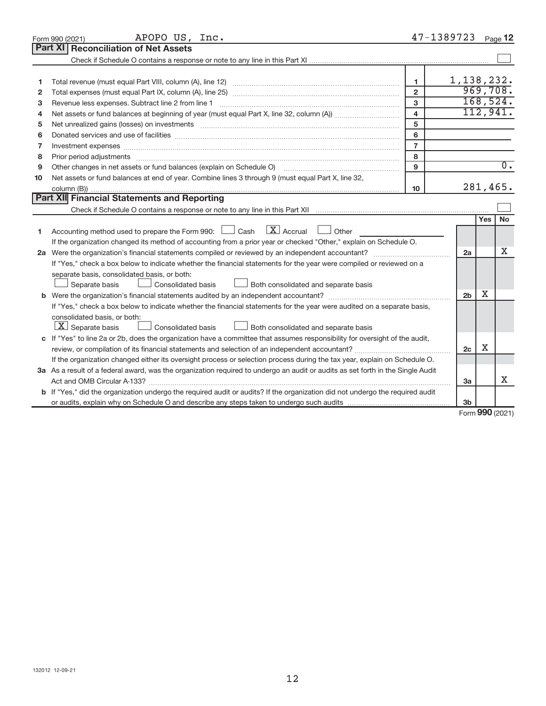|    | APOPO US, Inc.<br>Form 990 (2021)                                                                                                                                                                                              |                         | 47-1389723     |     | Page 12          |
|----|--------------------------------------------------------------------------------------------------------------------------------------------------------------------------------------------------------------------------------|-------------------------|----------------|-----|------------------|
|    | Part XI<br><b>Reconciliation of Net Assets</b>                                                                                                                                                                                 |                         |                |     |                  |
|    |                                                                                                                                                                                                                                |                         |                |     |                  |
|    |                                                                                                                                                                                                                                |                         |                |     |                  |
| 1  |                                                                                                                                                                                                                                | $\mathbf{1}$            | 1,138,232.     |     |                  |
| 2  |                                                                                                                                                                                                                                | $\overline{2}$          |                |     | 969,708.         |
| з  | Revenue less expenses. Subtract line 2 from line 1                                                                                                                                                                             | 3                       |                |     | 168,524.         |
| 4  |                                                                                                                                                                                                                                | $\overline{\mathbf{4}}$ |                |     | 112,941.         |
| 5  | Net unrealized gains (losses) on investments [11] matter in the content of the state of the state of the state of the state of the state of the state of the state of the state of the state of the state of the state of the  | 5                       |                |     |                  |
| 6  |                                                                                                                                                                                                                                | 6                       |                |     |                  |
| 7  | Investment expenses www.communication.com/www.communication.com/www.communication.com/www.com                                                                                                                                  | $\overline{7}$          |                |     |                  |
| 8  | Prior period adjustments manufactured and content and content and all the manufactured adjustments manufactured and content and content and content and content and content and content and content and content and content an | 8                       |                |     |                  |
| 9  | Other changes in net assets or fund balances (explain on Schedule O)                                                                                                                                                           | 9                       |                |     | $\overline{0}$ . |
| 10 | Net assets or fund balances at end of year. Combine lines 3 through 9 (must equal Part X, line 32,                                                                                                                             |                         |                |     |                  |
|    |                                                                                                                                                                                                                                | 10                      |                |     | 281,465.         |
|    | Part XII Financial Statements and Reporting                                                                                                                                                                                    |                         |                |     |                  |
|    |                                                                                                                                                                                                                                |                         |                |     |                  |
|    |                                                                                                                                                                                                                                |                         |                | Yes | No               |
| 1  | Accounting method used to prepare the Form 990: $\Box$ Cash $\Box$ Accrual $\Box$ Other                                                                                                                                        |                         |                |     |                  |
|    | If the organization changed its method of accounting from a prior year or checked "Other," explain on Schedule O.                                                                                                              |                         |                |     |                  |
|    |                                                                                                                                                                                                                                |                         | 2a             |     | x                |
|    | If "Yes," check a box below to indicate whether the financial statements for the year were compiled or reviewed on a                                                                                                           |                         |                |     |                  |
|    | separate basis, consolidated basis, or both:                                                                                                                                                                                   |                         |                |     |                  |
|    | Both consolidated and separate basis<br>Separate basis<br><b>Consolidated basis</b>                                                                                                                                            |                         |                |     |                  |
|    |                                                                                                                                                                                                                                |                         | 2 <sub>b</sub> | х   |                  |
|    | If "Yes," check a box below to indicate whether the financial statements for the year were audited on a separate basis,                                                                                                        |                         |                |     |                  |
|    | consolidated basis, or both:                                                                                                                                                                                                   |                         |                |     |                  |
|    | $\lfloor \underline{X} \rfloor$ Separate basis<br><b>Consolidated basis</b><br>Both consolidated and separate basis                                                                                                            |                         |                |     |                  |
|    | c If "Yes" to line 2a or 2b, does the organization have a committee that assumes responsibility for oversight of the audit,                                                                                                    |                         |                |     |                  |
|    | review, or compilation of its financial statements and selection of an independent accountant?                                                                                                                                 |                         | 2c             | х   |                  |
|    | If the organization changed either its oversight process or selection process during the tax year, explain on Schedule O.                                                                                                      |                         |                |     |                  |
|    | 3a As a result of a federal award, was the organization required to undergo an audit or audits as set forth in the Single Audit                                                                                                |                         |                |     |                  |
|    |                                                                                                                                                                                                                                |                         | 3a             |     | x                |
|    | b If "Yes," did the organization undergo the required audit or audits? If the organization did not undergo the required audit                                                                                                  |                         |                |     |                  |
|    |                                                                                                                                                                                                                                |                         | 3 <sub>b</sub> |     |                  |

Form (2021) **990**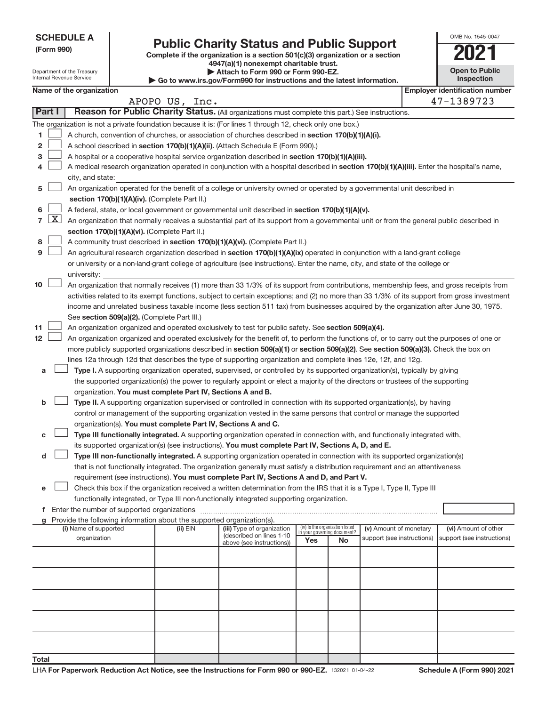| <b>SCHEDULE A</b> |
|-------------------|
|-------------------|

Department of the Treasury

**Total**

# Form 990)<br>
Complete if the organization is a section 501(c)(3) organization or a section<br> **2021**

**4947(a)(1) nonexempt charitable trust. | Attach to Form 990 or Form 990-EZ.** 

| OMB No. 1545-0047     |
|-----------------------|
|                       |
| <b>Open to Public</b> |

| Internal Revenue Service<br>Inspection<br>$\triangleright$ Go to www.irs.gov/Form990 for instructions and the latest information. |                                                                                                                                                                  |                          |  |                                                                                    |                                                                                                                                                                                                                                                    |     |                                   |                            |                                                     |
|-----------------------------------------------------------------------------------------------------------------------------------|------------------------------------------------------------------------------------------------------------------------------------------------------------------|--------------------------|--|------------------------------------------------------------------------------------|----------------------------------------------------------------------------------------------------------------------------------------------------------------------------------------------------------------------------------------------------|-----|-----------------------------------|----------------------------|-----------------------------------------------------|
|                                                                                                                                   |                                                                                                                                                                  | Name of the organization |  | APOPO US, Inc.                                                                     |                                                                                                                                                                                                                                                    |     |                                   |                            | <b>Employer identification number</b><br>47-1389723 |
|                                                                                                                                   | Part I                                                                                                                                                           |                          |  |                                                                                    | Reason for Public Charity Status. (All organizations must complete this part.) See instructions.                                                                                                                                                   |     |                                   |                            |                                                     |
|                                                                                                                                   |                                                                                                                                                                  |                          |  |                                                                                    | The organization is not a private foundation because it is: (For lines 1 through 12, check only one box.)                                                                                                                                          |     |                                   |                            |                                                     |
| 1.                                                                                                                                |                                                                                                                                                                  |                          |  |                                                                                    | A church, convention of churches, or association of churches described in section 170(b)(1)(A)(i).                                                                                                                                                 |     |                                   |                            |                                                     |
| 2                                                                                                                                 |                                                                                                                                                                  |                          |  |                                                                                    | A school described in section 170(b)(1)(A)(ii). (Attach Schedule E (Form 990).)                                                                                                                                                                    |     |                                   |                            |                                                     |
| з                                                                                                                                 |                                                                                                                                                                  |                          |  |                                                                                    | A hospital or a cooperative hospital service organization described in section 170(b)(1)(A)(iii).                                                                                                                                                  |     |                                   |                            |                                                     |
|                                                                                                                                   |                                                                                                                                                                  |                          |  |                                                                                    | A medical research organization operated in conjunction with a hospital described in section 170(b)(1)(A)(iii). Enter the hospital's name,                                                                                                         |     |                                   |                            |                                                     |
|                                                                                                                                   |                                                                                                                                                                  | city, and state:         |  |                                                                                    |                                                                                                                                                                                                                                                    |     |                                   |                            |                                                     |
| 5                                                                                                                                 |                                                                                                                                                                  |                          |  |                                                                                    | An organization operated for the benefit of a college or university owned or operated by a governmental unit described in                                                                                                                          |     |                                   |                            |                                                     |
|                                                                                                                                   |                                                                                                                                                                  |                          |  | section 170(b)(1)(A)(iv). (Complete Part II.)                                      |                                                                                                                                                                                                                                                    |     |                                   |                            |                                                     |
| 6                                                                                                                                 |                                                                                                                                                                  |                          |  |                                                                                    | A federal, state, or local government or governmental unit described in section 170(b)(1)(A)(v).                                                                                                                                                   |     |                                   |                            |                                                     |
| $\overline{7}$                                                                                                                    | $\lfloor x \rfloor$<br>An organization that normally receives a substantial part of its support from a governmental unit or from the general public described in |                          |  |                                                                                    |                                                                                                                                                                                                                                                    |     |                                   |                            |                                                     |
|                                                                                                                                   |                                                                                                                                                                  |                          |  | section 170(b)(1)(A)(vi). (Complete Part II.)                                      |                                                                                                                                                                                                                                                    |     |                                   |                            |                                                     |
| 8                                                                                                                                 |                                                                                                                                                                  |                          |  |                                                                                    | A community trust described in section 170(b)(1)(A)(vi). (Complete Part II.)                                                                                                                                                                       |     |                                   |                            |                                                     |
| 9                                                                                                                                 |                                                                                                                                                                  |                          |  |                                                                                    | An agricultural research organization described in section 170(b)(1)(A)(ix) operated in conjunction with a land-grant college                                                                                                                      |     |                                   |                            |                                                     |
|                                                                                                                                   |                                                                                                                                                                  |                          |  |                                                                                    | or university or a non-land-grant college of agriculture (see instructions). Enter the name, city, and state of the college or                                                                                                                     |     |                                   |                            |                                                     |
|                                                                                                                                   |                                                                                                                                                                  | university:              |  |                                                                                    |                                                                                                                                                                                                                                                    |     |                                   |                            |                                                     |
| 10                                                                                                                                |                                                                                                                                                                  |                          |  |                                                                                    | An organization that normally receives (1) more than 33 1/3% of its support from contributions, membership fees, and gross receipts from                                                                                                           |     |                                   |                            |                                                     |
|                                                                                                                                   |                                                                                                                                                                  |                          |  |                                                                                    | activities related to its exempt functions, subject to certain exceptions; and (2) no more than 33 1/3% of its support from gross investment                                                                                                       |     |                                   |                            |                                                     |
|                                                                                                                                   |                                                                                                                                                                  |                          |  |                                                                                    | income and unrelated business taxable income (less section 511 tax) from businesses acquired by the organization after June 30, 1975.                                                                                                              |     |                                   |                            |                                                     |
| 11                                                                                                                                |                                                                                                                                                                  |                          |  | See section 509(a)(2). (Complete Part III.)                                        |                                                                                                                                                                                                                                                    |     |                                   |                            |                                                     |
| 12                                                                                                                                |                                                                                                                                                                  |                          |  |                                                                                    | An organization organized and operated exclusively to test for public safety. See section 509(a)(4).<br>An organization organized and operated exclusively for the benefit of, to perform the functions of, or to carry out the purposes of one or |     |                                   |                            |                                                     |
|                                                                                                                                   |                                                                                                                                                                  |                          |  |                                                                                    | more publicly supported organizations described in section 509(a)(1) or section 509(a)(2). See section 509(a)(3). Check the box on                                                                                                                 |     |                                   |                            |                                                     |
|                                                                                                                                   |                                                                                                                                                                  |                          |  |                                                                                    | lines 12a through 12d that describes the type of supporting organization and complete lines 12e, 12f, and 12g.                                                                                                                                     |     |                                   |                            |                                                     |
| а                                                                                                                                 |                                                                                                                                                                  |                          |  |                                                                                    | Type I. A supporting organization operated, supervised, or controlled by its supported organization(s), typically by giving                                                                                                                        |     |                                   |                            |                                                     |
|                                                                                                                                   |                                                                                                                                                                  |                          |  |                                                                                    | the supported organization(s) the power to regularly appoint or elect a majority of the directors or trustees of the supporting                                                                                                                    |     |                                   |                            |                                                     |
|                                                                                                                                   |                                                                                                                                                                  |                          |  | organization. You must complete Part IV, Sections A and B.                         |                                                                                                                                                                                                                                                    |     |                                   |                            |                                                     |
| b                                                                                                                                 |                                                                                                                                                                  |                          |  |                                                                                    | Type II. A supporting organization supervised or controlled in connection with its supported organization(s), by having                                                                                                                            |     |                                   |                            |                                                     |
|                                                                                                                                   |                                                                                                                                                                  |                          |  |                                                                                    | control or management of the supporting organization vested in the same persons that control or manage the supported                                                                                                                               |     |                                   |                            |                                                     |
|                                                                                                                                   |                                                                                                                                                                  |                          |  | organization(s). You must complete Part IV, Sections A and C.                      |                                                                                                                                                                                                                                                    |     |                                   |                            |                                                     |
| с                                                                                                                                 |                                                                                                                                                                  |                          |  |                                                                                    | Type III functionally integrated. A supporting organization operated in connection with, and functionally integrated with,                                                                                                                         |     |                                   |                            |                                                     |
|                                                                                                                                   |                                                                                                                                                                  |                          |  |                                                                                    | its supported organization(s) (see instructions). You must complete Part IV, Sections A, D, and E.                                                                                                                                                 |     |                                   |                            |                                                     |
| d                                                                                                                                 |                                                                                                                                                                  |                          |  |                                                                                    | Type III non-functionally integrated. A supporting organization operated in connection with its supported organization(s)                                                                                                                          |     |                                   |                            |                                                     |
|                                                                                                                                   |                                                                                                                                                                  |                          |  |                                                                                    | that is not functionally integrated. The organization generally must satisfy a distribution requirement and an attentiveness                                                                                                                       |     |                                   |                            |                                                     |
|                                                                                                                                   |                                                                                                                                                                  |                          |  |                                                                                    | requirement (see instructions). You must complete Part IV, Sections A and D, and Part V.                                                                                                                                                           |     |                                   |                            |                                                     |
| е                                                                                                                                 |                                                                                                                                                                  |                          |  |                                                                                    | Check this box if the organization received a written determination from the IRS that it is a Type I, Type II, Type III                                                                                                                            |     |                                   |                            |                                                     |
|                                                                                                                                   |                                                                                                                                                                  |                          |  |                                                                                    | functionally integrated, or Type III non-functionally integrated supporting organization.                                                                                                                                                          |     |                                   |                            |                                                     |
|                                                                                                                                   |                                                                                                                                                                  |                          |  |                                                                                    |                                                                                                                                                                                                                                                    |     |                                   |                            |                                                     |
|                                                                                                                                   |                                                                                                                                                                  | (i) Name of supported    |  | Provide the following information about the supported organization(s).<br>(ii) EIN | (iii) Type of organization                                                                                                                                                                                                                         |     | (iv) Is the organization listed   | (v) Amount of monetary     | (vi) Amount of other                                |
|                                                                                                                                   |                                                                                                                                                                  | organization             |  |                                                                                    | (described on lines 1-10                                                                                                                                                                                                                           | Yes | in your governing document?<br>No | support (see instructions) | support (see instructions)                          |
|                                                                                                                                   |                                                                                                                                                                  |                          |  |                                                                                    | above (see instructions))                                                                                                                                                                                                                          |     |                                   |                            |                                                     |
|                                                                                                                                   |                                                                                                                                                                  |                          |  |                                                                                    |                                                                                                                                                                                                                                                    |     |                                   |                            |                                                     |
|                                                                                                                                   |                                                                                                                                                                  |                          |  |                                                                                    |                                                                                                                                                                                                                                                    |     |                                   |                            |                                                     |
|                                                                                                                                   |                                                                                                                                                                  |                          |  |                                                                                    |                                                                                                                                                                                                                                                    |     |                                   |                            |                                                     |
|                                                                                                                                   |                                                                                                                                                                  |                          |  |                                                                                    |                                                                                                                                                                                                                                                    |     |                                   |                            |                                                     |
|                                                                                                                                   |                                                                                                                                                                  |                          |  |                                                                                    |                                                                                                                                                                                                                                                    |     |                                   |                            |                                                     |
|                                                                                                                                   |                                                                                                                                                                  |                          |  |                                                                                    |                                                                                                                                                                                                                                                    |     |                                   |                            |                                                     |
|                                                                                                                                   |                                                                                                                                                                  |                          |  |                                                                                    |                                                                                                                                                                                                                                                    |     |                                   |                            |                                                     |
|                                                                                                                                   |                                                                                                                                                                  |                          |  |                                                                                    |                                                                                                                                                                                                                                                    |     |                                   |                            |                                                     |
|                                                                                                                                   |                                                                                                                                                                  |                          |  |                                                                                    |                                                                                                                                                                                                                                                    |     |                                   |                            |                                                     |

l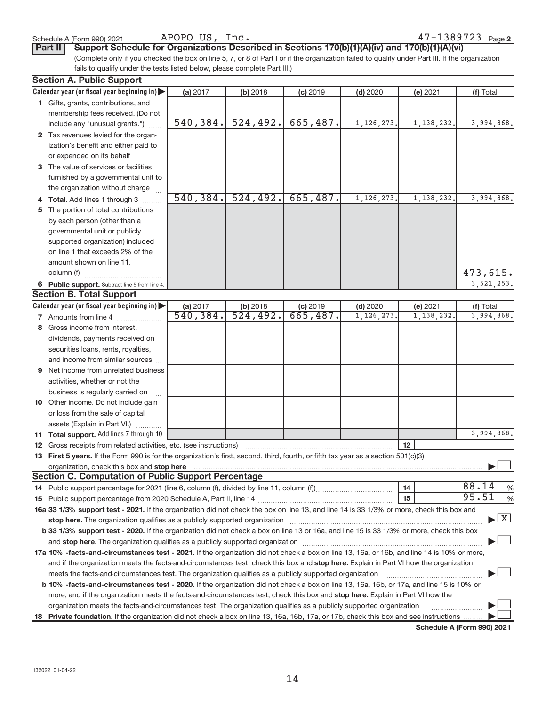APOPO US, Inc.

**Part II** Support Schedule for Organizations Described in Sections 170(b)(1)(A)(iv) and 170(b)(1)(A)(vi)

(Complete only if you checked the box on line 5, 7, or 8 of Part I or if the organization failed to qualify under Part III. If the organization fails to qualify under the tests listed below, please complete Part III.)

| <b>Section A. Public Support</b>                                                                                                                                                                                               |           |           |            |              |            |                                    |
|--------------------------------------------------------------------------------------------------------------------------------------------------------------------------------------------------------------------------------|-----------|-----------|------------|--------------|------------|------------------------------------|
| Calendar year (or fiscal year beginning in)                                                                                                                                                                                    | (a) 2017  | (b) 2018  | $(c)$ 2019 | $(d)$ 2020   | (e) 2021   | (f) Total                          |
| 1 Gifts, grants, contributions, and                                                                                                                                                                                            |           |           |            |              |            |                                    |
| membership fees received. (Do not                                                                                                                                                                                              |           |           |            |              |            |                                    |
| include any "unusual grants.")                                                                                                                                                                                                 | 540, 384. | 524, 492. | 665,487.   | 1, 126, 273. | 1,138,232. | 3,994,868.                         |
| 2 Tax revenues levied for the organ-                                                                                                                                                                                           |           |           |            |              |            |                                    |
| ization's benefit and either paid to                                                                                                                                                                                           |           |           |            |              |            |                                    |
| or expended on its behalf                                                                                                                                                                                                      |           |           |            |              |            |                                    |
| 3 The value of services or facilities                                                                                                                                                                                          |           |           |            |              |            |                                    |
| furnished by a governmental unit to                                                                                                                                                                                            |           |           |            |              |            |                                    |
| the organization without charge                                                                                                                                                                                                |           |           |            |              |            |                                    |
| 4 Total. Add lines 1 through 3                                                                                                                                                                                                 | 540, 384. | 524, 492. | 665,487.   | 1, 126, 273  | 1,138,232  | 3,994,868.                         |
| 5 The portion of total contributions                                                                                                                                                                                           |           |           |            |              |            |                                    |
| by each person (other than a                                                                                                                                                                                                   |           |           |            |              |            |                                    |
| governmental unit or publicly                                                                                                                                                                                                  |           |           |            |              |            |                                    |
| supported organization) included                                                                                                                                                                                               |           |           |            |              |            |                                    |
| on line 1 that exceeds 2% of the                                                                                                                                                                                               |           |           |            |              |            |                                    |
| amount shown on line 11,                                                                                                                                                                                                       |           |           |            |              |            |                                    |
| column (f)                                                                                                                                                                                                                     |           |           |            |              |            | 473,615.                           |
| 6 Public support. Subtract line 5 from line 4.                                                                                                                                                                                 |           |           |            |              |            | 3,521,253.                         |
| <b>Section B. Total Support</b>                                                                                                                                                                                                |           |           |            |              |            |                                    |
| Calendar year (or fiscal year beginning in)                                                                                                                                                                                    | (a) 2017  | (b) 2018  | $(c)$ 2019 | $(d)$ 2020   | (e) 2021   | (f) Total                          |
| <b>7</b> Amounts from line 4                                                                                                                                                                                                   | 540, 384. | 524,492.  | 665,487.   | 1, 126, 273  | 1,138,232  | 3,994,868.                         |
| 8 Gross income from interest,                                                                                                                                                                                                  |           |           |            |              |            |                                    |
| dividends, payments received on                                                                                                                                                                                                |           |           |            |              |            |                                    |
| securities loans, rents, royalties,                                                                                                                                                                                            |           |           |            |              |            |                                    |
| and income from similar sources                                                                                                                                                                                                |           |           |            |              |            |                                    |
| <b>9</b> Net income from unrelated business                                                                                                                                                                                    |           |           |            |              |            |                                    |
| activities, whether or not the                                                                                                                                                                                                 |           |           |            |              |            |                                    |
| business is regularly carried on                                                                                                                                                                                               |           |           |            |              |            |                                    |
| 10 Other income. Do not include gain                                                                                                                                                                                           |           |           |            |              |            |                                    |
| or loss from the sale of capital                                                                                                                                                                                               |           |           |            |              |            |                                    |
| assets (Explain in Part VI.)                                                                                                                                                                                                   |           |           |            |              |            |                                    |
| 11 Total support. Add lines 7 through 10                                                                                                                                                                                       |           |           |            |              |            | 3,994,868.                         |
| <b>12</b> Gross receipts from related activities, etc. (see instructions)                                                                                                                                                      |           |           |            |              | 12         |                                    |
| 13 First 5 years. If the Form 990 is for the organization's first, second, third, fourth, or fifth tax year as a section 501(c)(3)                                                                                             |           |           |            |              |            |                                    |
| organization, check this box and stop here material content to the content of the state of the content of the content of the content of the content of the content of the content of the content of the content of the content |           |           |            |              |            |                                    |
| <b>Section C. Computation of Public Support Percentage</b>                                                                                                                                                                     |           |           |            |              |            |                                    |
|                                                                                                                                                                                                                                |           |           |            |              | 14         | 88.14<br>%                         |
|                                                                                                                                                                                                                                |           |           |            |              | 15         | 95.51<br>$\%$                      |
| 16a 33 1/3% support test - 2021. If the organization did not check the box on line 13, and line 14 is 33 1/3% or more, check this box and                                                                                      |           |           |            |              |            |                                    |
| stop here. The organization qualifies as a publicly supported organization manufaction manufacture or the organization manufacture or the organization manufacture or the organization manufacture or the state of the state o |           |           |            |              |            | $\blacktriangleright$ $\mathbf{X}$ |
| b 33 1/3% support test - 2020. If the organization did not check a box on line 13 or 16a, and line 15 is 33 1/3% or more, check this box                                                                                       |           |           |            |              |            |                                    |
|                                                                                                                                                                                                                                |           |           |            |              |            |                                    |
| 17a 10% -facts-and-circumstances test - 2021. If the organization did not check a box on line 13, 16a, or 16b, and line 14 is 10% or more,                                                                                     |           |           |            |              |            |                                    |
| and if the organization meets the facts-and-circumstances test, check this box and stop here. Explain in Part VI how the organization                                                                                          |           |           |            |              |            |                                    |
| meets the facts-and-circumstances test. The organization qualifies as a publicly supported organization                                                                                                                        |           |           |            |              |            |                                    |
| b 10% -facts-and-circumstances test - 2020. If the organization did not check a box on line 13, 16a, 16b, or 17a, and line 15 is 10% or                                                                                        |           |           |            |              |            |                                    |
| more, and if the organization meets the facts-and-circumstances test, check this box and stop here. Explain in Part VI how the                                                                                                 |           |           |            |              |            |                                    |
| organization meets the facts-and-circumstances test. The organization qualifies as a publicly supported organization                                                                                                           |           |           |            |              |            |                                    |
| 18 Private foundation. If the organization did not check a box on line 13, 16a, 16b, 17a, or 17b, check this box and see instructions                                                                                          |           |           |            |              |            |                                    |
|                                                                                                                                                                                                                                |           |           |            |              |            | Schodule A (Form 000) 2021         |

**Schedule A (Form 990) 2021**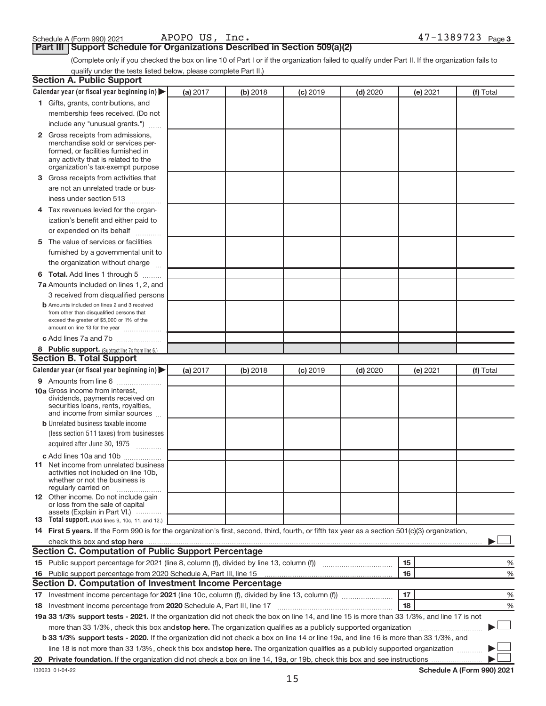**Part III | Support Schedule for Organizations Described in Section 509(a)(2)** 

(Complete only if you checked the box on line 10 of Part I or if the organization failed to qualify under Part II. If the organization fails to qualify under the tests listed below, please complete Part II.)

| <b>Section A. Public Support</b>                                                                                                                 |          |          |                 |            |          |           |
|--------------------------------------------------------------------------------------------------------------------------------------------------|----------|----------|-----------------|------------|----------|-----------|
| Calendar year (or fiscal year beginning in)                                                                                                      | (a) 2017 | (b) 2018 | $(c)$ 2019      | $(d)$ 2020 | (e) 2021 | (f) Total |
| 1 Gifts, grants, contributions, and                                                                                                              |          |          |                 |            |          |           |
| membership fees received. (Do not                                                                                                                |          |          |                 |            |          |           |
| include any "unusual grants.")                                                                                                                   |          |          |                 |            |          |           |
| 2 Gross receipts from admissions,                                                                                                                |          |          |                 |            |          |           |
| merchandise sold or services per-                                                                                                                |          |          |                 |            |          |           |
| formed, or facilities furnished in                                                                                                               |          |          |                 |            |          |           |
| any activity that is related to the<br>organization's tax-exempt purpose                                                                         |          |          |                 |            |          |           |
| 3 Gross receipts from activities that                                                                                                            |          |          |                 |            |          |           |
| are not an unrelated trade or bus-                                                                                                               |          |          |                 |            |          |           |
| iness under section 513                                                                                                                          |          |          |                 |            |          |           |
| .<br>4 Tax revenues levied for the organ-                                                                                                        |          |          |                 |            |          |           |
| ization's benefit and either paid to                                                                                                             |          |          |                 |            |          |           |
| or expended on its behalf                                                                                                                        |          |          |                 |            |          |           |
|                                                                                                                                                  |          |          |                 |            |          |           |
| 5 The value of services or facilities                                                                                                            |          |          |                 |            |          |           |
| furnished by a governmental unit to                                                                                                              |          |          |                 |            |          |           |
| the organization without charge                                                                                                                  |          |          |                 |            |          |           |
| 6 Total. Add lines 1 through 5                                                                                                                   |          |          |                 |            |          |           |
| 7a Amounts included on lines 1, 2, and                                                                                                           |          |          |                 |            |          |           |
| 3 received from disqualified persons                                                                                                             |          |          |                 |            |          |           |
| <b>b</b> Amounts included on lines 2 and 3 received<br>from other than disqualified persons that                                                 |          |          |                 |            |          |           |
| exceed the greater of \$5,000 or 1% of the                                                                                                       |          |          |                 |            |          |           |
| amount on line 13 for the year                                                                                                                   |          |          |                 |            |          |           |
| c Add lines 7a and 7b                                                                                                                            |          |          |                 |            |          |           |
| 8 Public support. (Subtract line 7c from line 6.)                                                                                                |          |          |                 |            |          |           |
| <b>Section B. Total Support</b>                                                                                                                  |          |          |                 |            |          |           |
| Calendar year (or fiscal year beginning in)                                                                                                      | (a) 2017 | (b) 2018 | <b>(c)</b> 2019 | $(d)$ 2020 | (e) 2021 | (f) Total |
| 9 Amounts from line 6                                                                                                                            |          |          |                 |            |          |           |
| <b>10a</b> Gross income from interest,                                                                                                           |          |          |                 |            |          |           |
| dividends, payments received on<br>securities loans, rents, royalties,                                                                           |          |          |                 |            |          |           |
| and income from similar sources                                                                                                                  |          |          |                 |            |          |           |
| <b>b</b> Unrelated business taxable income                                                                                                       |          |          |                 |            |          |           |
| (less section 511 taxes) from businesses                                                                                                         |          |          |                 |            |          |           |
| acquired after June 30, 1975                                                                                                                     |          |          |                 |            |          |           |
| c Add lines 10a and 10b                                                                                                                          |          |          |                 |            |          |           |
| <b>11</b> Net income from unrelated business                                                                                                     |          |          |                 |            |          |           |
| activities not included on line 10b.                                                                                                             |          |          |                 |            |          |           |
| whether or not the business is<br>regularly carried on                                                                                           |          |          |                 |            |          |           |
| 12 Other income. Do not include gain                                                                                                             |          |          |                 |            |          |           |
| or loss from the sale of capital                                                                                                                 |          |          |                 |            |          |           |
| assets (Explain in Part VI.)<br><b>13</b> Total support. (Add lines 9, 10c, 11, and 12.)                                                         |          |          |                 |            |          |           |
| 14 First 5 years. If the Form 990 is for the organization's first, second, third, fourth, or fifth tax year as a section 501(c)(3) organization, |          |          |                 |            |          |           |
|                                                                                                                                                  |          |          |                 |            |          |           |
| <b>Section C. Computation of Public Support Percentage</b>                                                                                       |          |          |                 |            |          |           |
|                                                                                                                                                  |          |          |                 |            | 15       | %         |
| 16 Public support percentage from 2020 Schedule A, Part III, line 15                                                                             |          |          |                 |            | 16       | %         |
| Section D. Computation of Investment Income Percentage                                                                                           |          |          |                 |            |          |           |
|                                                                                                                                                  |          |          |                 |            | 17       | %         |
| 18 Investment income percentage from 2020 Schedule A, Part III, line 17                                                                          |          |          |                 |            | 18       | %         |
| 19a 33 1/3% support tests - 2021. If the organization did not check the box on line 14, and line 15 is more than 33 1/3%, and line 17 is not     |          |          |                 |            |          |           |
| more than 33 1/3%, check this box and stop here. The organization qualifies as a publicly supported organization                                 |          |          |                 |            |          |           |
| b 33 1/3% support tests - 2020. If the organization did not check a box on line 14 or line 19a, and line 16 is more than 33 1/3%, and            |          |          |                 |            |          |           |
| line 18 is not more than 33 1/3%, check this box and stop here. The organization qualifies as a publicly supported organization                  |          |          |                 |            |          |           |
|                                                                                                                                                  |          |          |                 |            |          |           |
|                                                                                                                                                  |          |          |                 |            |          |           |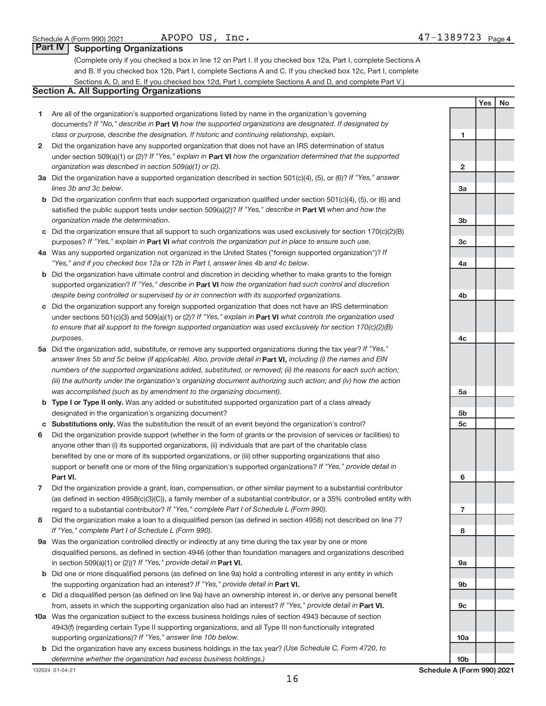| APOPO | ПS | $\bot$ nc |
|-------|----|-----------|
|-------|----|-----------|

### **Part IV Supporting Organizations**

(Complete only if you checked a box in line 12 on Part I. If you checked box 12a, Part I, complete Sections A and B. If you checked box 12b, Part I, complete Sections A and C. If you checked box 12c, Part I, complete Sections A, D, and E. If you checked box 12d, Part I, complete Sections A and D, and complete Part V.)

### **Section A. All Supporting Organizations**

- **1** Are all of the organization's supported organizations listed by name in the organization's governing documents? If "No," describe in Part VI how the supported organizations are designated. If designated by *class or purpose, describe the designation. If historic and continuing relationship, explain.*
- **2** Did the organization have any supported organization that does not have an IRS determination of status under section 509(a)(1) or (2)? If "Yes," explain in Part **VI** how the organization determined that the supported *organization was described in section 509(a)(1) or (2).*
- **3a** Did the organization have a supported organization described in section 501(c)(4), (5), or (6)? If "Yes," answer *lines 3b and 3c below.*
- **b** Did the organization confirm that each supported organization qualified under section 501(c)(4), (5), or (6) and satisfied the public support tests under section 509(a)(2)? If "Yes," describe in Part VI when and how the *organization made the determination.*
- **c** Did the organization ensure that all support to such organizations was used exclusively for section 170(c)(2)(B) purposes? If "Yes," explain in Part VI what controls the organization put in place to ensure such use.
- **4 a** *If* Was any supported organization not organized in the United States ("foreign supported organization")? *"Yes," and if you checked box 12a or 12b in Part I, answer lines 4b and 4c below.*
- **b** Did the organization have ultimate control and discretion in deciding whether to make grants to the foreign supported organization? If "Yes," describe in Part VI how the organization had such control and discretion *despite being controlled or supervised by or in connection with its supported organizations.*
- **c** Did the organization support any foreign supported organization that does not have an IRS determination under sections 501(c)(3) and 509(a)(1) or (2)? If "Yes," explain in Part VI what controls the organization used *to ensure that all support to the foreign supported organization was used exclusively for section 170(c)(2)(B) purposes.*
- **5a** Did the organization add, substitute, or remove any supported organizations during the tax year? If "Yes," answer lines 5b and 5c below (if applicable). Also, provide detail in **Part VI,** including (i) the names and EIN *numbers of the supported organizations added, substituted, or removed; (ii) the reasons for each such action; (iii) the authority under the organization's organizing document authorizing such action; and (iv) how the action was accomplished (such as by amendment to the organizing document).*
- **b** Type I or Type II only. Was any added or substituted supported organization part of a class already designated in the organization's organizing document?
- **c Substitutions only.**  Was the substitution the result of an event beyond the organization's control?
- **6** Did the organization provide support (whether in the form of grants or the provision of services or facilities) to **Part VI.** support or benefit one or more of the filing organization's supported organizations? If "Yes," provide detail in anyone other than (i) its supported organizations, (ii) individuals that are part of the charitable class benefited by one or more of its supported organizations, or (iii) other supporting organizations that also
- **7** Did the organization provide a grant, loan, compensation, or other similar payment to a substantial contributor regard to a substantial contributor? If "Yes," complete Part I of Schedule L (Form 990). (as defined in section 4958(c)(3)(C)), a family member of a substantial contributor, or a 35% controlled entity with
- **8** Did the organization make a loan to a disqualified person (as defined in section 4958) not described on line 7? *If "Yes," complete Part I of Schedule L (Form 990).*
- **9 a** Was the organization controlled directly or indirectly at any time during the tax year by one or more in section 509(a)(1) or (2))? If "Yes," provide detail in **Part VI.** disqualified persons, as defined in section 4946 (other than foundation managers and organizations described
- **b** Did one or more disqualified persons (as defined on line 9a) hold a controlling interest in any entity in which the supporting organization had an interest? If "Yes," provide detail in Part VI.
- **c** Did a disqualified person (as defined on line 9a) have an ownership interest in, or derive any personal benefit from, assets in which the supporting organization also had an interest? If "Yes," provide detail in Part VI.
- **10 a** Was the organization subject to the excess business holdings rules of section 4943 because of section supporting organizations)? If "Yes," answer line 10b below. 4943(f) (regarding certain Type II supporting organizations, and all Type III non-functionally integrated
- **b** Did the organization have any excess business holdings in the tax year? (Use Schedule C, Form 4720, to *determine whether the organization had excess business holdings.)*

132024 01-04-21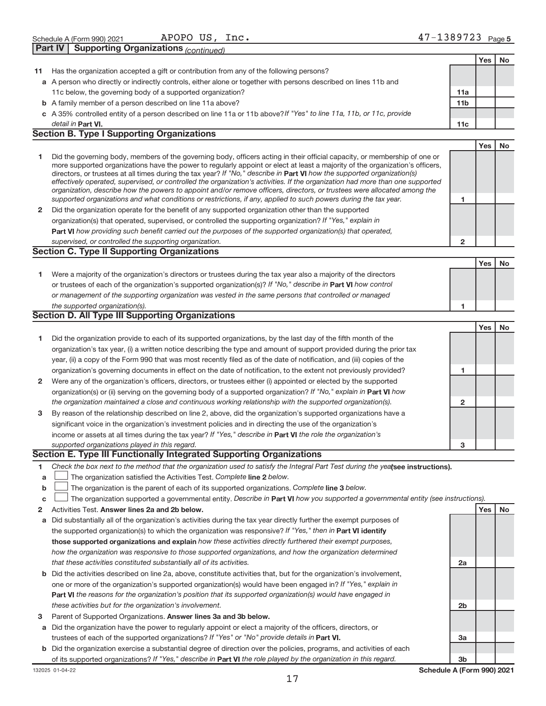|    | Part IV<br><b>Supporting Organizations (continued)</b>                                                                                                                                                                                                                                                                                                                                                                                                                                                                                                                                                                                                                                                                                                                   |                 |     |    |
|----|--------------------------------------------------------------------------------------------------------------------------------------------------------------------------------------------------------------------------------------------------------------------------------------------------------------------------------------------------------------------------------------------------------------------------------------------------------------------------------------------------------------------------------------------------------------------------------------------------------------------------------------------------------------------------------------------------------------------------------------------------------------------------|-----------------|-----|----|
|    |                                                                                                                                                                                                                                                                                                                                                                                                                                                                                                                                                                                                                                                                                                                                                                          |                 | Yes | No |
| 11 | Has the organization accepted a gift or contribution from any of the following persons?                                                                                                                                                                                                                                                                                                                                                                                                                                                                                                                                                                                                                                                                                  |                 |     |    |
|    | a A person who directly or indirectly controls, either alone or together with persons described on lines 11b and                                                                                                                                                                                                                                                                                                                                                                                                                                                                                                                                                                                                                                                         |                 |     |    |
|    | 11c below, the governing body of a supported organization?                                                                                                                                                                                                                                                                                                                                                                                                                                                                                                                                                                                                                                                                                                               | 11a             |     |    |
|    | <b>b</b> A family member of a person described on line 11a above?                                                                                                                                                                                                                                                                                                                                                                                                                                                                                                                                                                                                                                                                                                        | 11 <sub>b</sub> |     |    |
|    | c A 35% controlled entity of a person described on line 11a or 11b above? If "Yes" to line 11a, 11b, or 11c, provide                                                                                                                                                                                                                                                                                                                                                                                                                                                                                                                                                                                                                                                     |                 |     |    |
|    | detail in Part VI.                                                                                                                                                                                                                                                                                                                                                                                                                                                                                                                                                                                                                                                                                                                                                       | 11c             |     |    |
|    | <b>Section B. Type I Supporting Organizations</b>                                                                                                                                                                                                                                                                                                                                                                                                                                                                                                                                                                                                                                                                                                                        |                 |     |    |
|    |                                                                                                                                                                                                                                                                                                                                                                                                                                                                                                                                                                                                                                                                                                                                                                          |                 | Yes | No |
| 1  | Did the governing body, members of the governing body, officers acting in their official capacity, or membership of one or<br>more supported organizations have the power to regularly appoint or elect at least a majority of the organization's officers,<br>directors, or trustees at all times during the tax year? If "No," describe in Part VI how the supported organization(s)<br>effectively operated, supervised, or controlled the organization's activities. If the organization had more than one supported<br>organization, describe how the powers to appoint and/or remove officers, directors, or trustees were allocated among the<br>supported organizations and what conditions or restrictions, if any, applied to such powers during the tax year. | 1               |     |    |
| 2  | Did the organization operate for the benefit of any supported organization other than the supported                                                                                                                                                                                                                                                                                                                                                                                                                                                                                                                                                                                                                                                                      |                 |     |    |
|    | organization(s) that operated, supervised, or controlled the supporting organization? If "Yes," explain in                                                                                                                                                                                                                                                                                                                                                                                                                                                                                                                                                                                                                                                               |                 |     |    |
|    | Part VI how providing such benefit carried out the purposes of the supported organization(s) that operated,                                                                                                                                                                                                                                                                                                                                                                                                                                                                                                                                                                                                                                                              |                 |     |    |
|    | supervised, or controlled the supporting organization.                                                                                                                                                                                                                                                                                                                                                                                                                                                                                                                                                                                                                                                                                                                   | $\overline{2}$  |     |    |
|    | <b>Section C. Type II Supporting Organizations</b>                                                                                                                                                                                                                                                                                                                                                                                                                                                                                                                                                                                                                                                                                                                       |                 |     |    |
|    |                                                                                                                                                                                                                                                                                                                                                                                                                                                                                                                                                                                                                                                                                                                                                                          |                 | Yes | No |
| 1  | Were a majority of the organization's directors or trustees during the tax year also a majority of the directors                                                                                                                                                                                                                                                                                                                                                                                                                                                                                                                                                                                                                                                         |                 |     |    |
|    | or trustees of each of the organization's supported organization(s)? If "No," describe in Part VI how control                                                                                                                                                                                                                                                                                                                                                                                                                                                                                                                                                                                                                                                            |                 |     |    |
|    | or management of the supporting organization was vested in the same persons that controlled or managed                                                                                                                                                                                                                                                                                                                                                                                                                                                                                                                                                                                                                                                                   |                 |     |    |
|    | the supported organization(s).                                                                                                                                                                                                                                                                                                                                                                                                                                                                                                                                                                                                                                                                                                                                           | 1               |     |    |
|    | <b>Section D. All Type III Supporting Organizations</b>                                                                                                                                                                                                                                                                                                                                                                                                                                                                                                                                                                                                                                                                                                                  |                 |     |    |
|    |                                                                                                                                                                                                                                                                                                                                                                                                                                                                                                                                                                                                                                                                                                                                                                          |                 | Yes | No |
| 1  | Did the organization provide to each of its supported organizations, by the last day of the fifth month of the                                                                                                                                                                                                                                                                                                                                                                                                                                                                                                                                                                                                                                                           |                 |     |    |
|    | organization's tax year, (i) a written notice describing the type and amount of support provided during the prior tax                                                                                                                                                                                                                                                                                                                                                                                                                                                                                                                                                                                                                                                    |                 |     |    |
|    |                                                                                                                                                                                                                                                                                                                                                                                                                                                                                                                                                                                                                                                                                                                                                                          |                 |     |    |
|    |                                                                                                                                                                                                                                                                                                                                                                                                                                                                                                                                                                                                                                                                                                                                                                          |                 |     |    |
|    | year, (ii) a copy of the Form 990 that was most recently filed as of the date of notification, and (iii) copies of the                                                                                                                                                                                                                                                                                                                                                                                                                                                                                                                                                                                                                                                   |                 |     |    |
|    | organization's governing documents in effect on the date of notification, to the extent not previously provided?                                                                                                                                                                                                                                                                                                                                                                                                                                                                                                                                                                                                                                                         | 1               |     |    |
| 2  | Were any of the organization's officers, directors, or trustees either (i) appointed or elected by the supported                                                                                                                                                                                                                                                                                                                                                                                                                                                                                                                                                                                                                                                         |                 |     |    |
|    | organization(s) or (ii) serving on the governing body of a supported organization? If "No," explain in Part VI how                                                                                                                                                                                                                                                                                                                                                                                                                                                                                                                                                                                                                                                       |                 |     |    |
|    | the organization maintained a close and continuous working relationship with the supported organization(s).                                                                                                                                                                                                                                                                                                                                                                                                                                                                                                                                                                                                                                                              | $\overline{2}$  |     |    |
| з  | By reason of the relationship described on line 2, above, did the organization's supported organizations have a                                                                                                                                                                                                                                                                                                                                                                                                                                                                                                                                                                                                                                                          |                 |     |    |
|    | significant voice in the organization's investment policies and in directing the use of the organization's                                                                                                                                                                                                                                                                                                                                                                                                                                                                                                                                                                                                                                                               |                 |     |    |
|    | income or assets at all times during the tax year? If "Yes," describe in Part VI the role the organization's                                                                                                                                                                                                                                                                                                                                                                                                                                                                                                                                                                                                                                                             |                 |     |    |
|    | supported organizations played in this regard.                                                                                                                                                                                                                                                                                                                                                                                                                                                                                                                                                                                                                                                                                                                           | з               |     |    |
|    | Section E. Type III Functionally Integrated Supporting Organizations                                                                                                                                                                                                                                                                                                                                                                                                                                                                                                                                                                                                                                                                                                     |                 |     |    |
| 1  | Check the box next to the method that the organization used to satisfy the Integral Part Test during the yealsee instructions).                                                                                                                                                                                                                                                                                                                                                                                                                                                                                                                                                                                                                                          |                 |     |    |
| a  | The organization satisfied the Activities Test. Complete line 2 below.                                                                                                                                                                                                                                                                                                                                                                                                                                                                                                                                                                                                                                                                                                   |                 |     |    |
| b  | The organization is the parent of each of its supported organizations. Complete line 3 below.                                                                                                                                                                                                                                                                                                                                                                                                                                                                                                                                                                                                                                                                            |                 |     |    |
| c  | The organization supported a governmental entity. Describe in Part VI how you supported a governmental entity (see instructions).                                                                                                                                                                                                                                                                                                                                                                                                                                                                                                                                                                                                                                        |                 |     |    |
| 2  | Activities Test. Answer lines 2a and 2b below.                                                                                                                                                                                                                                                                                                                                                                                                                                                                                                                                                                                                                                                                                                                           |                 | Yes | No |
| а  | Did substantially all of the organization's activities during the tax year directly further the exempt purposes of                                                                                                                                                                                                                                                                                                                                                                                                                                                                                                                                                                                                                                                       |                 |     |    |
|    | the supported organization(s) to which the organization was responsive? If "Yes," then in Part VI identify                                                                                                                                                                                                                                                                                                                                                                                                                                                                                                                                                                                                                                                               |                 |     |    |
|    | those supported organizations and explain how these activities directly furthered their exempt purposes,                                                                                                                                                                                                                                                                                                                                                                                                                                                                                                                                                                                                                                                                 |                 |     |    |
|    | how the organization was responsive to those supported organizations, and how the organization determined                                                                                                                                                                                                                                                                                                                                                                                                                                                                                                                                                                                                                                                                |                 |     |    |
|    | that these activities constituted substantially all of its activities.<br><b>b</b> Did the activities described on line 2a, above, constitute activities that, but for the organization's involvement,                                                                                                                                                                                                                                                                                                                                                                                                                                                                                                                                                                   | 2a              |     |    |

- **Part VI**  *the reasons for the organization's position that its supported organization(s) would have engaged in* one or more of the organization's supported organization(s) would have been engaged in? If "Yes," explain in *these activities but for the organization's involvement.*
- 3 Parent of Supported Organizations. Answer lines 3a and 3b below.
- **a** Did the organization have the power to regularly appoint or elect a majority of the officers, directors, or trustees of each of the supported organizations? If "Yes" or "No" provide details in Part VI.
- **b** Did the organization exercise a substantial degree of direction over the policies, programs, and activities of each of its supported organizations? If "Yes," describe in Part VI the role played by the organization in this regard.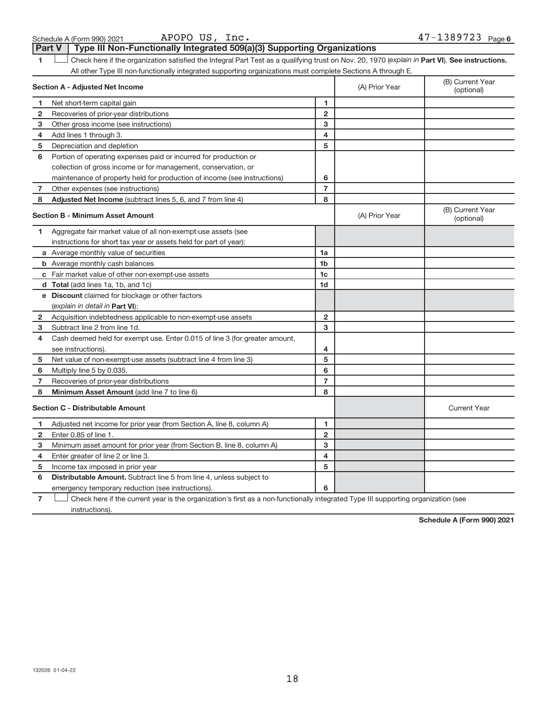APOPO US, Inc.

1 **Luding Check here if the organization satisfied the Integral Part Test as a qualifying trust on Nov. 20, 1970 (explain in Part <b>VI**). See instructions. All other Type III non-functionally integrated supporting organizations must complete Sections A through E. Part V | Type III Non-Functionally Integrated 509(a)(3) Supporting Organizations  $\begin{array}{c} \hline \end{array}$ 

|                | <b>Section A - Adjusted Net Income</b>                                      | (A) Prior Year | (B) Current Year<br>(optional) |                                |
|----------------|-----------------------------------------------------------------------------|----------------|--------------------------------|--------------------------------|
| 1              | Net short-term capital gain                                                 | 1              |                                |                                |
| $\mathbf{2}$   | Recoveries of prior-year distributions                                      | $\overline{2}$ |                                |                                |
| 3              | Other gross income (see instructions)                                       | 3              |                                |                                |
| 4              | Add lines 1 through 3.                                                      | 4              |                                |                                |
| 5              | Depreciation and depletion                                                  | 5              |                                |                                |
| 6              | Portion of operating expenses paid or incurred for production or            |                |                                |                                |
|                | collection of gross income or for management, conservation, or              |                |                                |                                |
|                | maintenance of property held for production of income (see instructions)    | 6              |                                |                                |
| $\overline{7}$ | Other expenses (see instructions)                                           | $\overline{7}$ |                                |                                |
| 8              | Adjusted Net Income (subtract lines 5, 6, and 7 from line 4)                | 8              |                                |                                |
|                | <b>Section B - Minimum Asset Amount</b>                                     |                | (A) Prior Year                 | (B) Current Year<br>(optional) |
| 1.             | Aggregate fair market value of all non-exempt-use assets (see               |                |                                |                                |
|                | instructions for short tax year or assets held for part of year):           |                |                                |                                |
|                | <b>a</b> Average monthly value of securities                                | 1a             |                                |                                |
|                | <b>b</b> Average monthly cash balances                                      | 1 <sub>b</sub> |                                |                                |
|                | c Fair market value of other non-exempt-use assets                          | 1c             |                                |                                |
|                | d Total (add lines 1a, 1b, and 1c)                                          | 1 <sub>d</sub> |                                |                                |
|                | e Discount claimed for blockage or other factors                            |                |                                |                                |
|                | (explain in detail in <b>Part VI</b> ):                                     |                |                                |                                |
| $\mathbf{2}$   | Acquisition indebtedness applicable to non-exempt-use assets                | $\overline{2}$ |                                |                                |
| з              | Subtract line 2 from line 1d.                                               | 3              |                                |                                |
| 4              | Cash deemed held for exempt use. Enter 0.015 of line 3 (for greater amount, |                |                                |                                |
|                | see instructions).                                                          | 4              |                                |                                |
| 5              | Net value of non-exempt-use assets (subtract line 4 from line 3)            | 5              |                                |                                |
| 6              | Multiply line 5 by 0.035.                                                   | 6              |                                |                                |
| 7              | Recoveries of prior-year distributions                                      | $\overline{7}$ |                                |                                |
| 8              | Minimum Asset Amount (add line 7 to line 6)                                 | 8              |                                |                                |
|                | <b>Section C - Distributable Amount</b>                                     |                |                                | <b>Current Year</b>            |
| 1              | Adjusted net income for prior year (from Section A, line 8, column A)       | 1              |                                |                                |
| $\mathbf{2}$   | Enter 0.85 of line 1.                                                       | $\overline{2}$ |                                |                                |
| 3              | Minimum asset amount for prior year (from Section B, line 8, column A)      | 3              |                                |                                |
| 4              | Enter greater of line 2 or line 3.                                          | 4              |                                |                                |
| 5              | Income tax imposed in prior year                                            | 5              |                                |                                |
| 6              | <b>Distributable Amount.</b> Subtract line 5 from line 4, unless subject to |                |                                |                                |
|                | emergency temporary reduction (see instructions).                           | 6              |                                |                                |
|                |                                                                             |                |                                |                                |

**7** Check here if the current year is the organization's first as a non-functionally integrated Type III supporting organization (see instructions).

**Schedule A (Form 990) 2021**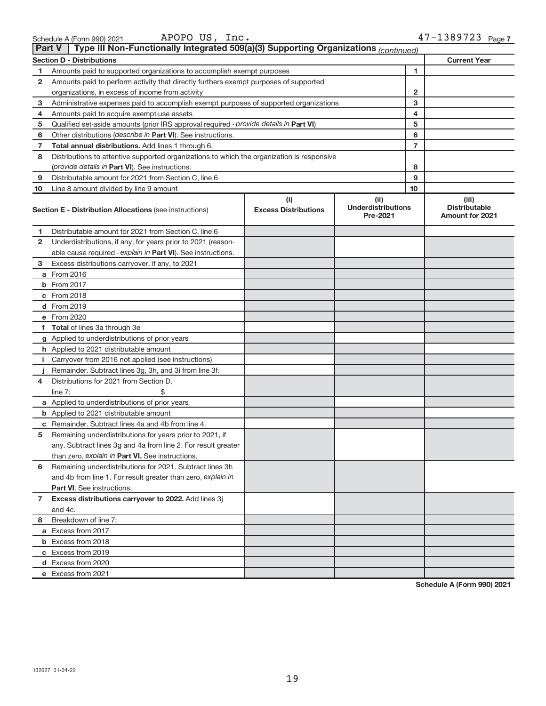| Schedule A (Form 990) 2021 | APOPO US,<br>Inc. | 47-1389723 <sub>Page 7</sub> |
|----------------------------|-------------------|------------------------------|
|----------------------------|-------------------|------------------------------|

| APOPO<br>US.<br>Inc. |  |  |
|----------------------|--|--|
|----------------------|--|--|

|              | Type III Non-Functionally Integrated 509(a)(3) Supporting Organizations (continued)<br><b>Part V</b> |                                    |                                               |                                                         |  |  |
|--------------|------------------------------------------------------------------------------------------------------|------------------------------------|-----------------------------------------------|---------------------------------------------------------|--|--|
|              | <b>Current Year</b><br><b>Section D - Distributions</b>                                              |                                    |                                               |                                                         |  |  |
| 1            | Amounts paid to supported organizations to accomplish exempt purposes                                |                                    | 1                                             |                                                         |  |  |
| 2            | Amounts paid to perform activity that directly furthers exempt purposes of supported                 |                                    |                                               |                                                         |  |  |
|              | organizations, in excess of income from activity                                                     |                                    | 2                                             |                                                         |  |  |
| 3            | Administrative expenses paid to accomplish exempt purposes of supported organizations                | 3                                  |                                               |                                                         |  |  |
| 4            | Amounts paid to acquire exempt-use assets                                                            |                                    | 4                                             |                                                         |  |  |
| 5            | Qualified set-aside amounts (prior IRS approval required - provide details in Part VI)               |                                    | 5                                             |                                                         |  |  |
| 6            | Other distributions (describe in Part VI). See instructions.                                         |                                    | 6                                             |                                                         |  |  |
| 7            | Total annual distributions. Add lines 1 through 6.                                                   | 7                                  |                                               |                                                         |  |  |
| 8            | Distributions to attentive supported organizations to which the organization is responsive           |                                    |                                               |                                                         |  |  |
|              | ( <i>provide details in Part VI</i> ). See instructions.                                             |                                    | 8                                             |                                                         |  |  |
| 9            | Distributable amount for 2021 from Section C, line 6                                                 |                                    | 9                                             |                                                         |  |  |
| 10           | Line 8 amount divided by line 9 amount                                                               |                                    | 10                                            |                                                         |  |  |
|              | <b>Section E - Distribution Allocations (see instructions)</b>                                       | (i)<br><b>Excess Distributions</b> | (ii)<br><b>Underdistributions</b><br>Pre-2021 | (iii)<br><b>Distributable</b><br><b>Amount for 2021</b> |  |  |
| 1            | Distributable amount for 2021 from Section C, line 6                                                 |                                    |                                               |                                                         |  |  |
| 2            | Underdistributions, if any, for years prior to 2021 (reason-                                         |                                    |                                               |                                                         |  |  |
|              | able cause required - explain in Part VI). See instructions.                                         |                                    |                                               |                                                         |  |  |
| 3            | Excess distributions carryover, if any, to 2021                                                      |                                    |                                               |                                                         |  |  |
|              | a From 2016                                                                                          |                                    |                                               |                                                         |  |  |
|              | <b>b</b> From 2017                                                                                   |                                    |                                               |                                                         |  |  |
|              | c From 2018                                                                                          |                                    |                                               |                                                         |  |  |
|              | d From 2019                                                                                          |                                    |                                               |                                                         |  |  |
|              | e From 2020                                                                                          |                                    |                                               |                                                         |  |  |
|              | f Total of lines 3a through 3e                                                                       |                                    |                                               |                                                         |  |  |
|              | g Applied to underdistributions of prior years                                                       |                                    |                                               |                                                         |  |  |
|              | <b>h</b> Applied to 2021 distributable amount                                                        |                                    |                                               |                                                         |  |  |
| $\mathbf{L}$ | Carryover from 2016 not applied (see instructions)                                                   |                                    |                                               |                                                         |  |  |
|              | Remainder. Subtract lines 3g, 3h, and 3i from line 3f.                                               |                                    |                                               |                                                         |  |  |
| 4            | Distributions for 2021 from Section D,                                                               |                                    |                                               |                                                         |  |  |
|              | line $7:$                                                                                            |                                    |                                               |                                                         |  |  |
|              | a Applied to underdistributions of prior years                                                       |                                    |                                               |                                                         |  |  |
|              | <b>b</b> Applied to 2021 distributable amount                                                        |                                    |                                               |                                                         |  |  |
|              | c Remainder. Subtract lines 4a and 4b from line 4.                                                   |                                    |                                               |                                                         |  |  |
| 5            | Remaining underdistributions for years prior to 2021, if                                             |                                    |                                               |                                                         |  |  |
|              | any. Subtract lines 3g and 4a from line 2. For result greater                                        |                                    |                                               |                                                         |  |  |
|              | than zero, explain in Part VI. See instructions.                                                     |                                    |                                               |                                                         |  |  |
| 6            | Remaining underdistributions for 2021. Subtract lines 3h                                             |                                    |                                               |                                                         |  |  |
|              | and 4b from line 1. For result greater than zero, explain in                                         |                                    |                                               |                                                         |  |  |
|              | <b>Part VI.</b> See instructions.                                                                    |                                    |                                               |                                                         |  |  |
| 7            | Excess distributions carryover to 2022. Add lines 3j                                                 |                                    |                                               |                                                         |  |  |
|              | and 4c.                                                                                              |                                    |                                               |                                                         |  |  |
| 8            | Breakdown of line 7:                                                                                 |                                    |                                               |                                                         |  |  |
|              | a Excess from 2017                                                                                   |                                    |                                               |                                                         |  |  |
|              | <b>b</b> Excess from 2018                                                                            |                                    |                                               |                                                         |  |  |
|              | c Excess from 2019                                                                                   |                                    |                                               |                                                         |  |  |
|              | d Excess from 2020                                                                                   |                                    |                                               |                                                         |  |  |
|              | e Excess from 2021                                                                                   |                                    |                                               |                                                         |  |  |

**Schedule A (Form 990) 2021**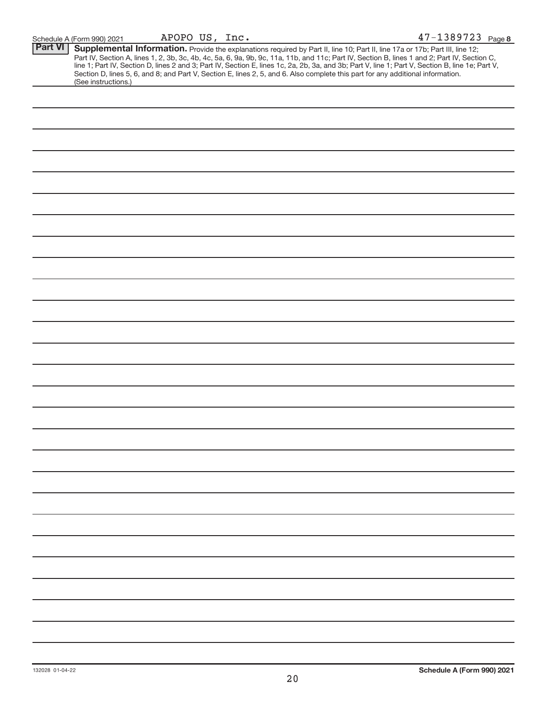| <b>Part VI</b> | Supplemental Information. Provide the explanations required by Part II, line 10; Part II, line 17a or 17b; Part III, line 12;                                                                                                 |
|----------------|-------------------------------------------------------------------------------------------------------------------------------------------------------------------------------------------------------------------------------|
|                | Part IV, Section A, lines 1, 2, 3b, 3c, 4b, 4c, 5a, 6, 9a, 9b, 9c, 11a, 11b, and 11c; Part IV, Section B, lines 1 and 2; Part IV, Section C, line 1; Part IV, Section D, lines 2 and 3; Part IV, Section E, lines 1c, 2a, 2b, |
|                |                                                                                                                                                                                                                               |
|                | Section D, lines 5, 6, and 8; and Part V, Section E, lines 2, 5, and 6. Also complete this part for any additional information.                                                                                               |
|                | (See instructions.)                                                                                                                                                                                                           |
|                |                                                                                                                                                                                                                               |
|                |                                                                                                                                                                                                                               |
|                |                                                                                                                                                                                                                               |
|                |                                                                                                                                                                                                                               |
|                |                                                                                                                                                                                                                               |
|                |                                                                                                                                                                                                                               |
|                |                                                                                                                                                                                                                               |
|                |                                                                                                                                                                                                                               |
|                |                                                                                                                                                                                                                               |
|                |                                                                                                                                                                                                                               |
|                |                                                                                                                                                                                                                               |
|                |                                                                                                                                                                                                                               |
|                |                                                                                                                                                                                                                               |
|                |                                                                                                                                                                                                                               |
|                |                                                                                                                                                                                                                               |
|                |                                                                                                                                                                                                                               |
|                |                                                                                                                                                                                                                               |
|                |                                                                                                                                                                                                                               |
|                |                                                                                                                                                                                                                               |
|                |                                                                                                                                                                                                                               |
|                |                                                                                                                                                                                                                               |
|                |                                                                                                                                                                                                                               |
|                |                                                                                                                                                                                                                               |
|                |                                                                                                                                                                                                                               |
|                |                                                                                                                                                                                                                               |
|                |                                                                                                                                                                                                                               |
|                |                                                                                                                                                                                                                               |
|                |                                                                                                                                                                                                                               |
|                |                                                                                                                                                                                                                               |
|                |                                                                                                                                                                                                                               |
|                |                                                                                                                                                                                                                               |
|                |                                                                                                                                                                                                                               |
|                |                                                                                                                                                                                                                               |
|                |                                                                                                                                                                                                                               |
|                |                                                                                                                                                                                                                               |
|                |                                                                                                                                                                                                                               |
|                |                                                                                                                                                                                                                               |
|                |                                                                                                                                                                                                                               |
|                |                                                                                                                                                                                                                               |
|                |                                                                                                                                                                                                                               |
|                |                                                                                                                                                                                                                               |
|                |                                                                                                                                                                                                                               |
|                |                                                                                                                                                                                                                               |
|                |                                                                                                                                                                                                                               |
|                |                                                                                                                                                                                                                               |
|                |                                                                                                                                                                                                                               |
|                |                                                                                                                                                                                                                               |
|                |                                                                                                                                                                                                                               |
|                |                                                                                                                                                                                                                               |
|                |                                                                                                                                                                                                                               |
|                |                                                                                                                                                                                                                               |
|                |                                                                                                                                                                                                                               |
|                |                                                                                                                                                                                                                               |
|                |                                                                                                                                                                                                                               |
|                |                                                                                                                                                                                                                               |
|                |                                                                                                                                                                                                                               |
|                |                                                                                                                                                                                                                               |
|                |                                                                                                                                                                                                                               |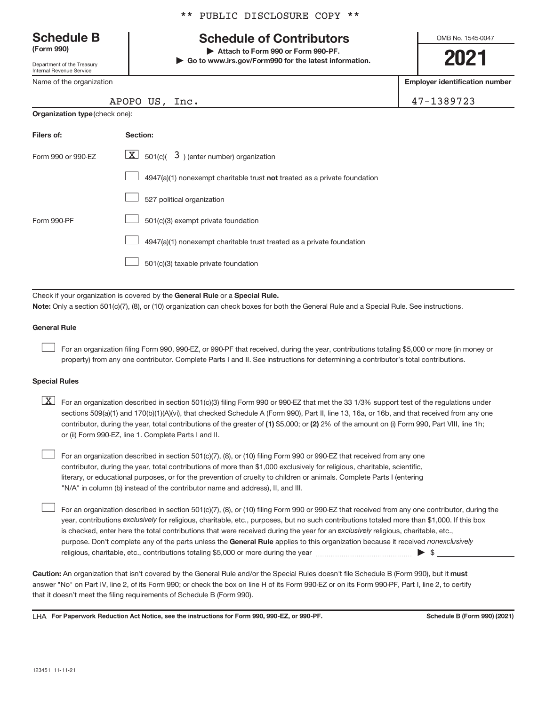Department of the Treasury Internal Revenue Service

Name of the organization

**Organization type** (check one):

|  |  | ** PUBLIC DISCLOSURE COPY ** |  |  |
|--|--|------------------------------|--|--|
|--|--|------------------------------|--|--|

# **Schedule B Schedule of Contributors**

**(Form 990) | Attach to Form 990 or Form 990-PF. | Go to www.irs.gov/Form990 for the latest information.** OMB No. 1545-0047

**2021**

**Employer identification number**

|  |  |  |  | .7-1389723 |  |
|--|--|--|--|------------|--|
|  |  |  |  |            |  |

|  | APOPO US, Inc. | 47-1389723 |
|--|----------------|------------|
|--|----------------|------------|

| Filers of:         | Section:                                                                  |
|--------------------|---------------------------------------------------------------------------|
| Form 990 or 990-FZ | $\lfloor x \rfloor$ 501(c)( 3) (enter number) organization                |
|                    | 4947(a)(1) nonexempt charitable trust not treated as a private foundation |
|                    | 527 political organization                                                |
| Form 990-PF        | 501(c)(3) exempt private foundation                                       |
|                    | 4947(a)(1) nonexempt charitable trust treated as a private foundation     |
|                    | 501(c)(3) taxable private foundation                                      |

Check if your organization is covered by the General Rule or a Special Rule.

**Note:**  Only a section 501(c)(7), (8), or (10) organization can check boxes for both the General Rule and a Special Rule. See instructions.

#### **General Rule**

 $\begin{array}{c} \hline \end{array}$ 

For an organization filing Form 990, 990-EZ, or 990-PF that received, during the year, contributions totaling \$5,000 or more (in money or property) from any one contributor. Complete Parts I and II. See instructions for determining a contributor's total contributions.

#### **Special Rules**

- contributor, during the year, total contributions of the greater of (1) \$5,000; or (2) 2% of the amount on (i) Form 990, Part VIII, line 1h;  $\boxed{\text{X}}$  For an organization described in section 501(c)(3) filing Form 990 or 990-EZ that met the 33 1/3% support test of the regulations under sections 509(a)(1) and 170(b)(1)(A)(vi), that checked Schedule A (Form 990), Part II, line 13, 16a, or 16b, and that received from any one or (ii) Form 990-EZ, line 1. Complete Parts I and II.
- For an organization described in section 501(c)(7), (8), or (10) filing Form 990 or 990-EZ that received from any one contributor, during the year, total contributions of more than \$1,000 exclusively for religious, charitable, scientific, literary, or educational purposes, or for the prevention of cruelty to children or animals. Complete Parts I (entering "N/A" in column (b) instead of the contributor name and address), II, and III.  $\begin{array}{c} \hline \end{array}$

purpose. Don't complete any of the parts unless the General Rule applies to this organization because it received nonexclusively year, contributions exclusively for religious, charitable, etc., purposes, but no such contributions totaled more than \$1,000. If this box is checked, enter here the total contributions that were received during the year for an exclusively religious, charitable, etc., For an organization described in section 501(c)(7), (8), or (10) filing Form 990 or 990-EZ that received from any one contributor, during the religious, charitable, etc., contributions totaling \$5,000 or more during the year  $~\ldots\ldots\ldots\ldots\ldots\ldots\ldots\ldots\blacktriangleright~$ \$  $\begin{array}{c} \hline \end{array}$ 

Caution: An organization that isn't covered by the General Rule and/or the Special Rules doesn't file Schedule B (Form 990), but it must answer "No" on Part IV, line 2, of its Form 990; or check the box on line H of its Form 990-EZ or on its Form 990-PF, Part I, line 2, to certify that it doesn't meet the filing requirements of Schedule B (Form 990).

LHA For Paperwork Reduction Act Notice, see the instructions for Form 990, 990-EZ, or 990-PF. **Show the Search Schedule B** (Form 990) (2021)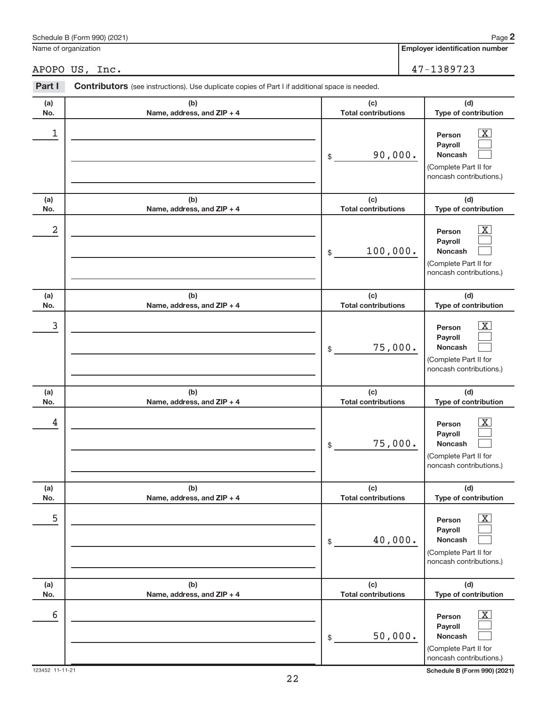|            | APOPO US, Inc.                                                                                        | 47-1389723                        |                                                                                                                    |  |
|------------|-------------------------------------------------------------------------------------------------------|-----------------------------------|--------------------------------------------------------------------------------------------------------------------|--|
| Part I     | <b>Contributors</b> (see instructions). Use duplicate copies of Part I if additional space is needed. |                                   |                                                                                                                    |  |
| (a)<br>No. | (b)<br>Name, address, and ZIP + 4                                                                     | (c)<br><b>Total contributions</b> | (d)<br>Type of contribution                                                                                        |  |
| 1          |                                                                                                       | 90,000.<br>\$                     | $\overline{\mathbf{X}}$<br>Person<br>Payroll<br><b>Noncash</b><br>(Complete Part II for<br>noncash contributions.) |  |
| (a)<br>No. | (b)<br>Name, address, and ZIP + 4                                                                     | (c)<br><b>Total contributions</b> | (d)<br>Type of contribution                                                                                        |  |
| 2          |                                                                                                       | 100,000.<br>\$                    | $\overline{\text{X}}$<br>Person<br>Payroll<br><b>Noncash</b><br>(Complete Part II for<br>noncash contributions.)   |  |
| (a)<br>No. | (b)<br>Name, address, and ZIP + 4                                                                     | (c)<br><b>Total contributions</b> | (d)<br>Type of contribution                                                                                        |  |
| 3          |                                                                                                       | 75,000.<br>\$                     | $\overline{\text{X}}$<br>Person<br>Payroll<br><b>Noncash</b><br>(Complete Part II for<br>noncash contributions.)   |  |
| (a)<br>No. | (b)<br>Name, address, and ZIP + 4                                                                     | (c)<br><b>Total contributions</b> | (d)<br>Type of contribution                                                                                        |  |
| 4          |                                                                                                       | 75,000.<br>\$                     | $\overline{\text{X}}$<br>Person<br>Payroll<br><b>Noncash</b><br>(Complete Part II for<br>noncash contributions.)   |  |
| (a)<br>No. | (b)<br>Name, address, and ZIP + 4                                                                     | (c)<br><b>Total contributions</b> | (d)<br>Type of contribution                                                                                        |  |
| 5          |                                                                                                       | 40,000.<br>\$                     | $\overline{\text{X}}$<br>Person<br>Payroll<br>Noncash<br>(Complete Part II for<br>noncash contributions.)          |  |
| (a)<br>No. | (b)<br>Name, address, and ZIP + 4                                                                     | (c)<br><b>Total contributions</b> | (d)<br>Type of contribution                                                                                        |  |
| 6          |                                                                                                       | 50,000.<br>\$                     | $\overline{\text{X}}$<br>Person<br>Payroll<br>Noncash<br>(Complete Part II for<br>noncash contributions.)          |  |

22

**Employer identification number**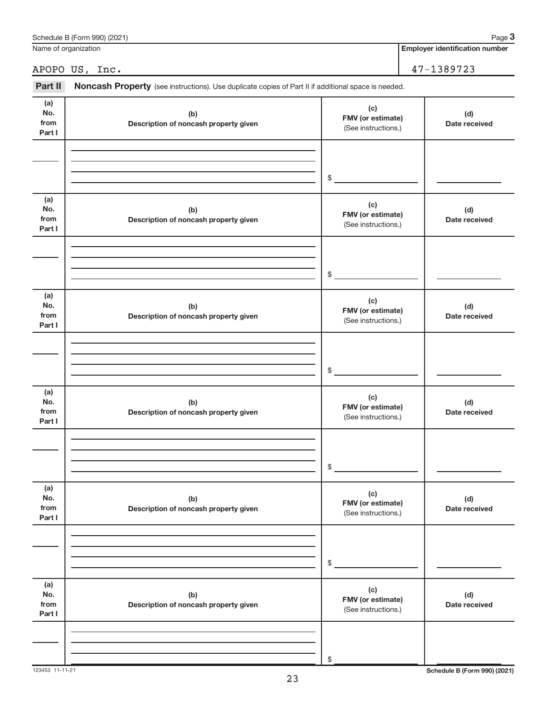| Name of organization         |                                                                                                     | <b>Employer identification number</b>           |                      |
|------------------------------|-----------------------------------------------------------------------------------------------------|-------------------------------------------------|----------------------|
|                              | APOPO US, Inc.                                                                                      |                                                 | 47-1389723           |
| Part II                      | Noncash Property (see instructions). Use duplicate copies of Part II if additional space is needed. |                                                 |                      |
| (a)<br>No.<br>from<br>Part I | (b)<br>Description of noncash property given                                                        | (c)<br>FMV (or estimate)<br>(See instructions.) | (d)<br>Date received |
|                              |                                                                                                     | \$                                              |                      |
| (a)<br>No.<br>from<br>Part I | (b)<br>Description of noncash property given                                                        | (c)<br>FMV (or estimate)<br>(See instructions.) | (d)<br>Date received |
|                              |                                                                                                     | \$                                              |                      |
| (a)<br>No.<br>from<br>Part I | (b)<br>Description of noncash property given                                                        | (c)<br>FMV (or estimate)<br>(See instructions.) | (d)<br>Date received |
|                              |                                                                                                     | \$                                              |                      |
| (a)<br>No.<br>from<br>Part I | (b)<br>Description of noncash property given                                                        | (c)<br>FMV (or estimate)<br>(See instructions.) | (d)<br>Date received |
|                              |                                                                                                     | \$                                              |                      |
| (a)<br>No.<br>from<br>Part I | (b)<br>Description of noncash property given                                                        | (c)<br>FMV (or estimate)<br>(See instructions.) | (d)<br>Date received |
|                              |                                                                                                     | \$                                              |                      |
| (a)<br>No.<br>from<br>Part I | (b)<br>Description of noncash property given                                                        | (c)<br>FMV (or estimate)<br>(See instructions.) | (d)<br>Date received |
|                              |                                                                                                     | \$                                              |                      |

Schedule B (Form 990) (2021)

123453 11-11-21 **Schedule B (Form 990) (2021)**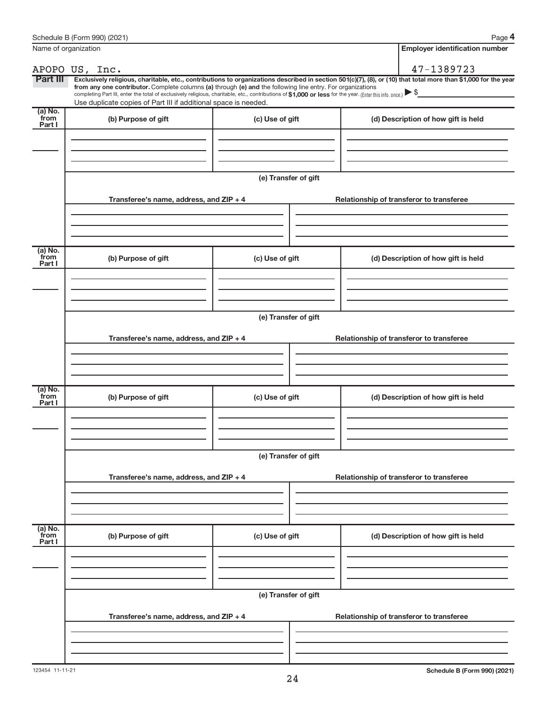|                           | Name of organization                                                                                                                                                                                                                                                                                                                      |                      | <b>Employer identification number</b>                                                                                                                          |  |
|---------------------------|-------------------------------------------------------------------------------------------------------------------------------------------------------------------------------------------------------------------------------------------------------------------------------------------------------------------------------------------|----------------------|----------------------------------------------------------------------------------------------------------------------------------------------------------------|--|
|                           | APOPO US, Inc.                                                                                                                                                                                                                                                                                                                            |                      | 47-1389723                                                                                                                                                     |  |
| Part III                  | from any one contributor. Complete columns (a) through (e) and the following line entry. For organizations<br>completing Part III, enter the total of exclusively religious, charitable, etc., contributions of \$1,000 or less for the year. (Enter this info. once.)<br>Use duplicate copies of Part III if additional space is needed. |                      | Exclusively religious, charitable, etc., contributions to organizations described in section 501(c)(7), (8), or (10) that total more than \$1,000 for the year |  |
| (a) No.<br>from<br>Part I | (b) Purpose of gift                                                                                                                                                                                                                                                                                                                       | (c) Use of gift      | (d) Description of how gift is held                                                                                                                            |  |
|                           |                                                                                                                                                                                                                                                                                                                                           |                      |                                                                                                                                                                |  |
|                           | Transferee's name, address, and ZIP + 4                                                                                                                                                                                                                                                                                                   | (e) Transfer of gift | Relationship of transferor to transferee                                                                                                                       |  |
|                           |                                                                                                                                                                                                                                                                                                                                           |                      |                                                                                                                                                                |  |
| (a) No.<br>from<br>Part I | (b) Purpose of gift                                                                                                                                                                                                                                                                                                                       | (c) Use of gift      | (d) Description of how gift is held                                                                                                                            |  |
|                           |                                                                                                                                                                                                                                                                                                                                           |                      |                                                                                                                                                                |  |
|                           | Transferee's name, address, and ZIP + 4                                                                                                                                                                                                                                                                                                   | (e) Transfer of gift | Relationship of transferor to transferee                                                                                                                       |  |
|                           |                                                                                                                                                                                                                                                                                                                                           |                      |                                                                                                                                                                |  |
| (a) No.<br>from<br>Part I | (b) Purpose of gift                                                                                                                                                                                                                                                                                                                       | (c) Use of gift      | (d) Description of how gift is held                                                                                                                            |  |
|                           |                                                                                                                                                                                                                                                                                                                                           |                      |                                                                                                                                                                |  |
|                           | Transferee's name, address, and ZIP + 4                                                                                                                                                                                                                                                                                                   | (e) Transfer of gift | Relationship of transferor to transferee                                                                                                                       |  |
|                           |                                                                                                                                                                                                                                                                                                                                           |                      |                                                                                                                                                                |  |
| (a) No.<br>from<br>Part I | (b) Purpose of gift                                                                                                                                                                                                                                                                                                                       | (c) Use of gift      | (d) Description of how gift is held                                                                                                                            |  |
|                           |                                                                                                                                                                                                                                                                                                                                           |                      |                                                                                                                                                                |  |
|                           |                                                                                                                                                                                                                                                                                                                                           | (e) Transfer of gift |                                                                                                                                                                |  |
|                           | Transferee's name, address, and ZIP + 4                                                                                                                                                                                                                                                                                                   |                      | Relationship of transferor to transferee                                                                                                                       |  |
|                           |                                                                                                                                                                                                                                                                                                                                           |                      |                                                                                                                                                                |  |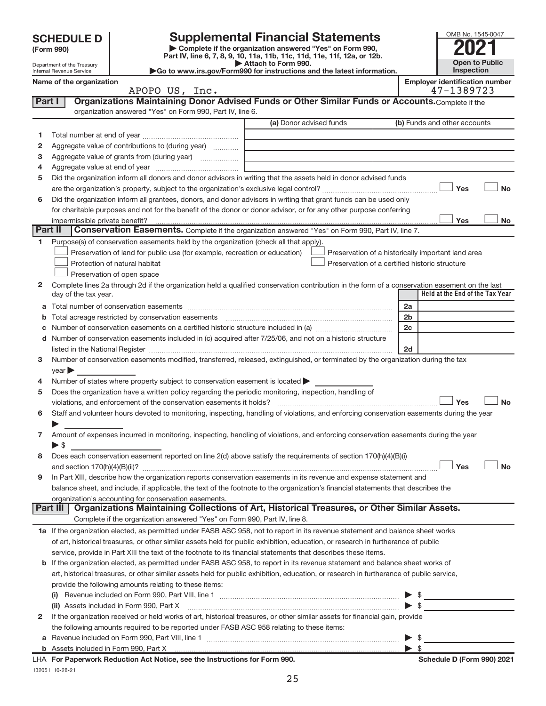Department of the Treasury Internal Revenue Service

**| Complete if the organization answered "Yes" on Form 990, Part IV, line 6, 7, 8, 9, 10, 11a, 11b, 11c, 11d, 11e, 11f, 12a, or 12b. SCHEDULE D Supplemental Financial Statements**<br> **Example 5** Complete if the organization answered "Yes" on Form 990,<br>
Part IV. line 6, 7, 8, 9, 10, 11a, 11b, 11c, 11d, 11e, 11f, 12a, or 12b.

**| Attach to Form 990. |Go to www.irs.gov/Form990 for instructions and the latest information.**

| OMB No. 1545-0047     |
|-----------------------|
|                       |
| <b>Open to Public</b> |
| Inspection            |

|             | Name of the organization<br>APOPO US, Inc.                                                                                                     |                         | <b>Employer identification number</b><br>47-1389723 |
|-------------|------------------------------------------------------------------------------------------------------------------------------------------------|-------------------------|-----------------------------------------------------|
| Part I      | Organizations Maintaining Donor Advised Funds or Other Similar Funds or Accounts. Complete if the                                              |                         |                                                     |
|             | organization answered "Yes" on Form 990, Part IV, line 6.                                                                                      |                         |                                                     |
|             |                                                                                                                                                | (a) Donor advised funds | (b) Funds and other accounts                        |
| 1.          |                                                                                                                                                |                         |                                                     |
| 2           | Aggregate value of contributions to (during year)                                                                                              |                         |                                                     |
| з           | Aggregate value of grants from (during year)                                                                                                   |                         |                                                     |
| 4           |                                                                                                                                                |                         |                                                     |
| 5           | Did the organization inform all donors and donor advisors in writing that the assets held in donor advised funds                               |                         |                                                     |
|             |                                                                                                                                                |                         | Yes<br><b>No</b>                                    |
| 6           | Did the organization inform all grantees, donors, and donor advisors in writing that grant funds can be used only                              |                         |                                                     |
|             | for charitable purposes and not for the benefit of the donor or donor advisor, or for any other purpose conferring                             |                         |                                                     |
|             | impermissible private benefit?                                                                                                                 |                         | Yes<br><b>No</b>                                    |
| Part II     | <b>Conservation Easements.</b> Complete if the organization answered "Yes" on Form 990, Part IV, line 7.                                       |                         |                                                     |
| 1           | Purpose(s) of conservation easements held by the organization (check all that apply).                                                          |                         |                                                     |
|             | Preservation of land for public use (for example, recreation or education)                                                                     |                         | Preservation of a historically important land area  |
|             | Protection of natural habitat                                                                                                                  |                         | Preservation of a certified historic structure      |
|             | Preservation of open space                                                                                                                     |                         |                                                     |
| 2           | Complete lines 2a through 2d if the organization held a qualified conservation contribution in the form of a conservation easement on the last |                         |                                                     |
|             | day of the tax year.                                                                                                                           |                         | Held at the End of the Tax Year                     |
| a           |                                                                                                                                                |                         | 2a                                                  |
| $\mathbf b$ |                                                                                                                                                |                         | 2 <sub>b</sub>                                      |
|             |                                                                                                                                                |                         | 2c                                                  |
| d           | Number of conservation easements included in (c) acquired after 7/25/06, and not on a historic structure                                       |                         |                                                     |
|             |                                                                                                                                                |                         | 2d                                                  |
| 3           | Number of conservation easements modified, transferred, released, extinguished, or terminated by the organization during the tax               |                         |                                                     |
|             | year                                                                                                                                           |                         |                                                     |
| 4           | Number of states where property subject to conservation easement is located >                                                                  |                         |                                                     |
| 5           | Does the organization have a written policy regarding the periodic monitoring, inspection, handling of                                         |                         |                                                     |
|             |                                                                                                                                                |                         | Yes<br><b>No</b>                                    |
| 6           | Staff and volunteer hours devoted to monitoring, inspecting, handling of violations, and enforcing conservation easements during the year      |                         |                                                     |
|             |                                                                                                                                                |                         |                                                     |
| 7           | Amount of expenses incurred in monitoring, inspecting, handling of violations, and enforcing conservation easements during the year            |                         |                                                     |
|             | $\blacktriangleright$ \$                                                                                                                       |                         |                                                     |
| 8           | Does each conservation easement reported on line $2(d)$ above satisfy the requirements of section $170(h)(4)(B)(i)$                            |                         |                                                     |
|             |                                                                                                                                                |                         | <b>No</b><br>Yes                                    |
|             | In Part XIII, describe how the organization reports conservation easements in its revenue and expense statement and                            |                         |                                                     |
|             | balance sheet, and include, if applicable, the text of the footnote to the organization's financial statements that describes the              |                         |                                                     |
|             | organization's accounting for conservation easements.                                                                                          |                         |                                                     |
|             | Organizations Maintaining Collections of Art, Historical Treasures, or Other Similar Assets.<br><b>Part III</b>                                |                         |                                                     |
|             | Complete if the organization answered "Yes" on Form 990, Part IV, line 8.                                                                      |                         |                                                     |
|             | 1a If the organization elected, as permitted under FASB ASC 958, not to report in its revenue statement and balance sheet works                |                         |                                                     |
|             | of art, historical treasures, or other similar assets held for public exhibition, education, or research in furtherance of public              |                         |                                                     |
|             | service, provide in Part XIII the text of the footnote to its financial statements that describes these items.                                 |                         |                                                     |
| b           | If the organization elected, as permitted under FASB ASC 958, to report in its revenue statement and balance sheet works of                    |                         |                                                     |
|             | art, historical treasures, or other similar assets held for public exhibition, education, or research in furtherance of public service,        |                         |                                                     |
|             | provide the following amounts relating to these items:                                                                                         |                         |                                                     |
|             |                                                                                                                                                |                         | $\frac{1}{2}$                                       |
|             | (ii) Assets included in Form 990, Part X [11] [2000] [2010] [2010] [30] Assets included in Form 990, Part X                                    |                         | \$                                                  |
| 2           | If the organization received or held works of art, historical treasures, or other similar assets for financial gain, provide                   |                         |                                                     |
|             | the following amounts required to be reported under FASB ASC 958 relating to these items:                                                      |                         |                                                     |
|             |                                                                                                                                                |                         | $\blacktriangleright$ \$                            |

132051 10-28-21 LHA For Paperwork Reduction Act Notice, see the Instructions for Form 990. Shedule D (Form 990) 2021 LHA Form 990)

| \$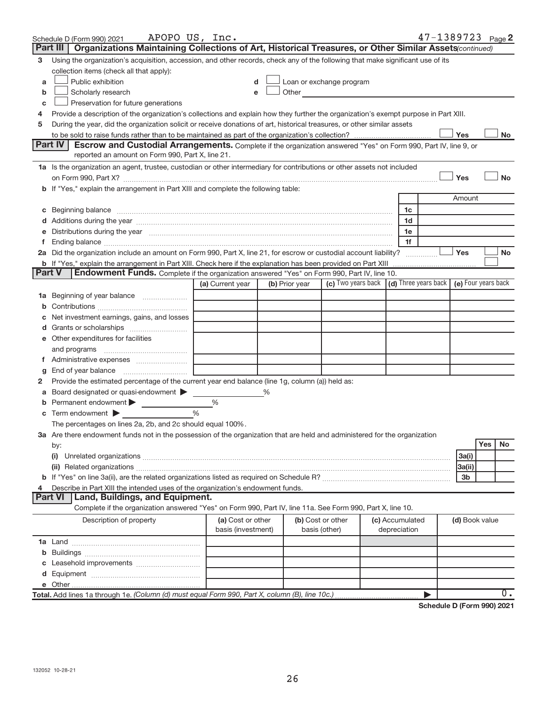|               | APOPO US, Inc.<br>Schedule D (Form 990) 2021                                                                                                                                                                                   |                    |   |                |                                                                                                                                                                                                                               |                 |              | $47 - 1389723$ Page 2 |                |     |                  |
|---------------|--------------------------------------------------------------------------------------------------------------------------------------------------------------------------------------------------------------------------------|--------------------|---|----------------|-------------------------------------------------------------------------------------------------------------------------------------------------------------------------------------------------------------------------------|-----------------|--------------|-----------------------|----------------|-----|------------------|
|               | Part III   Organizations Maintaining Collections of Art, Historical Treasures, or Other Similar Assets (continued)                                                                                                             |                    |   |                |                                                                                                                                                                                                                               |                 |              |                       |                |     |                  |
| 3             | Using the organization's acquisition, accession, and other records, check any of the following that make significant use of its                                                                                                |                    |   |                |                                                                                                                                                                                                                               |                 |              |                       |                |     |                  |
|               | collection items (check all that apply):                                                                                                                                                                                       |                    |   |                |                                                                                                                                                                                                                               |                 |              |                       |                |     |                  |
| a             | Public exhibition                                                                                                                                                                                                              | d                  |   |                | Loan or exchange program                                                                                                                                                                                                      |                 |              |                       |                |     |                  |
| b             | Scholarly research                                                                                                                                                                                                             | e                  |   |                | Other and the contract of the contract of the contract of the contract of the contract of the contract of the contract of the contract of the contract of the contract of the contract of the contract of the contract of the |                 |              |                       |                |     |                  |
| с             | Preservation for future generations                                                                                                                                                                                            |                    |   |                |                                                                                                                                                                                                                               |                 |              |                       |                |     |                  |
| 4             | Provide a description of the organization's collections and explain how they further the organization's exempt purpose in Part XIII.                                                                                           |                    |   |                |                                                                                                                                                                                                                               |                 |              |                       |                |     |                  |
| 5             | During the year, did the organization solicit or receive donations of art, historical treasures, or other similar assets                                                                                                       |                    |   |                |                                                                                                                                                                                                                               |                 |              |                       |                |     |                  |
|               |                                                                                                                                                                                                                                |                    |   |                |                                                                                                                                                                                                                               |                 |              |                       | Yes            |     | No               |
|               | Part IV<br><b>Escrow and Custodial Arrangements.</b> Complete if the organization answered "Yes" on Form 990, Part IV, line 9, or                                                                                              |                    |   |                |                                                                                                                                                                                                                               |                 |              |                       |                |     |                  |
|               | reported an amount on Form 990, Part X, line 21.                                                                                                                                                                               |                    |   |                |                                                                                                                                                                                                                               |                 |              |                       |                |     |                  |
|               | 1a Is the organization an agent, trustee, custodian or other intermediary for contributions or other assets not included                                                                                                       |                    |   |                |                                                                                                                                                                                                                               |                 |              |                       |                |     |                  |
|               |                                                                                                                                                                                                                                |                    |   |                |                                                                                                                                                                                                                               |                 |              |                       | Yes            |     | <b>No</b>        |
|               | b If "Yes," explain the arrangement in Part XIII and complete the following table:                                                                                                                                             |                    |   |                |                                                                                                                                                                                                                               |                 |              |                       |                |     |                  |
|               |                                                                                                                                                                                                                                |                    |   |                |                                                                                                                                                                                                                               |                 |              |                       | Amount         |     |                  |
|               | c Beginning balance measurements and the contract of the contract of the contract of the contract of the contract of the contract of the contract of the contract of the contract of the contract of the contract of the contr |                    |   |                |                                                                                                                                                                                                                               |                 | 1c           |                       |                |     |                  |
|               |                                                                                                                                                                                                                                |                    |   |                |                                                                                                                                                                                                                               |                 | 1d           |                       |                |     |                  |
|               | e Distributions during the year manufactured and continuum control of the control of the control of the state of the control of the control of the control of the control of the control of the control of the control of the  |                    |   |                |                                                                                                                                                                                                                               |                 | 1e           |                       |                |     |                  |
|               |                                                                                                                                                                                                                                |                    |   |                |                                                                                                                                                                                                                               |                 | 1f           |                       |                |     |                  |
|               | 2a Did the organization include an amount on Form 990, Part X, line 21, for escrow or custodial account liability?                                                                                                             |                    |   |                |                                                                                                                                                                                                                               |                 |              |                       | Yes            |     | No               |
| <b>Part V</b> | <b>b</b> If "Yes," explain the arrangement in Part XIII. Check here if the explanation has been provided on Part XIII                                                                                                          |                    |   |                |                                                                                                                                                                                                                               |                 |              |                       |                |     |                  |
|               | <b>Endowment Funds.</b> Complete if the organization answered "Yes" on Form 990, Part IV, line 10.                                                                                                                             | (a) Current year   |   | (b) Prior year | (c) Two years back (d) Three years back (e) Four years back                                                                                                                                                                   |                 |              |                       |                |     |                  |
|               |                                                                                                                                                                                                                                |                    |   |                |                                                                                                                                                                                                                               |                 |              |                       |                |     |                  |
|               | <b>1a</b> Beginning of year balance                                                                                                                                                                                            |                    |   |                |                                                                                                                                                                                                                               |                 |              |                       |                |     |                  |
|               |                                                                                                                                                                                                                                |                    |   |                |                                                                                                                                                                                                                               |                 |              |                       |                |     |                  |
|               | Net investment earnings, gains, and losses                                                                                                                                                                                     |                    |   |                |                                                                                                                                                                                                                               |                 |              |                       |                |     |                  |
|               |                                                                                                                                                                                                                                |                    |   |                |                                                                                                                                                                                                                               |                 |              |                       |                |     |                  |
|               | e Other expenditures for facilities                                                                                                                                                                                            |                    |   |                |                                                                                                                                                                                                                               |                 |              |                       |                |     |                  |
|               |                                                                                                                                                                                                                                |                    |   |                |                                                                                                                                                                                                                               |                 |              |                       |                |     |                  |
|               |                                                                                                                                                                                                                                |                    |   |                |                                                                                                                                                                                                                               |                 |              |                       |                |     |                  |
| g             | End of year balance $\ldots$<br>Provide the estimated percentage of the current year end balance (line 1g, column (a)) held as:                                                                                                |                    |   |                |                                                                                                                                                                                                                               |                 |              |                       |                |     |                  |
| 2             |                                                                                                                                                                                                                                |                    | % |                |                                                                                                                                                                                                                               |                 |              |                       |                |     |                  |
|               | a Board designated or quasi-endowment<br><b>b</b> Permanent endowment $\blacktriangleright$                                                                                                                                    | %                  |   |                |                                                                                                                                                                                                                               |                 |              |                       |                |     |                  |
|               | <b>c</b> Term endowment $\blacktriangleright$                                                                                                                                                                                  | %                  |   |                |                                                                                                                                                                                                                               |                 |              |                       |                |     |                  |
|               | The percentages on lines 2a, 2b, and 2c should equal 100%.                                                                                                                                                                     |                    |   |                |                                                                                                                                                                                                                               |                 |              |                       |                |     |                  |
|               | 3a Are there endowment funds not in the possession of the organization that are held and administered for the organization                                                                                                     |                    |   |                |                                                                                                                                                                                                                               |                 |              |                       |                |     |                  |
|               | by:                                                                                                                                                                                                                            |                    |   |                |                                                                                                                                                                                                                               |                 |              |                       |                | Yes | No               |
|               | (i)                                                                                                                                                                                                                            |                    |   |                |                                                                                                                                                                                                                               |                 |              |                       | 3a(i)          |     |                  |
|               |                                                                                                                                                                                                                                |                    |   |                |                                                                                                                                                                                                                               |                 |              |                       | 3a(ii)         |     |                  |
|               |                                                                                                                                                                                                                                |                    |   |                |                                                                                                                                                                                                                               |                 |              |                       | 3b             |     |                  |
| 4             | Describe in Part XIII the intended uses of the organization's endowment funds.                                                                                                                                                 |                    |   |                |                                                                                                                                                                                                                               |                 |              |                       |                |     |                  |
|               | Land, Buildings, and Equipment.<br><b>Part VI</b>                                                                                                                                                                              |                    |   |                |                                                                                                                                                                                                                               |                 |              |                       |                |     |                  |
|               | Complete if the organization answered "Yes" on Form 990, Part IV, line 11a. See Form 990, Part X, line 10.                                                                                                                     |                    |   |                |                                                                                                                                                                                                                               |                 |              |                       |                |     |                  |
|               | Description of property                                                                                                                                                                                                        | (a) Cost or other  |   |                | (b) Cost or other                                                                                                                                                                                                             | (c) Accumulated |              |                       | (d) Book value |     |                  |
|               |                                                                                                                                                                                                                                | basis (investment) |   |                | basis (other)                                                                                                                                                                                                                 |                 | depreciation |                       |                |     |                  |
|               |                                                                                                                                                                                                                                |                    |   |                |                                                                                                                                                                                                                               |                 |              |                       |                |     |                  |
|               |                                                                                                                                                                                                                                |                    |   |                |                                                                                                                                                                                                                               |                 |              |                       |                |     |                  |
|               |                                                                                                                                                                                                                                |                    |   |                |                                                                                                                                                                                                                               |                 |              |                       |                |     |                  |
|               |                                                                                                                                                                                                                                |                    |   |                |                                                                                                                                                                                                                               |                 |              |                       |                |     |                  |
|               |                                                                                                                                                                                                                                |                    |   |                |                                                                                                                                                                                                                               |                 |              |                       |                |     |                  |
|               | Total. Add lines 1a through 1e. (Column (d) must equal Form 990, Part X, column (B), line 10c.)                                                                                                                                |                    |   |                |                                                                                                                                                                                                                               |                 |              | ▶                     |                |     | $\overline{0}$ . |

**Schedule D (Form 990) 2021**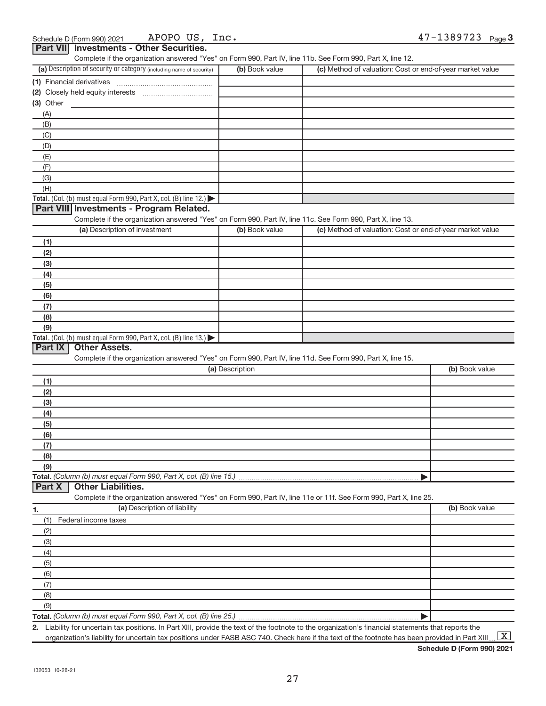|  | Schedule D (Form 990) 2021 | US<br>APOPO<br>⊥nc - | ברדם פר<br>◠<br>، دەد<br>Page 3<br>۔ ہے ' |
|--|----------------------------|----------------------|-------------------------------------------|
|--|----------------------------|----------------------|-------------------------------------------|

| Part VII Investments - Other Securities.                                                                          |                 |                                                           |                |
|-------------------------------------------------------------------------------------------------------------------|-----------------|-----------------------------------------------------------|----------------|
| Complete if the organization answered "Yes" on Form 990, Part IV, line 11b. See Form 990, Part X, line 12.        |                 |                                                           |                |
| (a) Description of security or category (including name of security)                                              | (b) Book value  | (c) Method of valuation: Cost or end-of-year market value |                |
| (1) Financial derivatives                                                                                         |                 |                                                           |                |
|                                                                                                                   |                 |                                                           |                |
| (3) Other                                                                                                         |                 |                                                           |                |
| (A)                                                                                                               |                 |                                                           |                |
| (B)                                                                                                               |                 |                                                           |                |
| (C)                                                                                                               |                 |                                                           |                |
| (D)                                                                                                               |                 |                                                           |                |
| (E)                                                                                                               |                 |                                                           |                |
| (F)                                                                                                               |                 |                                                           |                |
| (G)                                                                                                               |                 |                                                           |                |
| (H)                                                                                                               |                 |                                                           |                |
| Total. (Col. (b) must equal Form 990, Part X, col. (B) line 12.)                                                  |                 |                                                           |                |
| Part VIII Investments - Program Related.                                                                          |                 |                                                           |                |
| Complete if the organization answered "Yes" on Form 990, Part IV, line 11c. See Form 990, Part X, line 13.        |                 |                                                           |                |
| (a) Description of investment                                                                                     | (b) Book value  | (c) Method of valuation: Cost or end-of-year market value |                |
| (1)                                                                                                               |                 |                                                           |                |
| (2)                                                                                                               |                 |                                                           |                |
| (3)                                                                                                               |                 |                                                           |                |
| (4)                                                                                                               |                 |                                                           |                |
| (5)                                                                                                               |                 |                                                           |                |
| (6)                                                                                                               |                 |                                                           |                |
| (7)                                                                                                               |                 |                                                           |                |
| (8)                                                                                                               |                 |                                                           |                |
| (9)                                                                                                               |                 |                                                           |                |
| Total. (Col. (b) must equal Form 990, Part X, col. (B) line 13.) $\blacktriangleright$                            |                 |                                                           |                |
| <b>Other Assets.</b><br>Part IX                                                                                   |                 |                                                           |                |
| Complete if the organization answered "Yes" on Form 990, Part IV, line 11d. See Form 990, Part X, line 15.        |                 |                                                           |                |
|                                                                                                                   | (a) Description |                                                           | (b) Book value |
| (1)                                                                                                               |                 |                                                           |                |
| (2)                                                                                                               |                 |                                                           |                |
| (3)                                                                                                               |                 |                                                           |                |
| (4)                                                                                                               |                 |                                                           |                |
| (5)                                                                                                               |                 |                                                           |                |
| (6)                                                                                                               |                 |                                                           |                |
| (7)                                                                                                               |                 |                                                           |                |
| (8)                                                                                                               |                 |                                                           |                |
| (9)                                                                                                               |                 |                                                           |                |
| Total. (Column (b) must equal Form 990, Part X, col. (B) line 15.)<br><b>Other Liabilities.</b><br>Part X         |                 |                                                           |                |
| Complete if the organization answered "Yes" on Form 990, Part IV, line 11e or 11f. See Form 990, Part X, line 25. |                 |                                                           |                |
| (a) Description of liability                                                                                      |                 |                                                           | (b) Book value |
| 1.                                                                                                                |                 |                                                           |                |
| (1)<br>Federal income taxes                                                                                       |                 |                                                           |                |
| (2)                                                                                                               |                 |                                                           |                |
| (3)                                                                                                               |                 |                                                           |                |
| (4)                                                                                                               |                 |                                                           |                |
| (5)                                                                                                               |                 |                                                           |                |
| (6)                                                                                                               |                 |                                                           |                |
| (7)                                                                                                               |                 |                                                           |                |
| (8)                                                                                                               |                 |                                                           |                |
| (9)<br>$m$ uat agual Form 000, Dort Y, ool (D) line 25                                                            |                 |                                                           |                |

**Total.**  *(Column (b) must equal Form 990, Part X, col. (B) line 25.)* |

**2.** Liability for uncertain tax positions. In Part XIII, provide the text of the footnote to the organization's financial statements that reports the organization's liability for uncertain tax positions under FASB ASC 740. Check here if the text of the footnote has been provided in Part XIII ...  $\boxed{\mathrm{X}}$ 

**Schedule D (Form 990) 2021**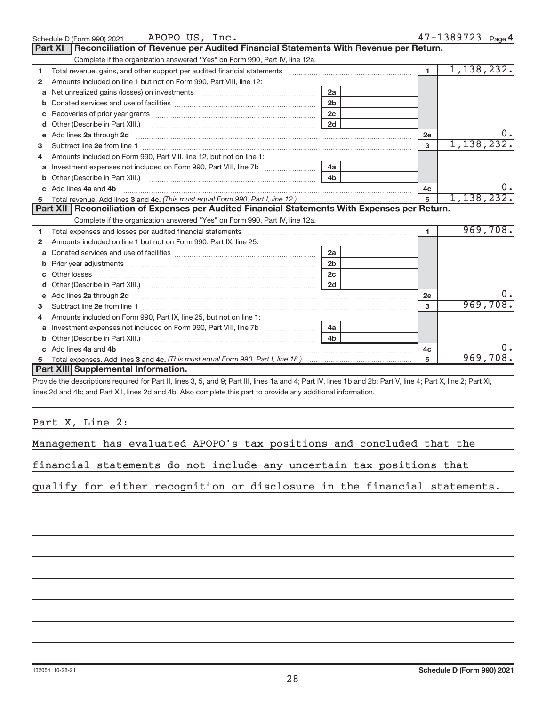|   | APOPO US, Inc.<br>Schedule D (Form 990) 2021                                                                                                                                                                                                                            |                |                | 47-1389723 Page 4 |  |  |  |
|---|-------------------------------------------------------------------------------------------------------------------------------------------------------------------------------------------------------------------------------------------------------------------------|----------------|----------------|-------------------|--|--|--|
|   | Reconciliation of Revenue per Audited Financial Statements With Revenue per Return.<br><b>Part XI</b>                                                                                                                                                                   |                |                |                   |  |  |  |
|   | Complete if the organization answered "Yes" on Form 990, Part IV, line 12a.                                                                                                                                                                                             |                |                |                   |  |  |  |
| 1 | Total revenue, gains, and other support per audited financial statements [11] [11] Total revenue, gains, and other support per audited financial statements                                                                                                             |                | 1 <sup>1</sup> | 1,138,232.        |  |  |  |
| 2 | Amounts included on line 1 but not on Form 990, Part VIII, line 12:                                                                                                                                                                                                     |                |                |                   |  |  |  |
| a | Net unrealized gains (losses) on investments [111] [12] matter and all products are not all products and all p                                                                                                                                                          | 2a             |                |                   |  |  |  |
| b |                                                                                                                                                                                                                                                                         | 2 <sub>b</sub> |                |                   |  |  |  |
| С |                                                                                                                                                                                                                                                                         |                |                |                   |  |  |  |
| d |                                                                                                                                                                                                                                                                         | 2d             |                |                   |  |  |  |
| e | Add lines 2a through 2d <b>[10]</b> [20] <b>All and Parameter 2016</b> [20] <b>Add lines 2a through 2d</b> [10] <b>All and Parameter 2016</b> [20] <b>All and Parameter 2016</b> [20] <b>All and Parameter 2016</b> [20] <b>All and Parameter 2016</b> [20] <b>All </b> |                | 2e             |                   |  |  |  |
| 3 |                                                                                                                                                                                                                                                                         |                | 3              | 1,138,232.        |  |  |  |
|   | Amounts included on Form 990, Part VIII, line 12, but not on line 1:                                                                                                                                                                                                    |                |                |                   |  |  |  |
| a |                                                                                                                                                                                                                                                                         |                |                |                   |  |  |  |
| b |                                                                                                                                                                                                                                                                         |                |                |                   |  |  |  |
|   | Add lines 4a and 4b                                                                                                                                                                                                                                                     |                | 4c             |                   |  |  |  |
| 5 |                                                                                                                                                                                                                                                                         | 5              | 1, 138, 232.   |                   |  |  |  |
|   |                                                                                                                                                                                                                                                                         |                |                |                   |  |  |  |
|   | Part XII Reconciliation of Expenses per Audited Financial Statements With Expenses per Return.                                                                                                                                                                          |                |                |                   |  |  |  |
|   | Complete if the organization answered "Yes" on Form 990, Part IV, line 12a.                                                                                                                                                                                             |                |                |                   |  |  |  |
| 1 |                                                                                                                                                                                                                                                                         |                | $\blacksquare$ | 969,708.          |  |  |  |
| 2 | Amounts included on line 1 but not on Form 990, Part IX, line 25:                                                                                                                                                                                                       |                |                |                   |  |  |  |
| a |                                                                                                                                                                                                                                                                         | <b>2a</b>      |                |                   |  |  |  |
| b |                                                                                                                                                                                                                                                                         | 2 <sub>b</sub> |                |                   |  |  |  |
| c |                                                                                                                                                                                                                                                                         | 2 <sub>c</sub> |                |                   |  |  |  |
| d |                                                                                                                                                                                                                                                                         |                |                |                   |  |  |  |
| е | Add lines 2a through 2d <b>must be a constructed as a constructed by a</b> construction of the state of the state of the state of the state of the state of the state of the state of the state of the state of the state of the st                                     |                | 2e             |                   |  |  |  |
| 3 |                                                                                                                                                                                                                                                                         |                | 3              | 969,708.          |  |  |  |
| 4 | Amounts included on Form 990, Part IX, line 25, but not on line 1:                                                                                                                                                                                                      |                |                |                   |  |  |  |
| a |                                                                                                                                                                                                                                                                         |                |                |                   |  |  |  |
| b |                                                                                                                                                                                                                                                                         | 4 <sub>b</sub> |                |                   |  |  |  |
|   | Add lines 4a and 4b                                                                                                                                                                                                                                                     |                | 4с             |                   |  |  |  |
|   | <b>Part XIII Supplemental Information.</b>                                                                                                                                                                                                                              |                | 5              | 969,708.          |  |  |  |

Provide the descriptions required for Part II, lines 3, 5, and 9; Part III, lines 1a and 4; Part IV, lines 1b and 2b; Part V, line 4; Part X, line 2; Part XI, lines 2d and 4b; and Part XII, lines 2d and 4b. Also complete this part to provide any additional information.

#### Part X, Line 2:

| Management has evaluated APOPO's tax positions and concluded that the |  |  |  |  |  |  |  |  |  |  |
|-----------------------------------------------------------------------|--|--|--|--|--|--|--|--|--|--|
|-----------------------------------------------------------------------|--|--|--|--|--|--|--|--|--|--|

financial statements do not include any uncertain tax positions that

qualify for either recognition or disclosure in the financial statements.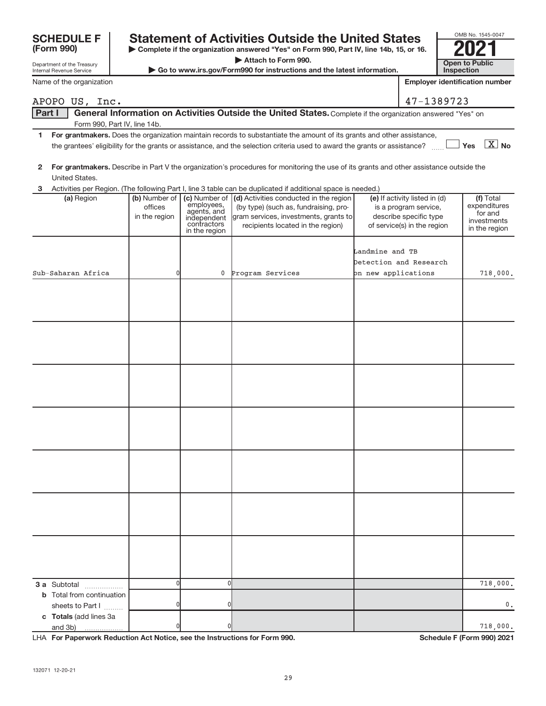#### **| Complete if the organization answered "Yes" on Form 990, Part IV, line 14b, 15, or 16. F Statement of Activities Outside the United States**  $\begin{array}{|c|c|c|}\n\hline\n\end{array}$   $\begin{array}{|c|c|c|}\n\hline\n\end{array}$   $\begin{array}{|c|c|}\n\hline\n\end{array}$   $\begin{array}{|c|c|}\n\hline\n\end{array}$   $\begin{array}{|c|c|}\n\hline\n\end{array}$   $\begin{array}{|c|c|}\n\hline\n\end{array}$   $\begin{array}{|c|c|}\n\hline\n$

**| Attach to Form 990.**

**| Go to www.irs.gov/Form990 for instructions and the latest information. Open to Public Inspection**

OMB No. 1545-0047

Internal Revenue Service Name of the organization

|   |                                                      |                                           |                                                                                           | 2 For grantmakers. Describe in Part V the organization's procedures for monitoring the use of its grants and other assistance outside the                                                                                                                                     |                                                                                                                 |                                                                      |
|---|------------------------------------------------------|-------------------------------------------|-------------------------------------------------------------------------------------------|-------------------------------------------------------------------------------------------------------------------------------------------------------------------------------------------------------------------------------------------------------------------------------|-----------------------------------------------------------------------------------------------------------------|----------------------------------------------------------------------|
|   | United States.                                       |                                           |                                                                                           |                                                                                                                                                                                                                                                                               |                                                                                                                 |                                                                      |
| 3 | (a) Region                                           | (b) Number of<br>offices<br>in the region | (c) Number of<br>employees,<br>agents, and<br>independent<br>contractors<br>in the region | Activities per Region. (The following Part I, line 3 table can be duplicated if additional space is needed.)<br>(d) Activities conducted in the region<br>(by type) (such as, fundraising, pro-<br>gram services, investments, grants to<br>recipients located in the region) | (e) If activity listed in (d)<br>is a program service,<br>describe specific type<br>of service(s) in the region | (f) Total<br>expenditures<br>for and<br>investments<br>in the region |
|   | Sub-Saharan Africa                                   | 0                                         | 0                                                                                         | Program Services                                                                                                                                                                                                                                                              | Landmine and TB<br>Detection and Research<br>on new applications                                                | 718,000.                                                             |
|   |                                                      |                                           |                                                                                           |                                                                                                                                                                                                                                                                               |                                                                                                                 |                                                                      |
|   |                                                      |                                           |                                                                                           |                                                                                                                                                                                                                                                                               |                                                                                                                 |                                                                      |
|   |                                                      |                                           |                                                                                           |                                                                                                                                                                                                                                                                               |                                                                                                                 |                                                                      |
|   |                                                      |                                           |                                                                                           |                                                                                                                                                                                                                                                                               |                                                                                                                 |                                                                      |
|   |                                                      |                                           |                                                                                           |                                                                                                                                                                                                                                                                               |                                                                                                                 |                                                                      |
|   |                                                      |                                           |                                                                                           |                                                                                                                                                                                                                                                                               |                                                                                                                 |                                                                      |
|   |                                                      |                                           |                                                                                           |                                                                                                                                                                                                                                                                               |                                                                                                                 |                                                                      |
|   | 3 a Subtotal                                         | $\overline{0}$                            | <sub>0</sub>                                                                              |                                                                                                                                                                                                                                                                               |                                                                                                                 | 718,000.                                                             |
|   | <b>b</b> Total from continuation<br>sheets to Part I | 0                                         | 0                                                                                         |                                                                                                                                                                                                                                                                               |                                                                                                                 | 0.                                                                   |

#### Part I | General Information on Activities Outside the United States. Complete if the organization answered "Yes" on APOPO US, Inc. 47-1389723

Form 990, Part IV, line 14b.

- **1 For grantmakers.**  Does the organization maintain records to substantiate the amount of its grants and other assistance, **Yes No** the grantees' eligibility for the grants or assistance, and the selection criteria used to award the grants or assistance? ~~ X
- **2**

| LHA For Paperwork Reduction Act Notice, see the Instructions for Form 990. |    |  |  |  |  |
|----------------------------------------------------------------------------|----|--|--|--|--|
| 132071 12-20-21                                                            | 29 |  |  |  |  |
|                                                                            |    |  |  |  |  |

**c Totals**  (add lines 3a

and 3b)

sheets to Part  $1$   $\ldots$ ...

Schedule F (Form 990) 2021

0 0 718,000.



| <b>SCHEDULE</b> |  |
|-----------------|--|
| (Form 990)      |  |

Department of the Treasury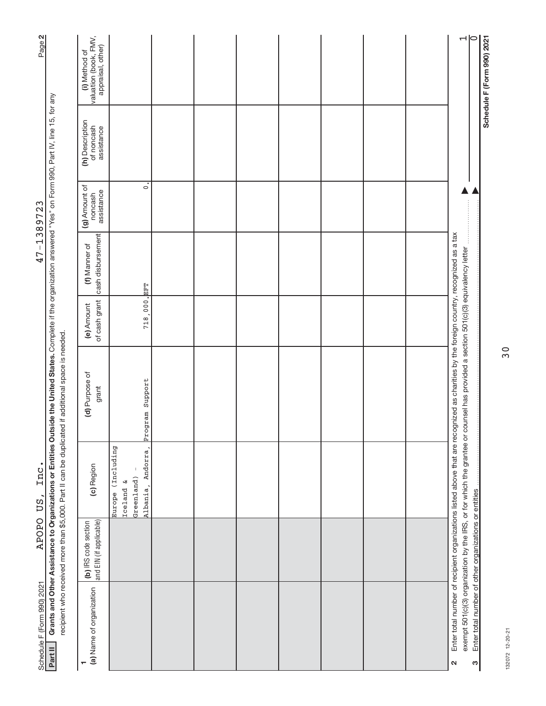| Page 2                     |                                                                                                                                                                                                                                                                              | (i) Method of<br>valuation (book, FMV,<br>appraisal, other) |                                                                            |  |  |  | $\overline{\neg}$                                                                                                                                                                                      |                                                            | Schedule F (Form 990) 2021 |
|----------------------------|------------------------------------------------------------------------------------------------------------------------------------------------------------------------------------------------------------------------------------------------------------------------------|-------------------------------------------------------------|----------------------------------------------------------------------------|--|--|--|--------------------------------------------------------------------------------------------------------------------------------------------------------------------------------------------------------|------------------------------------------------------------|----------------------------|
|                            |                                                                                                                                                                                                                                                                              | (h) Description<br>of noncash<br>assistance                 |                                                                            |  |  |  |                                                                                                                                                                                                        |                                                            |                            |
|                            |                                                                                                                                                                                                                                                                              | (g) Amount of<br>assistance<br>noncash                      | $\circ$                                                                    |  |  |  |                                                                                                                                                                                                        |                                                            |                            |
| 47-1389723                 |                                                                                                                                                                                                                                                                              | cash disbursement<br>(f) Manner of                          |                                                                            |  |  |  |                                                                                                                                                                                                        |                                                            |                            |
|                            |                                                                                                                                                                                                                                                                              | of cash grant<br>(e) Amount                                 | 718,000, EFT                                                               |  |  |  |                                                                                                                                                                                                        |                                                            |                            |
|                            | Grants and Other Assistance to Organizations or Entities Outside the United States. Complete if the organization answered "Yes" on Form 990, Part IV, line 15, for any<br>recipient who received more than \$5,000. Part II can be duplicated if additional space is needed. | (d) Purpose of<br>grant                                     | Program Support                                                            |  |  |  | Enter total number of recipient organizations listed above that are recognized as charities by the foreign country, recognized as a tax<br>counsel has provided a section 501(c)(3) equivalency letter |                                                            |                            |
| Inc<br>US,                 |                                                                                                                                                                                                                                                                              | (c) Region                                                  | (Including<br>Andorra<br>Greenland)<br>ىغ<br>Albania.<br>Iceland<br>Europe |  |  |  | exempt 501(c)(3) organization by the IRS, or for which the grantee or                                                                                                                                  |                                                            |                            |
| <b>APOPO</b>               |                                                                                                                                                                                                                                                                              | and EIN (if applicable)<br>(b) IRS code section             |                                                                            |  |  |  |                                                                                                                                                                                                        |                                                            |                            |
| Schedule F (Form 990) 2021 | Part II                                                                                                                                                                                                                                                                      | (a) Name of organization                                    |                                                                            |  |  |  | $\mathbf{\Omega}$                                                                                                                                                                                      | Enter total number of other organizations or entities<br>ო |                            |

132072 12-20-21 132072 12-20-21

30

Page 2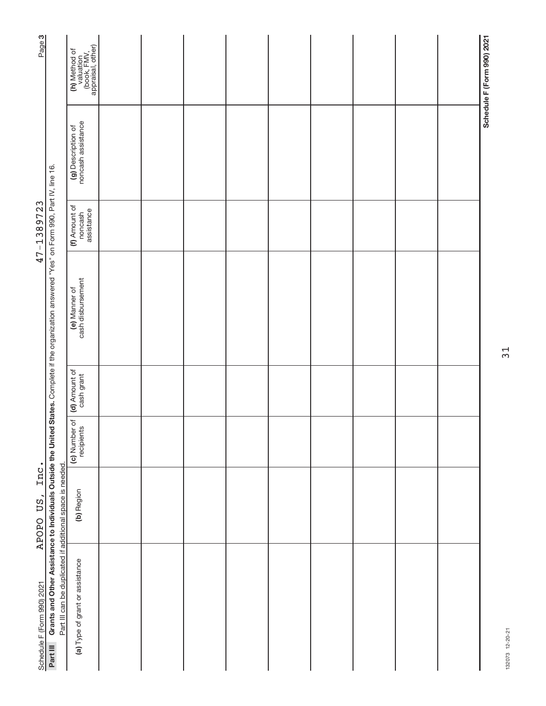| Page 3                     |                                                                                                                                                  | (h) Method of<br>valuation<br>(book, FMV,<br>appraisal, other) |  |  |  |  | Schedule F (Form 990) 2021 |
|----------------------------|--------------------------------------------------------------------------------------------------------------------------------------------------|----------------------------------------------------------------|--|--|--|--|----------------------------|
|                            |                                                                                                                                                  | (g) Description of<br>noncash assistance                       |  |  |  |  |                            |
| 47-1389723                 |                                                                                                                                                  | (f) Amount of<br>assistance<br>noncash                         |  |  |  |  |                            |
|                            | Grants and Other Assistance to Individuals Outside the United States. Complete if the organization answered "Yes" on Form 990, Part IV, line 16. | cash disbursement<br>(e) Manner of                             |  |  |  |  |                            |
|                            |                                                                                                                                                  | (d) Amount of                                                  |  |  |  |  |                            |
|                            |                                                                                                                                                  | (c) Number of<br>recipients                                    |  |  |  |  |                            |
| Inc.<br>APOPO US,          |                                                                                                                                                  | (b) Region                                                     |  |  |  |  |                            |
| Schedule F (Form 990) 2021 | Part III can be duplicated if additional space is needed.<br>Part III                                                                            | (a) Type of grant or assistance                                |  |  |  |  |                            |

31

132073 12-20-21 132073 12-20-21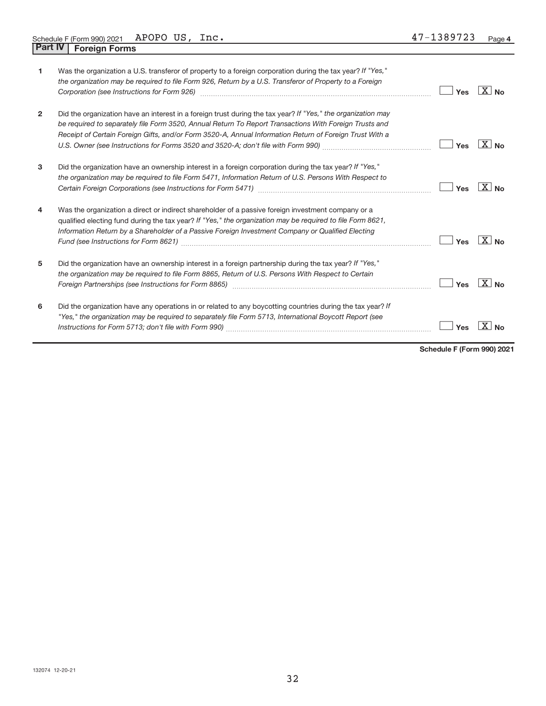| 1              | Was the organization a U.S. transferor of property to a foreign corporation during the tax year? If "Yes,"<br>the organization may be required to file Form 926, Return by a U.S. Transferor of Property to a Foreign<br>Corporation (see Instructions for Form 926) [11] Corporation (see Instructions for Form 926) [11] Corporation | Yes | $X _{N0}$           |
|----------------|----------------------------------------------------------------------------------------------------------------------------------------------------------------------------------------------------------------------------------------------------------------------------------------------------------------------------------------|-----|---------------------|
| $\overline{2}$ | Did the organization have an interest in a foreign trust during the tax year? If "Yes," the organization may<br>be required to separately file Form 3520, Annual Return To Report Transactions With Foreign Trusts and<br>Receipt of Certain Foreign Gifts, and/or Form 3520-A, Annual Information Return of Foreign Trust With a      | Yes | $X _{\text{No}}$    |
| 3              | Did the organization have an ownership interest in a foreign corporation during the tax year? If "Yes,"<br>the organization may be required to file Form 5471, Information Return of U.S. Persons With Respect to                                                                                                                      | Yes | $X _{N_{\Omega}}$   |
| 4              | Was the organization a direct or indirect shareholder of a passive foreign investment company or a<br>qualified electing fund during the tax year? If "Yes," the organization may be required to file Form 8621,<br>Information Return by a Shareholder of a Passive Foreign Investment Company or Qualified Electing                  | Yes | $ X _{\mathsf{No}}$ |
| 5              | Did the organization have an ownership interest in a foreign partnership during the tax year? If "Yes,"<br>the organization may be required to file Form 8865, Return of U.S. Persons With Respect to Certain                                                                                                                          | Yes | $X _{\text{No}}$    |
| 6              | Did the organization have any operations in or related to any boycotting countries during the tax year? If<br>"Yes," the organization may be required to separately file Form 5713, International Boycott Report (see                                                                                                                  | Yes |                     |

**Schedule F (Form 990) 2021**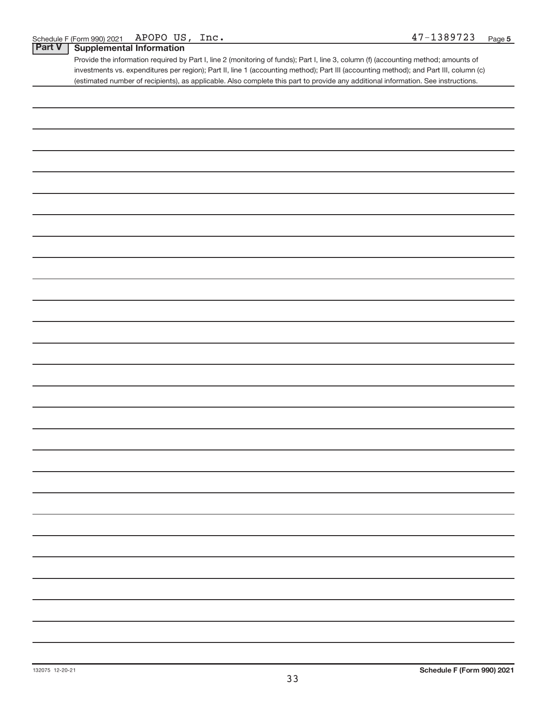### **Part V Supplemental Information**

Provide the information required by Part I, line 2 (monitoring of funds); Part I, line 3, column (f) (accounting method; amounts of investments vs. expenditures per region); Part II, line 1 (accounting method); Part III (accounting method); and Part III, column (c) (estimated number of recipients), as applicable. Also complete this part to provide any additional information. See instructions.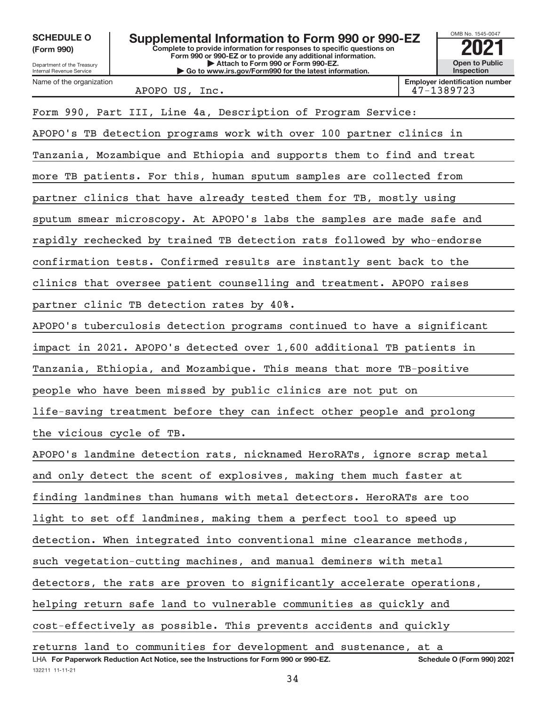**(Form 990)**

132211 11-11-21

Department of the Treasury Internal Revenue Service Name of the organization



APOPO US, Inc. 47-1389723

| Form 990, Part III, Line 4a, Description of Program Service:                                                              |  |
|---------------------------------------------------------------------------------------------------------------------------|--|
| APOPO's TB detection programs work with over 100 partner clinics in                                                       |  |
| Tanzania, Mozambique and Ethiopia and supports them to find and treat                                                     |  |
| more TB patients. For this, human sputum samples are collected from                                                       |  |
| partner clinics that have already tested them for TB, mostly using                                                        |  |
| sputum smear microscopy. At APOPO's labs the samples are made safe and                                                    |  |
| rapidly rechecked by trained TB detection rats followed by who-endorse                                                    |  |
| confirmation tests. Confirmed results are instantly sent back to the                                                      |  |
| clinics that oversee patient counselling and treatment. APOPO raises                                                      |  |
| partner clinic TB detection rates by 40%.                                                                                 |  |
| APOPO's tuberculosis detection programs continued to have a significant                                                   |  |
| impact in 2021. APOPO's detected over 1,600 additional TB patients in                                                     |  |
| Tanzania, Ethiopia, and Mozambique. This means that more TB-positive                                                      |  |
| people who have been missed by public clinics are not put on                                                              |  |
| life-saving treatment before they can infect other people and prolong                                                     |  |
| the vicious cycle of TB.                                                                                                  |  |
| APOPO's landmine detection rats, nicknamed HeroRATs, ignore scrap metal                                                   |  |
| and only detect the scent of explosives, making them much faster at                                                       |  |
| finding landmines than humans with metal detectors. HeroRATs are too                                                      |  |
| light to set off landmines, making them a perfect tool to speed up                                                        |  |
| detection. When integrated into conventional mine clearance methods,                                                      |  |
| such vegetation-cutting machines, and manual deminers with metal                                                          |  |
| detectors, the rats are proven to significantly accelerate operations,                                                    |  |
| helping return safe land to vulnerable communities as quickly and                                                         |  |
| cost-effectively as possible. This prevents accidents and quickly                                                         |  |
| returns land to communities for development and sustenance, at a                                                          |  |
| LHA For Paperwork Reduction Act Notice, see the Instructions for Form 990 or 990-EZ.<br><b>Schedule O (Form 990) 2021</b> |  |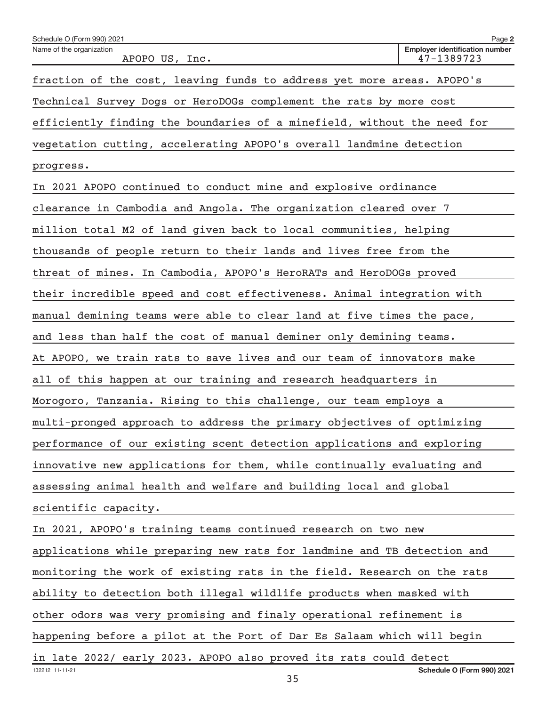| Schedule O (Form 990) 2021                                              | Page 2                                              |
|-------------------------------------------------------------------------|-----------------------------------------------------|
| Name of the organization<br>APOPO US, Inc.                              | <b>Employer identification number</b><br>47-1389723 |
| fraction of the cost, leaving funds to address yet more areas. APOPO's  |                                                     |
| Technical Survey Dogs or HeroDOGs complement the rats by more cost      |                                                     |
| efficiently finding the boundaries of a minefield, without the need for |                                                     |
| vegetation cutting, accelerating APOPO's overall landmine detection     |                                                     |
| progress.                                                               |                                                     |
| In 2021 APOPO continued to conduct mine and explosive ordinance         |                                                     |
| clearance in Cambodia and Angola. The organization cleared over 7       |                                                     |
| million total M2 of land given back to local communities, helping       |                                                     |
| thousands of people return to their lands and lives free from the       |                                                     |
| threat of mines. In Cambodia, APOPO's HeroRATs and HeroDOGs proved      |                                                     |
| their incredible speed and cost effectiveness. Animal integration with  |                                                     |
| manual demining teams were able to clear land at five times the pace,   |                                                     |
| and less than half the cost of manual deminer only demining teams.      |                                                     |
| At APOPO, we train rats to save lives and our team of innovators make   |                                                     |
| all of this happen at our training and research headquarters in         |                                                     |
| Morogoro, Tanzania. Rising to this challenge, our team employs a        |                                                     |
| multi-pronged approach to address the primary objectives of optimizing  |                                                     |
| performance of our existing scent detection applications and exploring  |                                                     |
| innovative new applications for them, while continually evaluating and  |                                                     |
| assessing animal health and welfare and building local and global       |                                                     |
| scientific capacity.                                                    |                                                     |
| In 2021, APOPO's training teams continued research on two new           |                                                     |
| applications while preparing new rats for landmine and TB detection and |                                                     |
| monitoring the work of existing rats in the field. Research on the rats |                                                     |
| ability to detection both illegal wildlife products when masked with    |                                                     |
| other odors was very promising and finaly operational refinement is     |                                                     |
| happening before a pilot at the Port of Dar Es Salaam which will begin  |                                                     |
| in late 2022/ early 2023. APOPO also proved its rats could detect       |                                                     |
| 132212 11-11-21<br>35                                                   | <b>Schedule O (Form 990) 2021</b>                   |